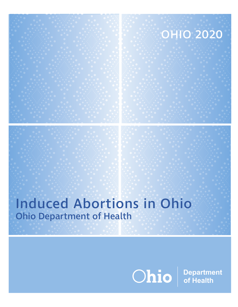# OHIO 2020

# Induced Abortions in Ohio Ohio Department of Health

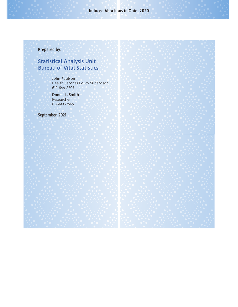# Induced Abortions in Ohio, 2020

# Prepared by:

# Statistical Analysis Unit Bureau of Vital Statistics

John Paulson Health Services Policy Supervisor 614-644-8507

Donna L. Smith Researcher 614-466-7545

September, 2021

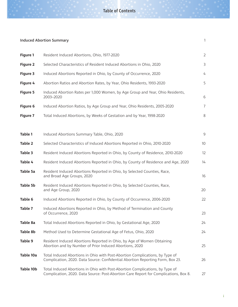#### Table of Contents

#### **Induced Abortion Summary** 1

| Figure 1        | Resident Induced Abortions, Ohio, 1977-2020                                                                                                                          | $\overline{2}$ |
|-----------------|----------------------------------------------------------------------------------------------------------------------------------------------------------------------|----------------|
| <b>Figure 2</b> | Selected Characteristics of Resident Induced Abortions in Ohio, 2020                                                                                                 | 3              |
| Figure 3        | Induced Abortions Reported in Ohio, by County of Occurrence, 2020                                                                                                    | 4              |
| Figure 4        | Abortion Ratios and Abortion Rates, by Year, Ohio Residents, 1993-2020                                                                                               | 5              |
| <b>Figure 5</b> | Induced Abortion Rates per 1,000 Women, by Age Group and Year, Ohio Residents,<br>2003-2020                                                                          | 6              |
| Figure 6        | Induced Abortion Ratios, by Age Group and Year, Ohio Residents, 2005-2020                                                                                            | $\overline{7}$ |
| <b>Figure 7</b> | Total Induced Abortions, by Weeks of Gestation and by Year, 1998-2020                                                                                                | 8              |
|                 |                                                                                                                                                                      |                |
| Table 1         | Induced Abortions Summary Table, Ohio, 2020                                                                                                                          | $\mathsf 9$    |
| Table 2         | Selected Characteristics of Induced Abortions Reported in Ohio, 2010-2020                                                                                            | 10             |
| Table 3         | Resident Induced Abortions Reported in Ohio, by County of Residence, 2010-2020                                                                                       | 12             |
| Table 4         | Resident Induced Abortions Reported in Ohio, by County of Residence and Age, 2020                                                                                    | 14             |
| Table 5a        | Resident Induced Abortions Reported in Ohio, by Selected Counties, Race,<br>and Broad Age Groups, 2020                                                               | 16             |
| Table 5b        | Resident Induced Abortions Reported in Ohio, by Selected Counties, Race,<br>and Age Group, 2020                                                                      | 20             |
| Table 6         | Induced Abortions Reported in Ohio, by County of Occurrence, 2006-2020                                                                                               | 22             |
| Table 7         | Induced Abortions Reported in Ohio, by Method of Termination and County<br>of Occurrence, 2020                                                                       | 23             |
| Table 8a        | Total Induced Abortions Reported in Ohio, by Gestational Age, 2020                                                                                                   | 24             |
| Table 8b        | Method Used to Determine Gestational Age of Fetus, Ohio, 2020                                                                                                        | 24             |
| Table 9         | Resident Induced Abortions Reported in Ohio, by Age of Women Obtaining<br>Abortion and by Number of Prior Induced Abortions, 2020                                    | 25             |
| Table 10a       | Total Induced Abortions in Ohio with Post-Abortion Complications, by Type of<br>Complication, 2020. Data Source: Confidential Abortion Reporting Form, Box 23.       | 26             |
| Table 10b       | Total Induced Abortions in Ohio with Post-Abortion Complications, by Type of<br>Complication, 2020. Data Source: Post-Abortion Care Report for Complications, Box 8. | 27             |

i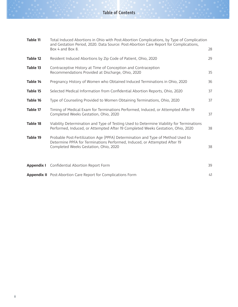| Table 11   | Total Induced Abortions in Ohio with Post-Abortion Complications, by Type of Complication<br>and Gestation Period, 2020. Data Source: Post-Abortion Care Report for Complications,<br>Box 4 and Box 8. | 28 |
|------------|--------------------------------------------------------------------------------------------------------------------------------------------------------------------------------------------------------|----|
| Table 12   | Resident Induced Abortions by Zip Code of Patient, Ohio, 2020                                                                                                                                          | 29 |
| Table 13   | Contraceptive History at Time of Conception and Contraception<br>Recommendations Provided at Discharge, Ohio, 2020                                                                                     | 35 |
| Table 14   | Pregnancy History of Women who Obtained Induced Terminations in Ohio, 2020                                                                                                                             | 36 |
| Table 15   | Selected Medical Information from Confidential Abortion Reports, Ohio, 2020                                                                                                                            | 37 |
| Table 16   | Type of Counseling Provided to Women Obtaining Terminations, Ohio, 2020                                                                                                                                | 37 |
| Table 17   | Timing of Medical Exam for Terminations Performed, Induced, or Attempted After 19<br>Completed Weeks Gestation, Ohio, 2020                                                                             | 37 |
| Table 18   | Viability Determination and Type of Testing Used to Determine Viability for Terminations<br>Performed, Induced, or Attempted After 19 Completed Weeks Gestation, Ohio, 2020                            | 38 |
| Table 19   | Probable Post-Fertilization Age (PPFA) Determination and Type of Method Used to<br>Determine PPFA for Terminations Performed, Induced, or Attempted After 19<br>Completed Weeks Gestation, Ohio, 2020  | 38 |
| Appendix I | Confidential Abortion Report Form                                                                                                                                                                      | 39 |
|            | Appendix II Post-Abortion Care Report for Complications Form                                                                                                                                           | 41 |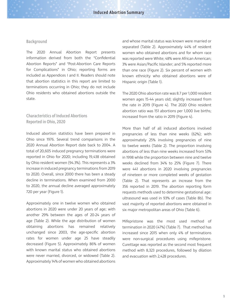#### Background

The 2020 Annual Abortion Report presents information derived from both the "Confidential Abortion Reports" and "Post-Abortion Care Reports for Complications" in Ohio; reporting forms are included as Appendices I and II. Readers should note that abortion statistics in this report are limited to terminations occurring in Ohio; they do not include Ohio residents who obtained abortions outside the state.

#### Characteristics of Induced Abortions Reported in Ohio, 2020

Induced abortion statistics have been prepared in Ohio since 1976. Several trend comparisons in the 2020 Annual Abortion Report date back to 2004. A total of 20,605 induced pregnancy terminations were reported in Ohio for 2020; including 19,438 obtained by Ohio resident women (94.3%). This represents a 3% increase in induced pregnancy terminations from 2019 to 2020. Overall, since 2000 there has been a steady decline in terminations. When examined from 2000 to 2020, the annual decline averaged approximately 720 per year (Figure 1).

Approximately one in twelve women who obtained abortions in 2020 were under 20 years of age; with another 29% between the ages of 20-24 years of age (Table 2). While the age distribution of women obtaining abortions has remained relatively unchanged since 2003, the age-specific abortion rates for women under age 25 have steadily decreased (Figure 5). Approximately 86% of women with known marital status who obtained abortions were never married, divorced, or widowed (Table 2). Approximately 14% of women who obtained abortions

and whose marital status was known were married or separated (Table 2). Approximately 44% of resident women who obtained abortions and for whom race was reported were White; 48% were African American; 3% were Asian/Pacific Islander; and 5% reported more than one race (Figure 2). Six percent of women with known ethnicity who obtained abortions were of Hispanic origin (Table 1).

The 2020 Ohio abortion rate was 8.7 per 1,000 resident women ages 15-44 years old; slightly increased from the rate in 2019 (Figure 4). The 2020 Ohio resident abortion ratio was 151 abortions per 1,000 live births; increased from the ratio in 2019 (Figure 4).

More than half of all induced abortions involved pregnancies of less than nine weeks (62%); with approximately 25% involving pregnancies of nine to twelve weeks (Table 2). The proportion involving abortions of less than nine weeks increased from 53% in 1998 while the proportion between nine and twelve weeks declined from 34% to 25% (Figure 7). There were 441 abortions in 2020 involving pregnancies of nineteen or more completed weeks of gestation (Table 2). That represents an increase from the 356 reported in 2019. The abortion reporting form requests methods used to determine gestational age: ultrasound was used in 93% of cases (Table 8b). The vast majority of reported abortions were obtained in six major metropolitan areas of Ohio (Table 6).

Mifepristone was the most used method of termination in 2020 (47%) (Table 7). That method has increased since 2015 when only 4% of terminations were non-surgical procedures using mifepristone. Curettage was reported as the second most frequent method with 8,323 procedures, followed by dilation and evacuation with 2,428 procedures.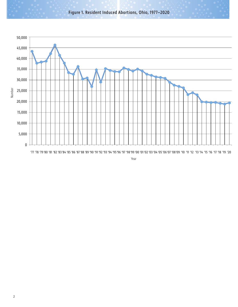Figure 1. Resident Induced Abortions, Ohio, 1977–2020



Year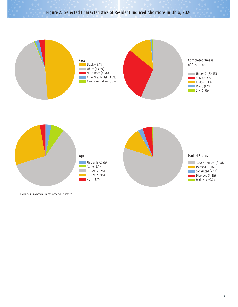# Figure 2. Selected Characteristics of Resident Induced Abortions in Ohio, 2020



Excludes unknown unless otherwise stated.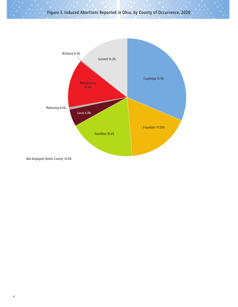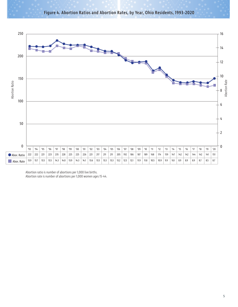



Abortion ratio is number of abortions per 1,000 live births. Abortion rate is number of abortions per 1,000 women ages 15-44.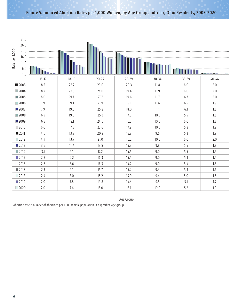#### Figure 5. Induced Abortion Rates per 1,000 Women, by Age Group and Year, Ohio Residents, 2003-2020

|                |                     | $21.0$ $\cdots$ $\cdots$ $\cdots$ $\cdots$ $\cdots$ $\cdots$ $\cdots$ $\cdots$ $\cdots$ $\cdots$ $\cdots$ $\cdots$ $\cdots$ $\cdots$ $\cdots$ $\cdots$ $\cdots$ $\cdots$ $\cdots$ $\cdots$ $\cdots$ $\cdots$ $\cdots$ $\cdots$ $\cdots$ $\cdots$ $\cdots$ $\cdots$ $\cdots$ $\cdots$ $\cdots$ $\cdots$ $\cdots$ $\cdots$ $\cdots$ $\cdots$ |           |           |           |           |           |           |
|----------------|---------------------|--------------------------------------------------------------------------------------------------------------------------------------------------------------------------------------------------------------------------------------------------------------------------------------------------------------------------------------------|-----------|-----------|-----------|-----------|-----------|-----------|
| Rate per 1,000 |                     | $16.0$ $\cdots$ $\cdots$ $\cdots$ $\cdots$ $\cdots$ $\cdots$ $\cdots$ $\cdots$ $\cdots$ $\cdots$ $\cdots$ $\cdots$ $\cdots$ $\cdots$ $\cdots$ $\cdots$ $\cdots$ $\cdots$ $\cdots$ $\cdots$ $\cdots$ $\cdots$ $\cdots$ $\cdots$ $\cdots$ $\cdots$ $\cdots$ $\cdots$ $\cdots$ $\cdots$ $\cdots$ $\cdots$ $\cdots$ $\cdots$ $\cdots$ $\cdots$ |           |           |           |           |           |           |
|                | 11.0                |                                                                                                                                                                                                                                                                                                                                            |           |           |           |           |           |           |
|                | $6.0\,$             |                                                                                                                                                                                                                                                                                                                                            |           |           |           |           |           |           |
|                | 1.0                 |                                                                                                                                                                                                                                                                                                                                            |           |           |           |           |           |           |
|                |                     | $15 - 17$                                                                                                                                                                                                                                                                                                                                  | $18 - 19$ | $20 - 24$ | $25 - 29$ | $30 - 34$ | $35 - 39$ | $40 - 44$ |
|                | ■2003               | 8.5                                                                                                                                                                                                                                                                                                                                        | 22.2      | 29.0      | 20.3      | 11.8      | 6.0       | 2.0       |
|                | $\blacksquare$ 2004 | 8.2                                                                                                                                                                                                                                                                                                                                        | 22.3      | 28.0      | 19.4      | 11.9      | 6.0       | 2.0       |
|                | ■2005               | 8.0                                                                                                                                                                                                                                                                                                                                        | 21.7      | 27.7      | 19.6      | 11.7      | 6.3       | 2.0       |
|                | ■2006               | 7.9                                                                                                                                                                                                                                                                                                                                        | 21.1      | 27.9      | 19.1      | 11.6      | 6.5       | 1.9       |
|                | ■2007               | 7.9                                                                                                                                                                                                                                                                                                                                        | 19.8      | 25.8      | 18.0      | 11.1      | 6.1       | 1.8       |
|                | $\blacksquare$ 2008 | 6.9                                                                                                                                                                                                                                                                                                                                        | 19.6      | 25.3      | 17.5      | 10.3      | 5.5       | 1.8       |
|                | ■2009               | 6.5                                                                                                                                                                                                                                                                                                                                        | 18.1      | 24.6      | 16.3      | 10.6      | 6.0       | 1.8       |
|                | $\Box$ 2010         | 6.0                                                                                                                                                                                                                                                                                                                                        | 17.3      | 23.6      | 17.2      | 10.5      | 5.8       | 1.9       |
|                | ■ 2011              | 4.6                                                                                                                                                                                                                                                                                                                                        | 13.8      | 20.9      | 15.7      | 9.6       | 5.3       | 1.9       |
|                | $\Box$ 2012         | 4.4                                                                                                                                                                                                                                                                                                                                        | 13.7      | 21.0      | 16.2      | 10.5      | 6.0       | 2.0       |
|                | ■2013               | 3.6                                                                                                                                                                                                                                                                                                                                        | 11.7      | 19.5      | 15.3      | 9.8       | 5.4       | 1.8       |
|                | $\Box$ 2014         | 3.1                                                                                                                                                                                                                                                                                                                                        | 9.1       | 17.2      | 14.5      | 9.0       | 5.5       | 1.5       |
|                | $\blacksquare$ 2015 | 2.8                                                                                                                                                                                                                                                                                                                                        | 9.2       | 16.3      | 15.5      | 9.0       | 5.3       | 1.5       |
|                | $\Box$ 2016         | 2.6                                                                                                                                                                                                                                                                                                                                        | 8.6       | 16.3      | 14.7      | 9.0       | 5.4       | 1.5       |
|                | ■2017               | 2.3                                                                                                                                                                                                                                                                                                                                        | 9.1       | 15.7      | 15.2      | 9.4       | 5.3       | 1.6       |
|                | $\Box$ 2018         | 2.4                                                                                                                                                                                                                                                                                                                                        | 8.0       | 15.2      | 15.0      | 9.4       | 5.0       | 1.5       |
|                | ■2019               | 2.0                                                                                                                                                                                                                                                                                                                                        | 7.8       | 14.8      | 14.4      | 9.5       | 5.1       | 1.7       |
|                | $\Box$ 2020         | 2.0                                                                                                                                                                                                                                                                                                                                        | 7.6       | 15.0      | 15.1      | 10.0      | 5.2       | 1.9       |

Age Group

Abortion rate is number of abortions per 1,000 female population in a specified age group.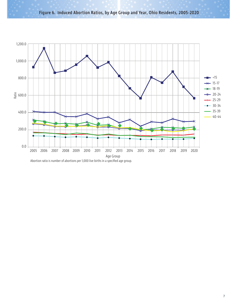Figure 6. Induced Abortion Ratios, by Age Group and Year, Ohio Residents, 2005-2020



Abortion ratio is number of abortions per 1,000 live births in a specified age group.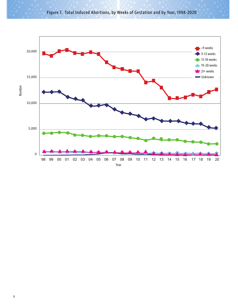

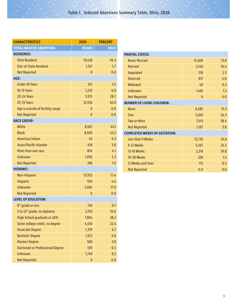| <b>CHARACTERISTICS</b>                  | 2020     | <b>PERCENT</b> |
|-----------------------------------------|----------|----------------|
| <b>TOTAL INDUCED ABORTIONS</b>          | 20,605   | 100.0          |
| <b>RESIDENCE:</b>                       |          |                |
| <b>Ohio Resident</b>                    | 19,438   | 94.3           |
| <b>Out-of-State Resident</b>            | 1,167    | 5.7            |
| <b>Not Reported</b>                     | $\bf{0}$ | 0.0            |
| AGE:                                    |          |                |
| <b>Under 18 Years</b>                   | 521      | 2.5            |
| <b>18-19 Years</b>                      | 1,233    | 6.0            |
| <b>20-24 Years</b>                      | 5,915    | 28.7           |
| <b>25-55 Years</b>                      | 12,936   | 62.8           |
| Age is outside of fertility range       | 0        | 0.0            |
| <b>Not Reported</b>                     | $\bf{0}$ | 0.0            |
| <b>RACE GROUP:</b>                      |          |                |
| White                                   | 8,667    | 42.1           |
| <b>Black</b>                            | 8,909    | 43.2           |
| American Indian                         | 63       | 0.3            |
| Asian/Pacific Islander                  | 618      | 3.0            |
| More than one race                      | 854      | 4.1            |
| <b>Unknown</b>                          | 1,096    | 5.3            |
| <b>Not Reported</b>                     | 398      | 1.9            |
| <b>HISPANIC:</b>                        |          |                |
| Non-Hispanic                            | 15,955   | 77.4           |
| <b>Hispanic</b>                         | 956      | 4.6            |
| <b>Unknown</b>                          | 3,694    | 17.9           |
| <b>Not Reported</b>                     | 0        | 0.0            |
| <b>LEVEL OF EDUCATION:</b>              |          |                |
| 8 <sup>th</sup> grade or less           | 150      | 0.7            |
| 9 to 12 <sup>th</sup> grade, no diploma | 2,193    | 10.6           |
| <b>High School graduate or GED</b>      | 7,864    | 38.2           |
| Some college credit, no degree          | 4,610    | 22.4           |
| <b>Associate Degree</b>                 | 1,379    | 6.7            |
| <b>Bachelor Degree</b>                  | 1,972    | 9.6            |
| <b>Masters Degree</b>                   | 580      | 2.8            |
| <b>Doctorate or Professional Degree</b> | 109      | 0.5            |
| <b>Unknown</b>                          | 1,748    | 8.5            |
| <b>Not Reported</b>                     | 0        | 0.0            |

| <b>MARITAL STATUS:</b>               |              |      |  |  |  |  |  |  |  |  |  |
|--------------------------------------|--------------|------|--|--|--|--|--|--|--|--|--|
| <b>Never Married</b>                 | 15,609       | 75.8 |  |  |  |  |  |  |  |  |  |
| <b>Married</b>                       | 2,140        | 10.4 |  |  |  |  |  |  |  |  |  |
| Separated                            | 518          | 2.5  |  |  |  |  |  |  |  |  |  |
| <b>Divorced</b>                      | 817          | 4.0  |  |  |  |  |  |  |  |  |  |
| Widowed                              | 40           | 0.2  |  |  |  |  |  |  |  |  |  |
| <b>Unknown</b>                       | 1,481        | 7.2  |  |  |  |  |  |  |  |  |  |
| <b>Not Reported</b>                  | $\mathbf{0}$ | 0.0  |  |  |  |  |  |  |  |  |  |
| <b>NUMBER OF LIVING CHILDREN:</b>    |              |      |  |  |  |  |  |  |  |  |  |
| <b>None</b>                          | 6,485        | 31.5 |  |  |  |  |  |  |  |  |  |
| One                                  | 5,010        | 24.3 |  |  |  |  |  |  |  |  |  |
| <b>Two or More</b>                   | 7,913        | 38.4 |  |  |  |  |  |  |  |  |  |
| <b>Not Reported</b>                  | 1,197        | 5.8  |  |  |  |  |  |  |  |  |  |
| <b>COMPLETED WEEKS OF GESTATION:</b> |              |      |  |  |  |  |  |  |  |  |  |
| <b>Less than 9 Weeks</b>             | 12,739       | 61.8 |  |  |  |  |  |  |  |  |  |
| 9-12 Weeks                           | 5,207        | 25.3 |  |  |  |  |  |  |  |  |  |
| <b>13-18 Weeks</b>                   | 2,218        | 10.8 |  |  |  |  |  |  |  |  |  |
| 19-20 Weeks                          | 328          | 1.6  |  |  |  |  |  |  |  |  |  |
| 21 Weeks and Over                    | 113          | 0.5  |  |  |  |  |  |  |  |  |  |
| <b>Not Reported</b>                  | 0.0          | 0.0  |  |  |  |  |  |  |  |  |  |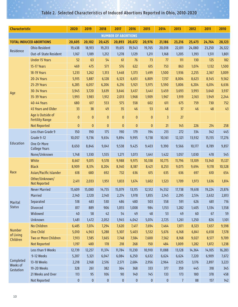# Table 2. Selected Characteristics of Induced Abortions Reported in Ohio, 2010-2020

| <b>Characteristic</b> |                                             | 2020         | 2019      | 2018         | 2017                       | 2016         | 2015         | 2014      | 2013           | 2012   | 2011   | 2010   |
|-----------------------|---------------------------------------------|--------------|-----------|--------------|----------------------------|--------------|--------------|-----------|----------------|--------|--------|--------|
|                       |                                             |              |           |              | <b>NUMBER OF ABORTIONS</b> |              |              |           |                |        |        |        |
|                       | <b>TOTAL INDUCED ABORTIONS</b>              | 20,605       | 20,102    | 20,425       | 20,893                     | 20,672       | 20,976       | 21,186    | 23,216         | 25,473 | 24,764 | 28,123 |
|                       | <b>Ohio Resident</b>                        | 19,438       | 18,913    | 19,213       | 19,615                     | 19,543       | 19,765       | 20,018    | 22,011         | 24,080 | 23,250 | 26,322 |
| Residence             | Out-of-State Resident                       | 1,167        | 1,189     | 1,212        | 1,278                      | 1,129        | 1,211        | 1,168     | 1,205          | 1,393  | 1,511  | 1,801  |
|                       | <b>Under 15 Years</b>                       | 52           | 63        | 54           | 61                         | 76           | 73           | 77        | 111            | 130    | 125    | 182    |
|                       | <b>15-17 Years</b>                          | 469          | 475       | 571          | 576                        | 622          | 615          | 753       | 863            | 1,074  | 1,132  | 1,500  |
|                       | <b>18-19 Years</b>                          | 1,233        | 1,262     | 1,313        | 1,448                      | 1,373        | 1,499        | 1,500     | 1,936          | 2,255  | 2,367  | 3,009  |
|                       | <b>20-24 Years</b>                          | 5,915        | 5,887     | 6,128        | 6,323                      | 6,651        | 6,809        | 7,157     | 8,004          | 8,623  | 8,545  | 9,562  |
|                       | <b>25-29 Years</b>                          | 6,285        | 6,057     | 6,206        | 6,216                      | 5,921        | 5,975        | 5,590     | 5,806          | 6,204  | 6,014  | 6,636  |
| Age                   | <b>30-34 Years</b>                          | 3,945        | 3,720     | 3,639        | 3,646                      | 3,457        | 3,441        | 3,459     | 3,693          | 3,993  | 3,640  | 3,937  |
|                       | <b>35-39 Years</b>                          | 1,993        | 1,983     | 1,912        | 2,013                      | 1,968        | 1,909        | 1,967     | 1,919          | 2,163  | 1,949  | 2,244  |
|                       | <b>40-44 Years</b>                          | 680          | 617       | 553          | 575                        | 558          | 602          | 611       | 675            | 759    | 730    | 752    |
|                       | <b>45 Years and Older</b>                   | 33           | 38        | 49           | 35                         | 46           | 53           | 48        | 37             | 46     | 48     | 43     |
|                       | Age is Outside of<br><b>Fertility Range</b> | $\mathbf{0}$ | $\pmb{0}$ | $\bf{0}$     | $\mathbf{0}$               | $\mathbf{0}$ | $\mathbf{0}$ | 3         | 27             |        |        |        |
|                       | <b>Not Reported</b>                         | $\pmb{0}$    | $\pmb{0}$ | $\mathbf{0}$ | $\mathbf{0}$               | $\pmb{0}$    | $\bf{0}$     | 21        | 145            | 226    | 214    | 258    |
|                       | Less than Grade 9                           | 150          | 190       | 175          | 190                        | 179          | 194          | 213       | 272            | 334    | 342    | 445    |
|                       | Grade 9-12                                  | 10,057       | 9,736     | 9,654        | 9,894                      | 9,995        | 9,738        | 10,161    | 12,321         | 13,932 | 15,155 | 17,276 |
| Education             | One Or More<br><b>College Years</b>         | 8,650        | 8,846     | 9,041        | 9,538                      | 9,425        | 9,403        | 9,390     | 9,566          | 10,177 | 8,789  | 9,857  |
|                       | None/Unknown                                | 1,748        | 1,330     | 1,555        | 1,271                      | 1,073        | 1,641        | 1,422     | 1,057          | 1,030  | 478    | 545    |
|                       | White                                       | 8,667        | 9,015     | 9,578        | 9,988                      | 9,975        | 10,338       | 10,775    | 11,796         | 13,109 | 13,340 | 15,127 |
|                       | <b>Black</b>                                | 8,909        | 8,374     | 8,204        | 8,340                      | 8,387        | 8,421        | 8,253     | 9,075          | 9,694  | 9,178  | 10,528 |
| Race                  | Asian/Pacific Islander                      | 618          | 680       | 692          | 732                        | 636          | 615          | 635       | 636            | 697    | 610    | 654    |
|                       | Other/Unknown/<br><b>Not Reported</b>       | 2,411        | 2,033     | 1,951        | 1,833                      | 1,674        | 1,602        | 1,523     | 1,709          | 1,973  | 1,636  | 1,814  |
|                       | <b>Never Married</b>                        | 15,609       | 15,080    | 14,755       | 15,079                     | 13,115       | 12,512       | 14,552    | 17,738         | 19,618 | 19,224 | 21,876 |
|                       | <b>Married</b>                              | 2,140        | 2,120     | 2,140        | 2,274                      | 1,978        | 1,855        | 2,145     | 2,295          | 2,514  | 2,632  | 2,813  |
| Marital               | Separated                                   | 518          | 483       | 530          | 486                        | 480          | 503          | 558       | 591            | 626    | 681    | 716    |
| <b>Status</b>         | <b>Divorced</b>                             | 817          | 889       | 906          | 1,055                      | 1,008        | 984          | 1,153     | 1,282          | 1,405  | 1,334  | 1,558  |
|                       | Widowed                                     | 40           | 58        | 42           | 54                         | 49           | 48           | 53        | 49             | 60     | 67     | 59     |
|                       | Unknown                                     | 1,481        | 1,472     | 2,052        | 1,945                      | 4,042        | 5,074        | 2,725     | 1,261          | 1,250  | 826    | 1,101  |
|                       | No Children                                 | 6,485        | 7,074     | 7,294        | 7,620                      | 7,417        | 7,694        | 7,464     | 7,871          | 8,323  | 7,657  | 9,598  |
| Number<br>of Living   | <b>One Child</b>                            | 5,010        | 4,963     | 5,288        | 5,307                      | 5,403        | 5,532        | 5,676     | 6,168          | 6,841  | 6,658  | 7,578  |
| Children              | Two or More Children                        | 7,913        | 7,585     | 7,665        | 7,748                      | 7,584        | 7,600        | 7,562     | 8,168          | 9,027  | 8,577  | 9,709  |
|                       | <b>Not Reported</b>                         | 1,197        | 480       | 178          | 218                        | 268          | 150          | 484       | 1,009          | 1,282  | 1,872  | 1,238  |
|                       | Less than 9 Weeks                           | 12,739       | 12,257    | 11,374       | 11,784                     | 11,230       | 10,910       | 11,088    | 13,128         | 14,364 | 14,105 | 16,283 |
|                       | 9-12 Weeks                                  | 5,207        | 5,321     | 6,047        | 6,084                      | 6,250        | 6,632        | 6,624     | 6,624          | 7,220  | 6,909  | 7,672  |
| Completed<br>Weeks of | 13-18 Weeks                                 | 2,218        | 2,168     | 2,516        | 2,571                      | 2,684        | 2,956        | 2,964     | 2,925          | 3,176  | 2,897  | 3,223  |
| Gestation             | 19-20 Weeks                                 | 328          | 261       | 382          | 364                        | 368          | 333          | 377       | 359            | 445    | 318    | 345    |
|                       | 21 Weeks and Over                           | 113          | 95        | 106          | 90                         | 140          | 145          | 133       | 173            | 180    | 378    | 458    |
|                       | Not Reported                                | $\pmb{0}$    | $\bf{0}$  | 0            | $\pmb{0}$                  | $\pmb{0}$    | $\pmb{0}$    | $\pmb{0}$ | 7 <sup>1</sup> | 88     | 157    | 142    |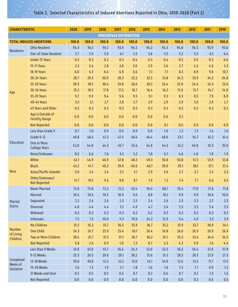# Table 2. Selected Characteristics of Induced Abortions Reported in Ohio, 2010-2020 (Part 2)

| <b>CHARACTERISTIC</b> |                                             | 2020  | 2019  | 2018  | 2017                           | 2016  | 2015  | 2014  | 2013  | 2012  | 2011  | 2010    |
|-----------------------|---------------------------------------------|-------|-------|-------|--------------------------------|-------|-------|-------|-------|-------|-------|---------|
|                       |                                             |       |       |       | <b>PERCENTAGE DISTRIBUTION</b> |       |       |       |       |       |       |         |
|                       | <b>TOTAL INDUCED ABORTIONS</b>              | 100.0 | 100.0 | 100.0 | 100.0                          | 100.0 | 100.0 | 100.0 | 100.0 | 100.0 | 100.0 | 100.0   |
| Residence             | <b>Ohio Resident</b>                        | 94.3  | 94.1  | 94.1  | 93.9                           | 94.5  | 94.2  | 94.5  | 94.8  | 94.5  | 93.9  | 93.6    |
|                       | Out-of-State Resident                       | 5.7   | 5.9   | 5.9   | 6.1                            | 5.5   | 5.8   | 5.5   | 5.2   | 5.5   | 6.1   | 6.4     |
|                       | <b>Under 15 Years</b>                       | 0.3   | 0.3   | 0.2   | 0.3                            | 0.4   | 0.3   | 0.4   | 0.5   | 0.5   | 0.5   | 0.6     |
|                       | <b>15-17 Years</b>                          | 2.3   | 2.4   | 2.8   | 2.8                            | 3.0   | 2.9   | 3.6   | 3.7   | 4.2   | 4.6   | 5.3     |
|                       | <b>18-19 Years</b>                          | 6.0   | 6.3   | 6.4   | 6.9                            | 6.6   | 7.1   | 7.1   | 8.3   | 8.9   | 9.6   | 10.7    |
|                       | <b>20-24 Years</b>                          | 28.7  | 29.3  | 30.0  | 30.3                           | 32.2  | 32.5  | 33.8  | 34.5  | 33.9  | 34.5  | 34.0    |
|                       | <b>25-29 Years</b>                          | 30.5  | 30.1  | 30.4  | 29.8                           | 28.6  | 28.5  | 26.4  | 25.0  | 24.4  | 24.3  | 23.6    |
| Age                   | <b>30-34 Years</b>                          | 19.2  | 18.5  | 17.8  | 17.5                           | 16.7  | 16.4  | 16.3  | 15.9  | 15.7  | 14.7  | 14.0    |
|                       | <b>35-39 Years</b>                          | 9.7   | 9.9   | 9.4   | 9.6                            | 9.5   | 9.1   | 9.3   | 8.3   | 8.5   | 7.9   | 8.0     |
|                       | <b>40-44 Years</b>                          | 3.3   | 3.1   | 2.7   | 2.8                            | 2.7   | 2.9   | 2.9   | 2.9   | 3.0   | 2.9   | 2.7     |
|                       | <b>45 Years and Older</b>                   | 0.2   | 0.2   | 0.2   | 0.2                            | 0.2   | 0.3   | 0.2   | 0.2   | 0.2   | 0.2   | 0.2     |
|                       | Age is Outside of<br><b>Fertility Range</b> | 0.0   | 0.0   | 0.0   | 0.0                            | 0.0   | 0.0   | 0.0   | 0.1   |       |       |         |
|                       | <b>Not Reported</b>                         | 0.0   | 0.0   | 0.0   | 0.0                            | 0.0   | 0.0   | 0.1   | 0.6   | 0.9   | 0.9   | 0.9     |
|                       | Less than Grade 9                           | 0.7   | 1.0   | 0.9   | 0.9                            | 0.9   | 0.9   | 1.0   | 1.2   | 1.3   | 1.4   | 1.6     |
|                       | Grade 9-12                                  | 48.8  | 48.4  | 47.3  | 47.4                           | 48.4  | 46.4  | 48.0  | 53.1  | 54.7  | 61.2  | 61.4    |
| Education             | One or More<br><b>College Years</b>         | 42.0  | 44.0  | 44.3  | 45.7                           | 45.6  | 44.8  | 44.3  | 41.2  | 40.0  | 35.5  | 35.0    |
|                       | None/Unknown                                | 8.5   | 6.6   | 7.6   | 6.1                            | 5.2   | 7.8   | 6.7   | 4.6   | 4.0   | 1.9   | 1.9     |
|                       | White                                       | 42.1  | 44.9  | 46.9  | 47.8                           | 48.3  | 49.3  | 50.8  | 50.8  | 51.5  | 53.9  | 53.8    |
|                       | <b>Black</b>                                | 43.2  | 41.7  | 40.2  | 39.9                           | 40.6  | 40.1  | 39.0  | 39.1  | 38.1  | 37.1  | 37.4    |
| Race                  | Asian/Pacific Islander                      | 3.0   | 3.4   | 3.4   | 3.5                            | 3.1   | 2.9   | 3.0   | 2.7   | 2.7   | 2.5   | 2.3     |
|                       | Other/Unknown/<br><b>Not Reported</b>       | 11.7  | 10.1  | 9.6   | 8.8                            | 8.1   | 7.6   | 7.2   | 7.4   | 7.7   | 6.6   | 6.5     |
|                       | <b>Never Married</b>                        | 75.8  | 75.0  | 72.2  | 72.2                           | 63.4  | 59.6  | 68.7  | 76.4  | 77.0  | 77.6  | 77.8    |
|                       | Married                                     | 10.4  | 10.6  | 10.5  | 10.9                           | 9.6   | 8.8   | 10.1  | 9.9   | 9.9   | 10.6  | 10.0    |
| Marital               | Separated                                   | 2.5   | 2.4   | 2.6   | 2.3                            | 2.3   | 2.4   | 2.6   | 2.5   | 2.5   | 2.7   | 2.5     |
| <b>Status</b>         | <b>Divorced</b>                             | 4.0   | 4.4   | 4.4   | 5.1                            | 4.9   | 4.7   | 5.4   | 5.5   | 5.5   | 5.4   | 5.5     |
|                       | Widowed                                     | 0.2   | 0.3   | 0.2   | 0.3                            | 0.2   | 0.2   | 0.3   | 0.2   | 0.2   | 0.3   | 0.2     |
|                       | Unknown                                     | 7.2   | 7.3   | 10.0  | 9.3                            | 19.6  | 24.2  | 12.9  | 5.4   | 4.9   | 3.3   | 3.9     |
|                       | No Children                                 | 31.5  | 35.2  | 35.7  | 36.5                           | 35.9  | 36.7  | 35.2  | 33.9  | 32.7  | 30.9  | 34.1    |
| <b>Number</b>         | <b>One Child</b>                            | 24.3  | 24.7  | 25.9  | 25.4                           | 26.1  | 26.4  | 26.8  | 26.6  | 26.9  | 26.9  | 26.9    |
| of Living<br>Children | <b>Two or More Children</b>                 | 38.4  | 37.7  | 37.5  | 37.1                           | 36.7  | 36.2  | 35.7  | 35.2  | 35.4  | 34.6  | 34.5    |
|                       | <b>Not Reported</b>                         | 5.8   | 2.4   | 0.9   | 1.0                            | 1.3   | 0.7   | 2.3   | 4.3   | 5.0   | 7.6   | 4.4     |
|                       | Less than 9 Weeks                           | 61.8  | 61.0  | 55.7  | 56.4                           | 54.3  | 52.0  | 52.3  | 56.5  | 56.4  | 57.0  | 57.9    |
|                       | 9-12 Weeks                                  | 25.3  | 26.5  | 29.6  | 29.1                           | 30.2  | 31.6  | 31.3  | 28.5  | 28.3  | 27.9  | 27.3    |
| Completed             | 13-18 Weeks                                 | 10.8  | 10.8  | 12.3  | 12.3                           | 13.0  | 14.1  | 14.0  | 12.6  | 12.5  | 11.7  | 11.5    |
| Weeks of<br>Gestation | 19-20 Weeks                                 | 1.6   | 1.3   | 1.9   | 1.7                            | 1.8   | 1.6   | 1.8   | 1.5   | 1.7   | 0.9   | 1.2     |
|                       | 21 Weeks and Over                           | 0.5   | 0.5   | 0.5   | 0.4                            | 0.7   | 0.7   | 0.6   | 0.7   | 0.7   | 1.5   | $1.6\,$ |
|                       | Not Reported                                | 0.0   | 0.0   | 0.0   | 0.0                            | 0.0   | 0.0   | 0.0   | 0.0   | 0.3   | 0.6   | $0.5\,$ |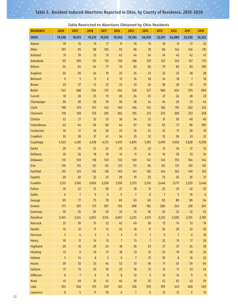| <b>RESIDENCE</b> | 2020      | 2019           | 2018            | 2017             | 2016             | 2015           | 2014             | 2013           | 2012           | 2011             | 2010                  |
|------------------|-----------|----------------|-----------------|------------------|------------------|----------------|------------------|----------------|----------------|------------------|-----------------------|
| <b>OHIO</b>      | 19,438    | 18,913         | 19,213          | 19,615           | 19,543           | 19,765         | 20,018           | 22,011         | 24,080         | 23,250           | 26,322                |
| <b>Adams</b>     | 19        | 15             | 13              | 17               | 11               | 10             | 15               | 18             | 11             | 17               | 22                    |
| Allen            | 107       | 95             | 98              | 105              | 93               | 98             | 78               | 90             | 142            | 146              | 191                   |
| <b>Ashland</b>   | 31        | 39             | 33              | 31               | 42               | 44             | 54               | 34             | 42             | 42               | 47                    |
| Ashtabula        | 95        | 109            | 121             | 116              | 110              | 108            | 129              | 147            | 149            | 157              | 175                   |
| <b>Athens</b>    | 54        | 64             | 44              | 77               | 74               | 82             | 66               | 79             | 89             | 83               | 109                   |
| Auglaize         | 26        | 26             | 24              | 19               | 25               | 24             | 23               | 32             | 22             | 28               | 28                    |
| <b>Belmont</b>   | 9         | 5              | 11              | $\boldsymbol{6}$ | 13               | 14             | 10               | 14             | 18             | $\overline{7}$   | 18                    |
| <b>Brown</b>     | 23        | 27             | 15              | 27               | 22               | 33             | 34               | 38             | 28             | 32               | 37                    |
| <b>Butler</b>    | 545       | 488            | 504             | 515              | 454              | 528            | 527              | 580            | 624            | 559              | 690                   |
| Carroll          | 18        | 20             | 25              | 15               | 20               | 24             | 25               | 21             | 24             | 28               | 23                    |
| Champaign        | 30        | 30             | 30              | 19               | 30               | 38             | 34               | 34             | 29             | 33               | 44                    |
| Clark            | 198       | 159            | 167             | 143              | 149              | 166            | 152              | 182            | 191            | 202              | 232                   |
| Clermont         | 178       | 158            | 176             | 201              | 202              | 195            | 213              | 233            | 269            | 233              | 258                   |
| Clinton          | 32        | 27             | 32              | 32               | 36               | 34             | 32               | 31             | 30             | 40               | 40                    |
| Columbiana       | 42        | 44             | 46              | 60               | 44               | 67             | 62               | 83             | 73             | 86               | 100                   |
| Coshocton        | 16        | 17             | 16              | 20               | 23               | 16             | 24               | 25             | 17             | 20               | 19                    |
| Crawford         | 32        | 38             | 37              | 47               | 34               | 35             | 32               | 32             | 30             | 33               | 32                    |
| Cuyahoga         | 4,523     | 4,381          | 4,518           | 4,721            | 4,921            | 4,895          | 5,185            | 5,499          | 5,663          | 5,828            | 6,598                 |
| <b>Darke</b>     | 29        | 25             | 25              | 24               | 25               | 25             | 22               | 21             | 36             | 27               | 32                    |
| <b>Defiance</b>  | 10        | 26             | 18              | 19               | 14               | 11             | 14               | 16             | 29             | 33               | 34                    |
| <b>Delaware</b>  | 131       | 149            | 118             | 149              | 132              | 149            | 141              | 145            | 155            | 164              | 144                   |
| Erie             | 110       | 114            | 121             | 131              | 123              | 111            | 96               | 161            | 151            | 101              | 161                   |
| <b>Fairfield</b> | 151       | 123            | 136             | 118              | 149              | 141            | 136              | 144            | 163            | 149              | 163                   |
| Fayette          | 20        | 20             | 22              | 23               | 20               | 19             | 25               | 33             | 34             | 26               | 37                    |
| <b>Franklin</b>  | 3,115     | 3,166          | 3,056           | 3,258            | 3,158            | 3,333          | 3,376            | 3,448          | 3,771          | 3,529            | 3,448                 |
| <b>Fulton</b>    | 19        | 22             | 21              | 28               | 27               | $18\,$         | 11               | 23             | 35             | 42               | 35                    |
| Gallia           | $6\,$     | $\overline{1}$ | $\overline{9}$  | $\boldsymbol{6}$ | $\overline{9}$   | $\overline{7}$ | 8                | $\overline{7}$ | 5              | 10               | $6\phantom{1}6$<br>94 |
| Geauga<br>Greene | 69        | 77<br>201      | 75              | 78<br>207        | 69               | 63<br>208      | 69               | 92             | 89             | 89               |                       |
| <b>Guernsey</b>  | 173<br>19 | 25             | 173<br>20       | 32               | 150<br>33        | 31             | 182<br>36        | 200<br>33      | 242<br>22      | 218<br>22        | 267<br>45             |
| Hamilton         | 2,345     | 2,124          | 2,055           | 2,114            | 2,067            | 2,225          | 2,151            | 2,232          | 2,500          | 2,374            | 2,785                 |
| Hancock          | 37        | 39             | 51              | 52               | 45               | 49             | 30               | 72             | 74             | 51               | $76\,$                |
| <b>Hardin</b>    | 14        | 21             | $17$            | 14               | 24               | $16$           | 11               | 26             | $26\,$         | 22               | $20\,$                |
| <b>Harrison</b>  | 5         | $\frac{1}{4}$  | $\overline{3}$  | $\overline{3}$   | $\overline{3}$   | $9\,$          | $\overline{1}$   | 5              | $\overline{1}$ | $\boldsymbol{6}$ | 10                    |
| <b>Henry</b>     | 10        | 11             | 14              | 13               | $\overline{7}$   | 15             | $\overline{7}$   | 22             | 13             | 17               | ${\bf 28}$            |
| <b>Highland</b>  | $20\,$    | 16             | 29              | 24               | $18\,$           | 36             | 23               | 27             | 27             | 24               | 38                    |
| <b>Hocking</b>   | 13        | $\overline{9}$ | 10              | $17\,$           | $18\,$           | 13             | 15               | 23             | 19             | 26               | $26$                  |
| <b>Holmes</b>    | 5         | 14             | $\bf 8$         | 5                | $\boldsymbol{6}$ | $7\phantom{.}$ | 15               | $10$           | $\bf 8$        | $16$             | 22                    |
| Huron            | 39        | 55             | 53              | $44$             | 52               | 51             | 36               | 71             | 67             | 59               | 64                    |
| <b>Jackson</b>   | 17        | 15             | 23              | 16               | 25               | $18\,$         | 13               | 21             | 17             | 23               | 24                    |
| Jefferson        | $\bf 8$   | $\overline{7}$ | $6\phantom{1}6$ | $\bf 8$          | $\bf 8$          | 12             | 5                | 12             | 14             | 9                | $\boldsymbol{9}$      |
| Knox             | 41        | 49             | 35              | 43               | 46               | 39             | 35               | 42             | 65             | 43               | 59                    |
| Lake             | 355       | 346            | 315             | 339              | 361              | 336            | 339              | 395            | 443            | 460              | 492                   |
| Lawrence         | $\bf 8$   | $\overline{4}$ | $11$            | $10$             | $\sqrt{4}$       | $\overline{7}$ | $\boldsymbol{6}$ | 15             | 13             | $\boldsymbol{6}$ | $16\,$                |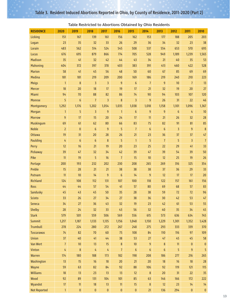<mark>Not Reported | 1 0 0</mark> 0 0 0 0 21 136 294 0 0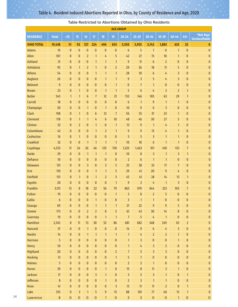| <b>AGE GROUP</b>                                 |                                       |                                                                         |                                                                              |                                                                            |                                                                      |                                                                    |                                                                       |                                                                |                                                    |                                                                   |                                                                             |                                                              |                                                                                  |                                                                         |
|--------------------------------------------------|---------------------------------------|-------------------------------------------------------------------------|------------------------------------------------------------------------------|----------------------------------------------------------------------------|----------------------------------------------------------------------|--------------------------------------------------------------------|-----------------------------------------------------------------------|----------------------------------------------------------------|----------------------------------------------------|-------------------------------------------------------------------|-----------------------------------------------------------------------------|--------------------------------------------------------------|----------------------------------------------------------------------------------|-------------------------------------------------------------------------|
| <b>RESIDENCE</b>                                 | <b>Total</b>                          | <15                                                                     | 15                                                                           | 16                                                                         | 17                                                                   | 18                                                                 | 19                                                                    | $20 - 24$                                                      | $25 - 29$                                          | $30 - 34$                                                         | 35-39                                                                       | $40 - 44$                                                    | $45+$                                                                            | *Not Rep/<br><b>Unclassifiable</b>                                      |
| <b>OHIO TOTAL</b>                                | 19,438                                | 51                                                                      | 92                                                                           | 127                                                                        | 224                                                                  | 496                                                                | 653                                                                   | 5,550                                                          | 5,955                                              | 3,742                                                             | 1,883                                                                       | 633                                                          | 32                                                                               | $\boldsymbol{0}$                                                        |
| <b>Adams</b>                                     | 19                                    | $\pmb{0}$                                                               | $\mathbf{0}$                                                                 | $\pmb{0}$                                                                  | $\pmb{0}$                                                            | $\mathbf{0}$                                                       | $\pmb{0}$                                                             | $6\,$                                                          | 5                                                  | $\overline{7}$                                                    | $\pmb{0}$                                                                   | $\mathbf{1}$                                                 | $\mathbf{0}$                                                                     | $\pmb{0}$                                                               |
| Allen                                            | 107                                   | $\bf{0}$                                                                | $\mathbf{0}$                                                                 | $\overline{2}$                                                             | $\mathbf{1}$                                                         | 4                                                                  | 5                                                                     | 42                                                             | 27                                                 | 15                                                                | 10                                                                          | $\mathbf{1}$                                                 | $\mathbf{0}$                                                                     | $\bf{0}$                                                                |
| <b>Ashland</b>                                   | 31                                    | $\bf{0}$                                                                | $\mathbf{0}$                                                                 | $\mathbf{0}$                                                               | $\mathbf{1}$                                                         | $\mathbf{1}$                                                       | $\mathbf{1}$                                                          | $\overline{9}$                                                 | 11                                                 | $\boldsymbol{6}$                                                  | $\overline{2}$                                                              | $\bf{0}$                                                     | $\mathbf{0}$                                                                     | $\pmb{0}$                                                               |
| Ashtabula                                        | 95                                    | $\pmb{0}$                                                               | $\mathbf{1}$                                                                 | $\overline{2}$                                                             | $\mathbf{1}$                                                         | $\pmb{0}$                                                          | $\overline{2}$                                                        | 29                                                             | 26                                                 | 18                                                                | 11                                                                          | 5                                                            | $\bf{0}$                                                                         | 0                                                                       |
| Athens                                           | 54                                    | $\mathbf{0}$                                                            | $\mathbf{0}$                                                                 | $\bf{0}$                                                                   | $\mathbf{1}$                                                         | $\mathbf{1}$                                                       | $\mathbf{1}$                                                          | 28                                                             | 10                                                 | $\boldsymbol{6}$                                                  | 4                                                                           | $\overline{3}$                                               | $\mathbf{0}$                                                                     | 0                                                                       |
| Auglaize                                         | 26                                    | $\mathbf{0}$                                                            | $\mathbf{0}$                                                                 | $\bf{0}$                                                                   | $\pmb{0}$                                                            | $\mathbf{1}$                                                       | $\mathbf{1}$                                                          | $\overline{9}$                                                 | $\overline{\mathbf{3}}$                            | 5                                                                 | 4                                                                           | $\overline{3}$                                               | $\mathbf{0}$                                                                     | $\bf{0}$                                                                |
| <b>Belmont</b>                                   | 9                                     | $\mathbf{0}$                                                            | $\mathbf{0}$                                                                 | $\mathbf{0}$                                                               | $\bf{0}$                                                             | $\pmb{0}$                                                          | $\mathbf{1}$                                                          | $\mathbf{0}$                                                   | $\overline{1}$                                     | $\mathbf{1}$                                                      | $\bf{0}$                                                                    | $\mathbf{0}$                                                 | $\mathbf{0}$                                                                     | $\bf{0}$                                                                |
| <b>Brown</b>                                     | 23                                    | $\pmb{0}$                                                               | $\mathbf{1}$                                                                 | $\bf{0}$                                                                   | $\pmb{0}$                                                            | $\mathbf{1}$                                                       | $\mathbf{1}$                                                          | 5                                                              | $\boldsymbol{6}$                                   | 4                                                                 | $\overline{2}$                                                              | $\overline{2}$                                               | $\mathbf{1}$                                                                     | $\pmb{0}$                                                               |
| <b>Butler</b>                                    | 545                                   | $\mathbf{1}$                                                            | $\mathbf{1}$                                                                 | 6                                                                          | $\overline{7}$                                                       | 12                                                                 | 21                                                                    | 153                                                            | 146                                                | 105                                                               | 63                                                                          | 29                                                           | $\mathbf{1}$                                                                     | $\bf{0}$                                                                |
| Carroll                                          | 18                                    | $\mathbf{0}$                                                            | $\mathbf{0}$                                                                 | $\mathbf{0}$                                                               | $\pmb{0}$                                                            | $\pmb{0}$                                                          | $\pmb{0}$                                                             | $6\phantom{1}$                                                 | $\mathbf{1}$                                       | $9\,$                                                             | $\mathbf{1}$                                                                | $\mathbf{1}$                                                 | $\mathbf{0}$                                                                     | $\mathbf{0}$                                                            |
| Champaign                                        | 30                                    | $\bf{0}$                                                                | $\mathbf{0}$                                                                 | $\mathbf{1}$                                                               | $\bf{0}$                                                             | $\mathbf{1}$                                                       | $\mathbf{0}$                                                          | 10                                                             | $9\,$                                              | $\boldsymbol{6}$                                                  | 3                                                                           | $\mathbf{0}$                                                 | $\mathbf{0}$                                                                     | 0                                                                       |
| Clark                                            | 198                                   | $\bf{0}$                                                                | $\mathbf{1}$                                                                 | $\mathbf{0}$                                                               | $\boldsymbol{6}$                                                     | 12                                                                 | $\overline{1}$<br>10                                                  | 56<br>48                                                       | 55                                                 | 37<br>30                                                          | 23<br>27                                                                    | $\mathbf{1}$                                                 | $\mathbf{0}$                                                                     | $\bf{0}$                                                                |
| Clermont<br>Clinton                              | 178<br>32                             | $\mathbf{0}$                                                            | $\mathbf{1}$                                                                 | $\mathbf{1}$                                                               | 4                                                                    | $\boldsymbol{6}$                                                   |                                                                       |                                                                | 46                                                 | $\mathbf{1}$                                                      |                                                                             | 5<br>$\mathbf{1}$                                            | $\pmb{0}$<br>$\mathbf{0}$                                                        | 0                                                                       |
| Columbiana                                       | 42                                    | $\mathbf{0}$<br>$\bf{0}$                                                | $\overline{2}$<br>$\mathbf{0}$                                               | $\mathbf{0}$<br>$\mathbf{0}$                                               | $\mathbf{1}$<br>$\mathbf{1}$                                         | $\mathbf{0}$<br>$\overline{2}$                                     | $\mathbf{1}$<br>$\mathbf{1}$                                          | 13<br>$9\,$                                                    | $9\,$<br>$9\,$                                     | 15                                                                | 4<br>4                                                                      | $\mathbf{1}$                                                 | $\mathbf{0}$                                                                     | $\bf{0}$<br>0                                                           |
| Coshocton                                        | 16                                    | $\mathbf{0}$                                                            | $\mathbf{1}$                                                                 | $\mathbf{0}$                                                               | $\pmb{0}$                                                            | $\pmb{0}$                                                          | $\pmb{0}$                                                             | 5                                                              | 5                                                  | $\overline{3}$                                                    | $\mathbf{1}$                                                                | $\mathbf{1}$                                                 | $\mathbf{0}$                                                                     | $\bf{0}$                                                                |
| Crawford                                         | 32                                    | $\mathbf{0}$                                                            | $\mathbf{0}$                                                                 | $\mathbf{1}$                                                               | $\mathbf{1}$                                                         | $\mathbf{1}$                                                       | $\mathbf{1}$                                                          | 10                                                             | 10                                                 | $\boldsymbol{6}$                                                  | $\mathbf{1}$                                                                | $\mathbf{1}$                                                 | $\pmb{0}$                                                                        | 0                                                                       |
| Cuyahoga                                         | 4,523                                 | 11                                                                      | 24                                                                           | 26                                                                         | 46                                                                   | 125                                                                | 150                                                                   | 1,225                                                          | 1,463                                              | 911                                                               | 410                                                                         | 125                                                          | $\overline{7}$                                                                   | $\bf{0}$                                                                |
| <b>Darke</b>                                     | 29                                    | $\mathbf{0}$                                                            | $\mathbf{0}$                                                                 | $\mathbf{1}$                                                               | $\mathbf{1}$                                                         | $\mathbf{1}$                                                       | $\pmb{0}$                                                             | $10$                                                           | $\bf 8$                                            | 3                                                                 | $\mathbf{1}$                                                                | 3                                                            | $\mathbf{1}$                                                                     | $\bf{0}$                                                                |
| <b>Defiance</b>                                  | 10                                    | $\bf{0}$                                                                | $\mathbf{0}$                                                                 | $\mathbf{0}$                                                               | $\mathbf{0}$                                                         | $\pmb{0}$                                                          | $\pmb{0}$                                                             | $\overline{2}$                                                 | $\boldsymbol{6}$                                   | $\mathbf{1}$                                                      | $\mathbf{1}$                                                                | $\mathbf{0}$                                                 | $\mathbf{0}$                                                                     | $\mathbf{0}$                                                            |
| <b>Delaware</b>                                  | 131                                   | $\pmb{0}$                                                               | $\mathbf{0}$                                                                 | 3                                                                          | $\pmb{0}$                                                            | 3                                                                  | 5                                                                     | 25                                                             | 38                                                 | 33                                                                | 17                                                                          | $\overline{7}$                                               | $\pmb{0}$                                                                        | $\bf{0}$                                                                |
| Erie                                             | 110                                   | $\bf{0}$                                                                | $\mathbf{0}$                                                                 | $\mathbf{0}$                                                               | $\mathbf{1}$                                                         | $\mathbf{1}$                                                       | 5                                                                     | 29                                                             | 41                                                 | 20                                                                | $9\,$                                                                       | 4                                                            | $\mathbf{0}$                                                                     | $\bf{0}$                                                                |
| Fairfield                                        | 151                                   | $\pmb{0}$                                                               | $\mathbf{1}$                                                                 | $\mathbf{0}$                                                               | $\mathbf{1}$                                                         | $\overline{2}$                                                     | 5                                                                     | 45                                                             | 41                                                 | 28                                                                | 14                                                                          | 13                                                           | $\mathbf{1}$                                                                     | $\bf{0}$                                                                |
| Fayette                                          | 20                                    | $\bf{0}$                                                                | $\mathbf{0}$                                                                 | $\mathbf{0}$                                                               | $\pmb{0}$                                                            | $\pmb{0}$                                                          | $\mathbf{1}$                                                          | 9                                                              | $\overline{2}$                                     | 4                                                                 | $\mathbf{1}$                                                                | $\overline{3}$                                               | $\pmb{0}$                                                                        | $\pmb{0}$                                                               |
| Franklin                                         | 3,115                                 | 13                                                                      | 8                                                                            | 18                                                                         | 22                                                                   | 56                                                                 | 79                                                                    | 863                                                            | 979                                                | 644                                                               | 323                                                                         | 103                                                          | $\overline{7}$                                                                   | 0                                                                       |
| Fulton                                           | 19                                    | $\mathbf{0}$                                                            | $\mathbf{0}$                                                                 | $\pmb{0}$                                                                  | $\pmb{0}$                                                            | $\pmb{0}$                                                          | $\mathbf{1}$                                                          | 3                                                              | $\boldsymbol{8}$                                   | $\overline{2}$                                                    | 5                                                                           | $\mathbf{0}$                                                 | $\mathbf{0}$                                                                     | $\bf{0}$                                                                |
| Gallia                                           | $6\phantom{1}$                        | $\pmb{0}$                                                               | $\bf{0}$                                                                     | $\mathbf{0}$                                                               | $\mathbf{1}$                                                         | $\pmb{0}$                                                          | $\pmb{0}$                                                             | 3                                                              | $\mathbf{1}$                                       | $\mathbf{1}$                                                      | $\mathbf{0}$                                                                | $\mathbf{0}$                                                 | $\mathbf{0}$                                                                     | $\overline{0}$                                                          |
| Geauga                                           | 69                                    | $\pmb{0}$                                                               | $\bf{0}$                                                                     | $\bf{0}$                                                                   | $\mathbf{1}$                                                         | $\mathbf{1}$                                                       | $\mathbf{1}$                                                          | 21                                                             | 22                                                 | 9                                                                 | 9                                                                           | 5                                                            | $\pmb{0}$                                                                        | 0                                                                       |
| Greene                                           | 173                                   | $\pmb{0}$                                                               | $\pmb{0}$                                                                    | $\overline{2}$                                                             | $\overline{2}$                                                       | $\boldsymbol{8}$                                                   | 5                                                                     | 61                                                             | 43                                                 | 30 <sub>o</sub>                                                   | 14                                                                          | $\boldsymbol{8}$                                             | $\mathbf 0$                                                                      | $\pmb{0}$                                                               |
| Guernsey                                         | 19                                    | $\mathbf{0}$                                                            | $\mathbf{0}$                                                                 | $\mathbf{0}$                                                               | $\pmb{0}$                                                            | $\mathbf{1}$                                                       | $\mathbf{1}$                                                          | $\overline{7}$                                                 | 5                                                  | 4                                                                 | $\mathbf{1}$                                                                | $\mathbf{0}$                                                 | $\mathbf{0}$                                                                     | $\mathbf{0}$                                                            |
| Hamilton                                         | 2,345                                 | 8                                                                       | 11                                                                           | 13                                                                         | 30 <sub>o</sub>                                                      | 52                                                                 | 86                                                                    | 681                                                            | 682                                                | 468                                                               | 249                                                                         | 63                                                           | $\overline{2}$                                                                   | $\pmb{0}$                                                               |
| Hancock                                          | 37                                    | $\pmb{0}$                                                               | $\mathbf{0}$                                                                 | $\mathbf{1}$                                                               | $\pmb{0}$                                                            | $\pmb{0}$                                                          | $\pmb{0}$                                                             | 14                                                             | 9                                                  | $\boldsymbol{6}$                                                  | 4                                                                           | $\overline{3}$                                               | $\pmb{0}$                                                                        | $\mathbf{0}$                                                            |
| <b>Hardin</b>                                    | 14                                    | $\pmb{0}$                                                               | $\mathbf{0}$                                                                 | $\mathbf{1}$                                                               | $\mathbf{1}$                                                         | $\mathbf{1}$                                                       | $\mathbf{1}$                                                          | $\mathbf{1}$                                                   | $\frac{1}{4}$                                      | $\overline{2}$                                                    | $\overline{2}$                                                              | $\mathbf{1}$                                                 | $\pmb{0}$                                                                        | $\pmb{0}$                                                               |
| <b>Harrison</b>                                  | 5                                     | $\pmb{0}$                                                               | $\mathbf{0}$                                                                 | $\pmb{0}$                                                                  | $\pmb{0}$                                                            | $\pmb{0}$                                                          | $\pmb{0}$                                                             | $\mathbf{1}$                                                   | $\overline{3}$                                     | $\pmb{0}$                                                         | $\pmb{0}$                                                                   | $\mathbf{1}$                                                 | $\pmb{0}$                                                                        | $\mathbf{0}$                                                            |
| Henry                                            | 10                                    | $\pmb{0}$                                                               | $\mathbf{0}$                                                                 | $\pmb{0}$                                                                  | $\pmb{0}$                                                            | $\pmb{0}$                                                          | $\pmb{0}$                                                             | $\mathbf{1}$                                                   | $\frac{1}{4}$                                      | 3                                                                 | $\overline{2}$                                                              | $\mathbf{0}$                                                 | $\pmb{0}$                                                                        | $\mathbf{0}$                                                            |
| <b>Highland</b>                                  | 20                                    | $\pmb{0}$                                                               | $\pmb{0}$                                                                    | $\pmb{0}$                                                                  | $\pmb{0}$                                                            | $\pmb{0}$                                                          | $\overline{2}$                                                        | $\overline{7}$                                                 | 5                                                  | $\overline{3}$                                                    | $\overline{3}$                                                              | $\pmb{0}$                                                    | $\pmb{0}$                                                                        | $\bf{0}$                                                                |
| <b>Hocking</b>                                   | 13                                    | $\pmb{0}$                                                               | $\pmb{0}$                                                                    | $\pmb{0}$                                                                  | $\pmb{0}$                                                            | $\pmb{0}$                                                          | $\mathbf{1}$                                                          | 5 <sup>5</sup>                                                 | $\overline{7}$                                     | $\pmb{0}$                                                         | $\pmb{0}$                                                                   | $\mathbf{0}$                                                 | $\pmb{0}$                                                                        | $\pmb{0}$                                                               |
| <b>Holmes</b>                                    | 5                                     | $\pmb{0}$                                                               | $\pmb{0}$                                                                    | $\pmb{0}$                                                                  | $\pmb{0}$                                                            | $\pmb{0}$                                                          | $\pmb{0}$                                                             | $\overline{2}$                                                 | $\overline{2}$                                     | $\mathbf{1}$                                                      | $\pmb{0}$                                                                   | $\pmb{0}$                                                    | $\pmb{0}$                                                                        | $\pmb{0}$                                                               |
| Huron                                            | 39                                    | $\pmb{0}$                                                               | $\pmb{0}$                                                                    | $\pmb{0}$                                                                  | $\pmb{0}$                                                            | $\mathbf{1}$                                                       | $\pmb{0}$                                                             | 15                                                             | $\bf 8$                                            | 11                                                                | $\overline{3}$                                                              | $\mathbf{1}$                                                 | $\pmb{0}$                                                                        | $\pmb{0}$                                                               |
|                                                  |                                       |                                                                         |                                                                              |                                                                            |                                                                      |                                                                    |                                                                       |                                                                |                                                    |                                                                   |                                                                             |                                                              |                                                                                  |                                                                         |
|                                                  |                                       |                                                                         |                                                                              |                                                                            |                                                                      |                                                                    |                                                                       |                                                                |                                                    |                                                                   |                                                                             |                                                              |                                                                                  |                                                                         |
|                                                  |                                       |                                                                         |                                                                              |                                                                            |                                                                      |                                                                    |                                                                       |                                                                |                                                    |                                                                   |                                                                             |                                                              |                                                                                  |                                                                         |
|                                                  |                                       |                                                                         |                                                                              |                                                                            |                                                                      |                                                                    |                                                                       |                                                                |                                                    |                                                                   |                                                                             |                                                              |                                                                                  |                                                                         |
| Jackson<br>Jefferson<br>Knox<br>Lake<br>Lawrence | 17<br>$\bf 8$<br>41<br>355<br>$\,8\,$ | $\pmb{0}$<br>$\pmb{0}$<br>$\pmb{0}$<br>$\pmb{0}$<br>$\mathsf{O}\xspace$ | $\pmb{0}$<br>$\pmb{0}$<br>$\pmb{0}$<br>$\overline{3}$<br>$\mathsf{O}\xspace$ | $\pmb{0}$<br>$\pmb{0}$<br>$\pmb{0}$<br>$\mathbf{1}$<br>$\mathsf{O}\xspace$ | $\overline{3}$<br>$\pmb{0}$<br>$\pmb{0}$<br>5<br>$\mathsf{O}\xspace$ | $\mathbf{1}$<br>$\mathbf{1}$<br>$\pmb{0}$<br>$9\,$<br>$\mathbf{1}$ | $\pmb{0}$<br>$\pmb{0}$<br>$\overline{3}$<br>15<br>$\mathsf{O}\xspace$ | $\overline{3}$<br>$\overline{2}$<br>13<br>88<br>$\overline{3}$ | 5<br>$\overline{3}$<br>11<br>101<br>$\overline{3}$ | $\overline{3}$<br>$\mathbf{1}$<br>11<br>77<br>$\mathsf{O}\xspace$ | $\mathbf{1}$<br>$\mathbf{1}$<br>$\overline{2}$<br>40<br>$\mathsf{O}\xspace$ | $\pmb{0}$<br>$\pmb{0}$<br>$\mathbf{0}$<br>15<br>$\mathbf{1}$ | $\mathbf{1}$<br>$\pmb{0}$<br>$\mathbf{1}$<br>$\mathbf{1}$<br>$\mathsf{O}\xspace$ | $\pmb{0}$<br>$\pmb{0}$<br>$\pmb{0}$<br>$\pmb{0}$<br>$\mathsf{O}\xspace$ |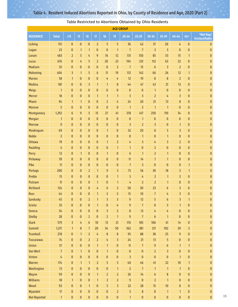| <b>AGE GROUP</b>    |                      |                           |                           |                           |                                |                             |                                           |                             |                      |                                  |                                  |                           |                        |                                    |
|---------------------|----------------------|---------------------------|---------------------------|---------------------------|--------------------------------|-----------------------------|-------------------------------------------|-----------------------------|----------------------|----------------------------------|----------------------------------|---------------------------|------------------------|------------------------------------|
| <b>RESIDENCE</b>    | <b>Total</b>         | <15                       | 15                        | 16                        | 17                             | 18                          | 19                                        | $20 - 24$                   | $25 - 29$            | $30 - 34$                        | 35-39                            | $40 - 44$                 | $45+$                  | *Not Rep/<br><b>Unclassifiable</b> |
| Licking             | 151                  | $\pmb{0}$                 | $\pmb{0}$                 | $\bf{0}$                  | $\overline{2}$                 | 5                           | 5                                         | 36                          | 42                   | 37                               | 20                               | 4                         | $\mathbf{0}$           | $\mathbf{0}$                       |
| Logan               | 23                   | $\pmb{0}$                 | $\mathbf{1}$              | $\mathbf{1}$              | $\bf{0}$                       | $\pmb{0}$                   | $\mathbf{1}$                              | $\overline{7}$              | $\overline{7}$       | 3                                | 3                                | $\pmb{0}$                 | $\mathbf{0}$           | $\pmb{0}$                          |
| Lorain              | 483                  | $\overline{2}$            | 5                         | 4                         | 9                              | 16                          | 12                                        | 131                         | 150                  | 85                               | 53                               | 15                        | $\mathbf{1}$           | $\pmb{0}$                          |
| Lucas               | 676                  | $\mathbf{0}$              | 4                         | 5                         | $\overline{2}$                 | 20                          | 23                                        | 194                         | 231                  | 112                              | 63                               | 22                        | $\pmb{0}$              | $\pmb{0}$                          |
| <b>Madison</b>      | 35                   | $\mathbf{0}$              | $\mathbf{0}$              | $\bf{0}$                  | $\bf{0}$                       | $\bf{0}$                    | $\overline{2}$                            | $\overline{7}$              | 15                   | $6\,$                            | 3                                | $\overline{2}$            | $\pmb{0}$              | $\pmb{0}$                          |
| Mahoning            | 404                  | $\overline{3}$            | $\mathbf{1}$              | 5                         | $\boldsymbol{6}$               | 11                          | 19                                        | 112                         | 142                  | 66                               | 26                               | 12                        | $\mathbf{1}$           | $\pmb{0}$                          |
| <b>Marion</b>       | 58                   | $\mathbf{1}$              | 0                         | $\pmb{0}$                 | $\mathbf{0}$                   | 4                           | 4                                         | 12                          | 19                   | $\bf 8$                          | 8                                | $\overline{2}$            | $\bf{0}$               | $\pmb{0}$                          |
| Medina              | 181                  | $\mathbf{0}$              | $\mathbf{0}$              | 3                         | $\mathbf{1}$                   | $\mathbf{1}$                | 8                                         | 44                          | 47                   | 43                               | 21                               | 13                        | $\mathbf{0}$           | $\pmb{0}$                          |
| <b>Meigs</b>        | $\mathbf{1}$         | $\bf{0}$                  | $\bf{0}$                  | $\mathbf{0}$              | $\pmb{0}$                      | $\pmb{0}$                   | 0                                         | $\mathbf{0}$                | $\pmb{0}$            | $\mathbf{1}$                     | $\pmb{0}$                        | $\bf{0}$                  | $\mathbf{0}$           | $\pmb{0}$                          |
| Mercer              | 18                   | $\pmb{0}$                 | $\mathbf{0}$              | $\pmb{0}$                 | $\mathbf{1}$                   | $\mathbf{1}$                | $\mathbf{1}$                              | 3                           | 3                    | $\overline{2}$                   | 4                                | $\overline{3}$            | $\mathbf{0}$           | $\pmb{0}$                          |
| Miami               | 94                   | $\mathbf{1}$              | $\mathbf{1}$              | $\bf{0}$                  | $\bf{0}$                       | $\overline{2}$              | 4                                         | 24                          | 20                   | 21                               | 13                               | $\bf 8$                   | $\bf{0}$               | $\pmb{0}$                          |
| Monroe              | 5                    | $\bf{0}$                  | $\mathbf{0}$              | $\bf{0}$                  | $\bf{0}$                       | $\bf{0}$                    | 0                                         | $\mathbf{1}$                | $\overline{2}$       | $\mathbf{1}$                     | $\mathbf{1}$                     | $\mathbf{0}$              | $\bf{0}$               | $\pmb{0}$                          |
| Montgomery          | 1,292                | 6                         | $9\,$                     | 5                         | 15                             | 27                          | 41                                        | 378                         | 417                  | 250                              | 110                              | 34                        | $\bf{0}$               | $\pmb{0}$                          |
| Morgan              | $\mathbf{1}$         | $\bf{0}$                  | $\mathbf{0}$              | $\pmb{0}$                 | $\bf{0}$                       | $\bf{0}$                    | 0                                         | $\mathbf{0}$                | $\mathbf{1}$         | $\bf{0}$                         | 0                                | $\mathbf{0}$              | $\bf{0}$               | $\pmb{0}$                          |
| <b>Morrow</b>       | $\overline{9}$       | $\pmb{0}$                 | $\pmb{0}$                 | $\bf{0}$                  | $\pmb{0}$                      | $\bf{0}$                    | $\pmb{0}$                                 | 3                           | $\overline{2}$       | 3                                | 0                                | $\mathbf{1}$              | $\pmb{0}$              | $\pmb{0}$                          |
| Muskingum           | 69                   | $\bf{0}$                  | $\mathbf{0}$              | $\bf{0}$                  | $\pmb{0}$                      | $\mathbf{1}$                | 0                                         | 32                          | 20                   | 8                                | 5                                | $\overline{3}$            | $\pmb{0}$              | $\pmb{0}$                          |
| <b>Noble</b>        | $\overline{2}$       | $\pmb{0}$                 | $\overline{0}$            | $\pmb{0}$                 | $\pmb{0}$                      | $\pmb{0}$                   | $\bf{0}$                                  | $\pmb{0}$                   | $\mathbf{1}$         | 0                                | $\mathbf{1}$                     | $\pmb{0}$                 | $\pmb{0}$              | $\pmb{0}$                          |
| <b>Ottawa</b>       | 19                   | $\pmb{0}$                 | $\mathbf{0}$              | $\bf{0}$                  | $\bf{0}$                       | $\mathbf{1}$                | $\overline{2}$                            | 4                           | 3                    | 4                                | 3                                | $\overline{2}$            | $\bf{0}$               | $\pmb{0}$                          |
| Paulding            | 4                    | $\pmb{0}$                 | $\pmb{0}$                 | $\pmb{0}$                 | $\pmb{0}$                      | $\pmb{0}$                   | $\mathbf{1}$                              | $\mathbf{1}$                | $\pmb{0}$            | $\overline{2}$                   | $\mathbf 0$                      | $\pmb{0}$                 | $\bf{0}$               | $\pmb{0}$                          |
| Perry               | 12                   | $\bf{0}$                  | $\mathbf{1}$              | $\bf{0}$                  | $\bf{0}$                       | $\mathbf{1}$                | 0                                         | $6\phantom{.}6$             | $\mathbf{1}$         | $\overline{2}$                   | $\mathbf{1}$                     | $\bf{0}$                  | $\pmb{0}$              | $\pmb{0}$                          |
| Pickaway            | 39                   | $\bf{0}$                  | $\mathbf{0}$              | $\pmb{0}$                 | $\pmb{0}$                      | $\pmb{0}$                   | $\bf{0}$                                  | 11                          | 14                   | $\overline{7}$                   | $\overline{7}$                   | $\mathbf{0}$              | $\pmb{0}$              | $\pmb{0}$                          |
| Pike                | 11                   | $\bf{0}$                  | $\bf{0}$                  | $\pmb{0}$                 | $\pmb{0}$                      | $\bf{0}$                    | 0                                         | $\overline{7}$              | 3                    | 0                                | 0                                | $\mathbf{0}$              | $\mathbf{1}$           | $\pmb{0}$                          |
| Portage             | 200                  | $\bf{0}$                  | $\bf{0}$                  | $\overline{2}$            | $\mathbf{1}$                   | $9\,$                       | 3                                         | 75                          | 56                   | 30                               | 18                               | 5                         | $\mathbf{1}$           | $\pmb{0}$                          |
| Preble              | 15                   | $\bf{0}$                  | $\bf{0}$                  | $\bf{0}$                  | $\bf{0}$                       | $\bf{0}$                    | $\mathbf{1}$                              | 5                           | 4                    | $\overline{2}$                   | $\mathbf{1}$                     | $\overline{2}$            | $\bf{0}$               | $\pmb{0}$                          |
| Putnam              | 11                   | $\mathbf{0}$              | $\mathbf{0}$              | $\bf{0}$                  | $\mathbf{1}$                   | $\mathbf{0}$                | $\mathbf{1}$                              | 4                           | $\overline{2}$       | $\overline{2}$                   | $\mathbf{1}$                     | $\mathbf{0}$              | $\bf{0}$               | $\pmb{0}$                          |
| Richland            | 124                  | $\mathbf{0}$              | $\mathbf{0}$              | $\mathbf{0}$              | 4                              | $\boldsymbol{6}$            | $\overline{2}$                            | 50                          | 30                   | 23                               | 6                                | 3                         | $\mathbf{0}$           | $\pmb{0}$                          |
| Ross                | 44                   | $\pmb{0}$                 | $\mathbf{0}$              | $\pmb{0}$                 | $\mathbf{1}$                   | $\overline{2}$              | $\overline{2}$                            | 15                          | 10                   | $\overline{1}$                   | 4                                | $\overline{3}$            | $\pmb{0}$              | $\pmb{0}$                          |
| Sandusky            | 45                   | $\mathbf{0}$              | $\mathbf{0}$              | $\overline{\mathbf{c}}$   | $\mathbf{1}$                   | 3                           | 3                                         | 9                           | 12                   | 5                                | $6\phantom{1}$                   | 3                         | 1                      | $\mathbf{0}$                       |
| Scioto              | 33                   | $\bf{0}$                  | $\bf{0}$                  | $\pmb{0}$                 | $\mathbf{1}$                   | 0                           | 4                                         | $\overline{9}$              | $\overline{7}$       | $\bf 8$                          | 3                                | $\mathbf{1}$              | $\bf{0}$               | $\mathbf{0}$                       |
| Seneca              | 34                   | $\pmb{0}$                 | $\mathbf{0}$              | $\pmb{0}$                 | $\pmb{0}$                      | 3                           | $\overline{2}$                            | $\bf{8}$                    | 13                   | 4                                | 4                                | $\pmb{0}$                 | $\pmb{0}$              | $\pmb{0}$                          |
| <b>Shelby</b>       | 28                   | $\pmb{0}$                 | $\mathbf{0}$              | $\overline{2}$            | $\pmb{0}$                      | $\overline{2}$              | $\mathbf{1}$                              | $\overline{9}$              | $\overline{7}$       | $6\phantom{a}$                   | $\mathbf{1}$                     | $\mathbf{0}$              | $\pmb{0}$              | $\pmb{0}$                          |
| <b>Stark</b>        | 579                  | 3                         | 4                         | $\boldsymbol{6}$          | 10                             | 13                          | 21                                        | 176                         | 185                  | 106                              | 41                               | 14                        | $\pmb{0}$              | $\pmb{0}$                          |
| <b>Summit</b>       | 1,217                | $\mathbf{1}$              | $\bf 8$                   | $\overline{7}$            | 20                             | 34                          | 50                                        | 362                         | 381                  | 211                              | 102                              | 39                        | $\overline{2}$         | $\pmb{0}$                          |
| <b>Trumbull</b>     | 278                  | $\pmb{0}$                 | $\mathbf{1}$              | $\overline{2}$            | $\frac{1}{4}$                  | $\bf 8$                     | $\bf 8$                                   | 95                          | 88                   | 38                               | 25                               | 9                         | $\pmb{0}$              | $\pmb{0}$                          |
| <b>Tuscarawas</b>   | 74<br>37             | $\pmb{0}$                 | $\pmb{0}$                 | $\overline{2}$            | $\overline{2}$<br>$\mathbf{1}$ | $\frac{1}{4}$               | 3                                         | 24                          | 21                   | 13                               | 5                                | $\pmb{0}$<br>$\mathbf{1}$ | $\pmb{0}$              | $\pmb{0}$                          |
| Union               |                      | $\pmb{0}$                 | $\pmb{0}$                 | $\pmb{0}$                 |                                | $\mathbf{1}$                | $\pmb{0}$                                 | 11                          | $\overline{7}$       | 9                                | $\boldsymbol{6}$                 |                           | $\mathbf{1}$           | $\pmb{0}$                          |
| Van Wert            | $\overline{1}$       | $\pmb{0}$<br>$\pmb{0}$    | $\mathbf{1}$              | $\pmb{0}$                 | $\pmb{0}$                      | $\mathbf{1}$                | $\pmb{0}$                                 | $\pmb{0}$<br>$\overline{3}$ | $\pmb{0}$            | $\overline{2}$                   | 3                                | $\pmb{0}$<br>$\mathbf{1}$ | $\pmb{0}$              | $\pmb{0}$                          |
| Vinton              | $\frac{1}{4}$<br>174 |                           | $\pmb{0}$                 | $\bf{0}$                  | $\pmb{0}$                      | $\pmb{0}$                   | $\pmb{0}$                                 |                             | $\pmb{0}$            | $\pmb{0}$                        | $\pmb{0}$                        |                           | $\pmb{0}$              | $\pmb{0}$                          |
| Warren              | 13                   | $\mathbf{0}$              | $\mathbf{1}$              | $\mathbf{1}$              | $\overline{2}$<br>$\pmb{0}$    | 5                           | 5                                         | $40\,$                      | 46                   | 41                               | 22                               | 10<br>$\mathbf{1}$        | $\mathbf{1}$           | $\pmb{0}$<br>$\pmb{0}$             |
| Washington<br>Wayne | 59                   | $\pmb{0}$<br>$\pmb{0}$    | $\pmb{0}$<br>$\mathbf{0}$ | $\pmb{0}$<br>$\pmb{0}$    | $\mathbf{1}$                   | $\pmb{0}$<br>$\overline{2}$ | $\mathbf{1}$<br>$\overline{2}$            | $\overline{2}$<br>26        | $\overline{7}$<br>14 | $\mathbf{1}$<br>$\boldsymbol{6}$ | $\mathbf{1}$<br>$\boldsymbol{8}$ | $\pmb{0}$                 | $\pmb{0}$<br>$\pmb{0}$ | $\pmb{0}$                          |
| <b>Williams</b>     | 18                   |                           |                           | $\mathbf 0$               |                                | $\overline{2}$              | $\overline{2}$                            | $\overline{9}$              |                      | $\overline{2}$                   | $\mathbf{1}$                     |                           |                        | $\pmb{0}$                          |
|                     | 92                   | $\mathbf{1}$              | $\pmb{0}$                 |                           | $\mathbf{1}$                   |                             |                                           |                             | $\pmb{0}$            |                                  |                                  | $\pmb{0}$                 | $\pmb{0}$              |                                    |
| Wood<br>Wyandot     | 17                   | $\mathbf{0}$<br>$\pmb{0}$ | $\mathbf{0}$<br>$\bf{0}$  | $\mathbf{1}$<br>$\pmb{0}$ | $\mathbf{0}$<br>$\pmb{0}$      | 5<br>$\pmb{0}$              | $\overline{\mathbf{3}}$<br>$\overline{2}$ | 22<br>5                     | 28<br>$\bf 8$        | 15<br>$\pmb{0}$                  | $10\,$<br>$\mathbf{1}$           | $\bf 8$<br>$\mathbf{1}$   | $\bf{0}$<br>$\pmb{0}$  | $\pmb{0}$<br>$\pmb{0}$             |
|                     |                      |                           |                           |                           |                                |                             |                                           |                             |                      |                                  |                                  |                           |                        |                                    |
| <b>Not Reported</b> | $\mathbf{1}$         | $\pmb{0}$                 | $\bf{0}$                  | $\mathbf{0}$              | $\pmb{0}$                      | $\pmb{0}$                   | $\mathbf 0$                               | $\mathbf{1}$                | $\pmb{0}$            | $\mathbf 0$                      | $\mathbf 0$                      | $\pmb{0}$                 | $\pmb{0}$              | $\pmb{0}$                          |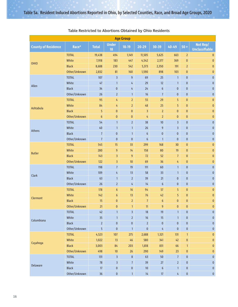| <b>Age Group</b>           |               |                |                         |                |                  |                  |                |                |                                   |  |  |  |
|----------------------------|---------------|----------------|-------------------------|----------------|------------------|------------------|----------------|----------------|-----------------------------------|--|--|--|
| <b>County of Residence</b> | Race*         | <b>Total</b>   | <b>Under</b><br>18      | $18-19$        | $20 - 29$        | 30-39            | 40-49          | $50+$          | Not Rep/<br><b>Unclassifiable</b> |  |  |  |
|                            | <b>TOTAL</b>  | 19,438         | 494                     | 1,149          | 11,505           | 5,625            | 663            | $\overline{2}$ | $\mathbf{0}$                      |  |  |  |
| <b>OHIO</b>                | White         | 7,918          | 183                     | 447            | 4,542            | 2,377            | 369            | $\pmb{0}$      | $\bf{0}$                          |  |  |  |
|                            | <b>Black</b>  | 8,688          | 230                     | 542            | 5,373            | 2,350            | 191            | $\overline{2}$ | $\pmb{0}$                         |  |  |  |
|                            | Other/Unknown | 2,832          | 81                      | 160            | 1,590            | 898              | 103            | $\bf{0}$       | $\bf{0}$                          |  |  |  |
|                            | <b>TOTAL</b>  | 107            | $\overline{\mathbf{3}}$ | 9              | 69               | 25               | $\mathbf{1}$   | $\pmb{0}$      | $\bf{0}$                          |  |  |  |
| Allen                      | White         | 47             | $\mathbf{1}$            | 4              | 29               | 12               | $\mathbf{1}$   | $\mathbf{0}$   | 0                                 |  |  |  |
|                            | <b>Black</b>  | 34             | $\pmb{0}$               | 4              | 24               | $6\phantom{1}$   | $\pmb{0}$      | $\mathbf{0}$   | $\pmb{0}$                         |  |  |  |
|                            | Other/Unknown | 26             | $\overline{2}$          | $\mathbf{1}$   | 16               | $\overline{7}$   | $\pmb{0}$      | $\pmb{0}$      | $\pmb{0}$                         |  |  |  |
|                            | <b>TOTAL</b>  | 95             | 4                       | $\overline{2}$ | 55               | 29               | 5              | $\pmb{0}$      | $\bf{0}$                          |  |  |  |
|                            | White         | 84             | 4                       | $\overline{2}$ | $48\,$           | 25               | 5              | $\pmb{0}$      | $\bf{0}$                          |  |  |  |
| Ashtabula                  | <b>Black</b>  | 5              | $\bf{0}$                | $\mathbf{0}$   | $\overline{3}$   | $\overline{2}$   | $\bf{0}$       | $\mathbf{0}$   | $\mathbf{0}$                      |  |  |  |
|                            | Other/Unknown | $6\phantom{1}$ | $\bf{0}$                | $\bf{0}$       | 4                | $\overline{2}$   | $\bf{0}$       | $\mathbf{0}$   | $\pmb{0}$                         |  |  |  |
|                            | <b>TOTAL</b>  | 54             | $\mathbf{1}$            | $\overline{2}$ | 38               | $10$             | $\overline{3}$ | $\pmb{0}$      | $\pmb{0}$                         |  |  |  |
|                            | White         | $40$           | $\mathbf{1}$            | $\mathbf{1}$   | 26               | $\overline{9}$   | $\overline{3}$ | $\mathbf 0$    | $\pmb{0}$                         |  |  |  |
| Athens                     | <b>Black</b>  | $\overline{7}$ | $\pmb{0}$               | $\mathbf{1}$   | $\boldsymbol{6}$ | $\pmb{0}$        | $\pmb{0}$      | $\pmb{0}$      | $\pmb{0}$                         |  |  |  |
|                            | Other/Unknown | $\overline{7}$ | $\mathbf{0}$            | $\pmb{0}$      | 6                | $\mathbf{1}$     | $\mathbf{0}$   | $\mathbf 0$    | $\mathbf 0$                       |  |  |  |
|                            | <b>TOTAL</b>  | 545            | 15                      | 33             | 299              | 168              | 30             | $\bf{0}$       | $\pmb{0}$                         |  |  |  |
|                            | White         | 280            | 9                       | 14             | 158              | 80               | 19             | $\pmb{0}$      | $\pmb{0}$                         |  |  |  |
| <b>Butler</b>              | <b>Black</b>  | 143            | $\overline{3}$          | 9              | 72               | 52               | $\overline{7}$ | $\mathbf{0}$   | $\bf{0}$                          |  |  |  |
|                            | Other/Unknown | 122            | $\overline{\mathbf{3}}$ | $10$           | 69               | 36               | 4              | $\mathbf 0$    | $\pmb{0}$                         |  |  |  |
|                            | <b>TOTAL</b>  | 198            | $\overline{7}$          | 19             | $111$            | 60               | $\mathbf{1}$   | $\mathbf 0$    | $\pmb{0}$                         |  |  |  |
|                            | White         | 109            | 4                       | 13             | 58               | 33               | $\mathbf{1}$   | $\bf{0}$       | $\pmb{0}$                         |  |  |  |
| Clark                      | <b>Black</b>  | 63             | $\mathbf{1}$            | $\overline{2}$ | 39               | 21               | $\bf{0}$       | $\mathbf 0$    | $\bf{0}$                          |  |  |  |
|                            | Other/Unknown | 26             | $\overline{2}$          | 4              | 14               | $6\phantom{1}$   | $\mathbf{0}$   | $\pmb{0}$      | $\pmb{0}$                         |  |  |  |
|                            | <b>TOTAL</b>  | 178            | $6\phantom{1}$          | 16             | 94               | 57               | 5              | $\mathbf 0$    | $\pmb{0}$                         |  |  |  |
|                            | White         | 142            | $6\phantom{1}$          | 13             | 76               | 42               | 5              | $\mathbf 0$    | $\pmb{0}$                         |  |  |  |
| Clermont                   | <b>Black</b>  | 15             | $\pmb{0}$               | $\overline{2}$ | $\overline{7}$   | $\boldsymbol{6}$ | $\bf{0}$       | $\bf{0}$       | $\pmb{0}$                         |  |  |  |
|                            | Other/Unknown | 21             | $\bf{0}$                | $\mathbf{1}$   | $11\,$           | 9                | $\bf{0}$       | $\bf{0}$       | $\bf{0}$                          |  |  |  |
|                            | <b>TOTAL</b>  | 42             | $\mathbf{1}$            | $\overline{3}$ | $18\,$           | 19               | $\mathbf{1}$   | $\pmb{0}$      | $\pmb{0}$                         |  |  |  |
|                            | White         | 35             | $\mathbf{1}$            | $\overline{2}$ | 16               | 15               | $\mathbf{1}$   | $\pmb{0}$      | $\pmb{0}$                         |  |  |  |
| Columbiana                 | <b>Black</b>  | $\overline{2}$ | $\pmb{0}$               | $\bf{0}$       | $\overline{2}$   | $\pmb{0}$        | $\pmb{0}$      | $\pmb{0}$      | $\pmb{0}$                         |  |  |  |
|                            | Other/Unknown | $\overline{5}$ | $\bf{0}$                | $\mathbf{1}$   | $\pmb{0}$        | $\frac{1}{4}$    | $\mathbf 0$    | $\bf{0}$       | $\pmb{0}$                         |  |  |  |
|                            | <b>TOTAL</b>  | 4,523          | 107                     | 275            | 2,688            | 1,321            | 131            | $\mathbf{1}$   | $\bf{0}$                          |  |  |  |
|                            | White         | 1,022          | 13                      | 46             | 580              | 341              | 42             | $\pmb{0}$      | $\pmb{0}$                         |  |  |  |
| Cuyahoga                   | <b>Black</b>  | 3,003          | $\bf 84$                | 203            | 1,818            | 831              | 66             | $\mathbf{1}$   | $\pmb{0}$                         |  |  |  |
|                            | Other/Unknown | 498            | $10$                    | 26             | 290              | 149              | 23             | 0              | $\pmb{0}$                         |  |  |  |
|                            | <b>TOTAL</b>  | 131            | $\overline{\mathbf{3}}$ | 8              | 63               | $50\,$           | $\overline{7}$ | $\pmb{0}$      | $\pmb{0}$                         |  |  |  |
|                            | White         | 78             | $\overline{\mathbf{3}}$ | $\overline{7}$ | 39               | 27               | $\overline{2}$ | 0              | $\pmb{0}$                         |  |  |  |
| Delaware                   | <b>Black</b>  | $17\,$         | $\bf{0}$                | $\mathbf 0$    | $10\,$           | $\boldsymbol{6}$ | $\mathbf{1}$   | $\pmb{0}$      | $\pmb{0}$                         |  |  |  |
|                            | Other/Unknown | $36\,$         | $\pmb{0}$               | $\mathbf{1}$   | 14               | $17\,$           | $\frac{1}{4}$  | $\pmb{0}$      | $\pmb{0}$                         |  |  |  |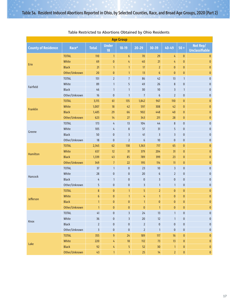| <b>Age Group</b>           |               |                         |                    |                         |                         |                  |                |              |                                   |  |  |  |  |
|----------------------------|---------------|-------------------------|--------------------|-------------------------|-------------------------|------------------|----------------|--------------|-----------------------------------|--|--|--|--|
| <b>County of Residence</b> | Race*         | <b>Total</b>            | <b>Under</b><br>18 | $18 - 19$               | $20 - 29$               | 30-39            | 40-49          | $50+$        | Not Rep/<br><b>Unclassifiable</b> |  |  |  |  |
|                            | <b>TOTAL</b>  | 110                     | $\mathbf{1}$       | $\boldsymbol{6}$        | 70                      | 29               | 4              | $\mathbf{0}$ | 0                                 |  |  |  |  |
| Erie                       | White         | 69                      | $\pmb{0}$          | 4                       | $40$                    | 21               | 4              | $\mathbf{0}$ | $\pmb{0}$                         |  |  |  |  |
|                            | <b>Black</b>  | 21                      | $\mathbf{1}$       | $\mathbf{1}$            | 17                      | $\overline{2}$   | $\mathbf{0}$   | $\mathbf{0}$ | $\pmb{0}$                         |  |  |  |  |
|                            | Other/Unknown | 20                      | $\pmb{0}$          | $\mathbf{1}$            | 13                      | $\boldsymbol{6}$ | $\pmb{0}$      | $\mathbf{0}$ | $\pmb{0}$                         |  |  |  |  |
|                            | <b>TOTAL</b>  | 151                     | $\overline{2}$     | $\overline{7}$          | 86                      | 42               | 13             | $\mathbf{1}$ | $\mathbf 0$                       |  |  |  |  |
|                            | White         | 89                      | $\mathbf{1}$       | 5                       | 49                      | 26               | 8              | $\pmb{0}$    | $\bf{0}$                          |  |  |  |  |
| Fairfield                  | <b>Black</b>  | 46                      | $\mathbf{1}$       | $\mathbf{1}$            | 30                      | 10               | 3              | $\mathbf{1}$ | $\pmb{0}$                         |  |  |  |  |
|                            | Other/Unknown | 16                      | $\pmb{0}$          | $\mathbf{1}$            | $\overline{7}$          | $6\phantom{1}$   | $\overline{2}$ | $\pmb{0}$    | $\pmb{0}$                         |  |  |  |  |
|                            | <b>TOTAL</b>  | 3,115                   | 61                 | 135                     | 1,842                   | 967              | 110            | $\pmb{0}$    | $\pmb{0}$                         |  |  |  |  |
| Franklin                   | White         | 1,007                   | 18                 | 42                      | 597                     | 308              | 42             | $\mathbf{0}$ | $\pmb{0}$                         |  |  |  |  |
|                            | <b>Black</b>  | 1,485                   | 29                 | 66                      | 902                     | 448              | $40$           | $\mathbf{0}$ | $\pmb{0}$                         |  |  |  |  |
|                            | Other/Unknown | 623                     | 14                 | 27                      | 343                     | 211              | 28             | $\mathbf{0}$ | $\mathbf{0}$                      |  |  |  |  |
|                            | <b>TOTAL</b>  | 173                     | 4                  | 13                      | 104                     | 44               | $\bf 8$        | $\pmb{0}$    | $\pmb{0}$                         |  |  |  |  |
|                            | White         | 105                     | 4                  | $\,8\,$                 | 57                      | 31               | 5              | $\pmb{0}$    | $\pmb{0}$                         |  |  |  |  |
| Greene                     | <b>Black</b>  | 50                      | 0                  | $\overline{\mathbf{3}}$ | 41                      | 3                | 3              | $\pmb{0}$    | $\pmb{0}$                         |  |  |  |  |
|                            | Other/Unknown | 18                      | $\mathbf 0$        | $\overline{2}$          | 6                       | 10               | $\mathbf{0}$   | $\pmb{0}$    | $\pmb{0}$                         |  |  |  |  |
|                            | <b>TOTAL</b>  | 2,345                   | 62                 | 138                     | 1,363                   | 717              | 65             | $\mathbf{0}$ | $\pmb{0}$                         |  |  |  |  |
|                            | White         | 657                     | 12                 | 31                      | 379                     | 204              | 31             | $\mathbf{0}$ | $\pmb{0}$                         |  |  |  |  |
| Hamilton                   | <b>Black</b>  | 1,339                   | 43                 | 85                      | 789                     | 399              | 23             | $\pmb{0}$    | $\pmb{0}$                         |  |  |  |  |
|                            | Other/Unknown | 349                     | $\overline{7}$     | 22                      | 195                     | 114              | 11             | $\mathbf{0}$ | $\pmb{0}$                         |  |  |  |  |
|                            | <b>TOTAL</b>  | 37                      | $\mathbf{1}$       | $\pmb{0}$               | 23                      | $10$             | $\overline{3}$ | $\mathbf 0$  | $\pmb{0}$                         |  |  |  |  |
|                            | White         | 28                      | 0                  | $\bf{0}$                | $20\,$                  | $6\phantom{1}$   | $\overline{2}$ | 0            | $\pmb{0}$                         |  |  |  |  |
| Hancock                    | <b>Black</b>  | $\overline{4}$          | $\mathbf{1}$       | $\pmb{0}$               | $\pmb{0}$               | $\overline{3}$   | $\mathbf{0}$   | $\mathbf 0$  | $\pmb{0}$                         |  |  |  |  |
|                            | Other/Unknown | 5                       | 0                  | $\pmb{0}$               | $\overline{\mathbf{3}}$ | $\mathbf{1}$     | $\mathbf{1}$   | 0            | $\pmb{0}$                         |  |  |  |  |
|                            | <b>TOTAL</b>  | $\bf 8$                 | $\mathbf{0}$       | $\mathbf{1}$            | 5                       | $\overline{2}$   | $\bf{0}$       | $\mathbf{0}$ | $\pmb{0}$                         |  |  |  |  |
|                            | White         | $\boldsymbol{6}$        | $\pmb{0}$          | $\mathbf{1}$            | 4                       | $\mathbf{1}$     | $\mathbf{0}$   | $\mathbf{0}$ | $\pmb{0}$                         |  |  |  |  |
| Jefferson                  | <b>Black</b>  | $\mathbf{1}$            | $\mathbf{0}$       | $\pmb{0}$               | $\mathbf{1}$            | $\bf{0}$         | $\bf{0}$       | $\bf{0}$     | $\pmb{0}$                         |  |  |  |  |
|                            | Other/Unknown | $\mathbf{1}$            | $\mathbf{0}$       | $\bf{0}$                | $\mathbf{0}$            | $\mathbf{1}$     | $\overline{0}$ | $\mathbf{0}$ | $\pmb{0}$                         |  |  |  |  |
|                            | <b>TOTAL</b>  | 41                      | 0                  | 3                       | 24                      | 13               | $\mathbf{1}$   | 0            | $\mathbf 0$                       |  |  |  |  |
|                            | White         | $36$                    | 0                  | $\overline{\mathbf{3}}$ | $20\,$                  | 12               | $\mathbf{1}$   | $\pmb{0}$    | $\pmb{0}$                         |  |  |  |  |
| Knox                       | <b>Black</b>  | $\overline{2}$          | 0                  | $\pmb{0}$               | $\overline{2}$          | $\pmb{0}$        | 0              | $\pmb{0}$    | $\pmb{0}$                         |  |  |  |  |
|                            | Other/Unknown | $\overline{\mathbf{3}}$ | $\pmb{0}$          | $\pmb{0}$               | $\overline{2}$          | $\mathbf{1}$     | $\pmb{0}$      | 0            | $\pmb{0}$                         |  |  |  |  |
|                            | <b>TOTAL</b>  | 355                     | 9                  | $24$                    | 189                     | $117$            | $16\,$         | $\pmb{0}$    | $\pmb{0}$                         |  |  |  |  |
|                            | White         | 220                     | 4                  | 18                      | $112$                   | 73               | 13             | $\mathbf{0}$ | $\pmb{0}$                         |  |  |  |  |
| Lake                       | <b>Black</b>  | 92                      | 4                  | $\overline{5}$          | 52                      | 30 <sub>o</sub>  | $\mathbf{1}$   | $\mathbf{0}$ | $\pmb{0}$                         |  |  |  |  |
|                            | Other/Unknown | 43                      | $\mathbf{1}$       | $\mathbf{1}$            | 25 <sub>1</sub>         | 14               | $\overline{2}$ | $\pmb{0}$    | $\pmb{0}$                         |  |  |  |  |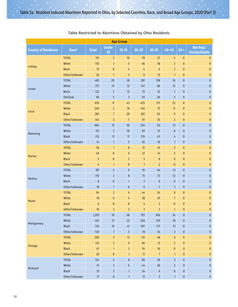|                            |               |                  |                         | <b>Age Group</b>        |                  |                |                         |              |                                   |
|----------------------------|---------------|------------------|-------------------------|-------------------------|------------------|----------------|-------------------------|--------------|-----------------------------------|
| <b>County of Residence</b> | Race*         | <b>Total</b>     | <b>Under</b><br>18      | $18-19$                 | $20 - 29$        | 30-39          | 40-49                   | $50+$        | Not Rep/<br><b>Unclassifiable</b> |
|                            | <b>TOTAL</b>  | 151              | $\overline{2}$          | 10                      | 78               | 57             | 4                       | $\bf{0}$     | $\bf{0}$                          |
| Licking                    | White         | 110              | $\mathbf{1}$            | $\overline{\mathbf{3}}$ | 66               | 38             | $\overline{2}$          | $\bf{0}$     | $\bf{0}$                          |
|                            | <b>Black</b>  | 15               | $\mathbf{0}$            | 4                       | 4                | $6\phantom{1}$ | $\mathbf{1}$            | $\bf{0}$     | $\pmb{0}$                         |
|                            | Other/Unknown | 26               | $\mathbf{1}$            | $\overline{\mathbf{3}}$ | $\bf 8$          | 13             | $\mathbf{1}$            | $\bf{0}$     | $\pmb{0}$                         |
|                            | <b>TOTAL</b>  | 483              | 20                      | 28                      | 281              | 138            | 16                      | $\mathbf 0$  | $\pmb{0}$                         |
| Lorain                     | White         | 271              | 13                      | 13                      | 147              | 86             | 12                      | $\pmb{0}$    | $\pmb{0}$                         |
|                            | <b>Black</b>  | 122              | $\overline{2}$          | 12                      | 75               | 32             | $\mathbf{1}$            | $\pmb{0}$    | $\pmb{0}$                         |
|                            | Oth/Unk       | 90               | 5                       | $\overline{\mathbf{3}}$ | 59               | 20             | $\overline{3}$          | $\mathbf 0$  | $\pmb{0}$                         |
|                            | <b>TOTAL</b>  | 676              | 11                      | 43                      | 425              | 175            | 22                      | $\bf{0}$     | $\pmb{0}$                         |
| Lucas                      | White         | 250              | $\overline{2}$          | 16                      | 146              | 75             | 11                      | $\bf{0}$     | $\pmb{0}$                         |
|                            | <b>Black</b>  | 283              | $\overline{7}$          | 20                      | 182              | 65             | 9                       | $\mathbf{0}$ | $\pmb{0}$                         |
|                            | Other/Unknown | 143              | $\overline{2}$          | $\overline{7}$          | 97               | 35             | $\overline{2}$          | $\mathbf{0}$ | $\mathbf{0}$                      |
|                            | <b>TOTAL</b>  | 404              | 15                      | 30                      | 254              | 92             | 13                      | $\mathbf 0$  | $\pmb{0}$                         |
| Mahoning                   | White         | 151              | $\overline{\mathbf{3}}$ | $10$                    | 93               | 37             | $\bf 8$                 | $\pmb{0}$    | $\pmb{0}$                         |
|                            | <b>Black</b>  | 212              | 11                      | 17                      | 135              | 45             | 4                       | $\mathbf 0$  | $\pmb{0}$                         |
|                            | Other/Unknown | 41               | $\mathbf{1}$            | $\overline{3}$          | 26               | 10             | $\mathbf{1}$            | $\pmb{0}$    | $\pmb{0}$                         |
|                            | <b>TOTAL</b>  | 58               | $\mathbf{1}$            | 8                       | 31               | 16             | $\overline{2}$          | $\mathbf{0}$ | $\pmb{0}$                         |
| <b>Marion</b>              | White         | 49               | $\mathbf{0}$            | $\boldsymbol{6}$        | 27               | 14             | $\overline{2}$          | $\mathbf{0}$ | $\pmb{0}$                         |
|                            | <b>Black</b>  | 5                | $\mathbf 0$             | $\overline{2}$          | 3                | $\pmb{0}$      | $\bf{0}$                | $\bf{0}$     | $\pmb{0}$                         |
|                            | Other/Unknown | 4                | $\mathbf{1}$            | $\mathbf{0}$            | $\mathbf{1}$     | $\overline{2}$ | $\mathbf{0}$            | $\bf{0}$     | $\pmb{0}$                         |
|                            | <b>TOTAL</b>  | 181              | 4                       | $\overline{9}$          | 91               | 64             | 13                      | $\pmb{0}$    | $\pmb{0}$                         |
| Medina                     | White         | 155              | $\overline{3}$          | 8                       | 75               | 57             | 12                      | $\mathbf 0$  | $\pmb{0}$                         |
|                            | <b>Black</b>  | $\bf 8$          | $\mathbf{0}$            | $\mathbf{1}$            | $\overline{7}$   | $\bf{0}$       | $\mathbf{0}$            | $\pmb{0}$    | $\pmb{0}$                         |
|                            | Other/Unknown | 18               | $\mathbf{1}$            | $\pmb{0}$               | $\boldsymbol{9}$ | $\overline{1}$ | $\mathbf{1}$            | $\pmb{0}$    | $\pmb{0}$                         |
|                            | <b>TOTAL</b>  | 94               | $\overline{2}$          | $\boldsymbol{6}$        | 44               | 34             | $\boldsymbol{8}$        | $\pmb{0}$    | $\pmb{0}$                         |
| Miami                      | White         | 78               | $\mathbf{0}$            | 4                       | 38               | 29             | $\overline{7}$          | $\bf{0}$     | $\pmb{0}$                         |
|                            | <b>Black</b>  | $6\phantom{1}$   | $\mathbf{0}$            | $\mathbf{0}$            | 4                | $\overline{2}$ | $\bf{0}$                | $\mathbf 0$  | $\pmb{0}$                         |
|                            | Other/Unknown | 10               | $\overline{2}$          | $\overline{2}$          | $\overline{2}$   | $\overline{3}$ | $\mathbf{1}$            | $\mathbf{0}$ | $\pmb{0}$                         |
|                            | <b>TOTAL</b>  | 1,292            | 35                      | 68                      | 795              | 360            | 34                      | $\pmb{0}$    | $\pmb{0}$                         |
| Montgomery                 | White         | 401              | 12                      | 22                      | 220              | 129            | $18\,$                  | $\pmb{0}$    | $\pmb{0}$                         |
|                            | <b>Black</b>  | 742              | 16                      | 41                      | 497              | $175$          | 13                      | $\pmb{0}$    | $\pmb{0}$                         |
|                            | Other/Unknown | 149              | $\overline{7}$          | 5                       | ${\bf 78}$       | 56             | $\overline{\mathbf{3}}$ | $\pmb{0}$    | $\pmb{0}$                         |
|                            | <b>TOTAL</b>  | 200              | $\overline{3}$          | $12$                    | 131              | 48             | $\boldsymbol{6}$        | $\pmb{0}$    | $\pmb{0}$                         |
|                            | White         | 133              | $\overline{2}$          | 9                       | 86               | 31             | 5                       | $\mathbf 0$  | $\pmb{0}$                         |
| Portage                    | <b>Black</b>  | 47               | $\mathbf{1}$            | $\overline{2}$          | 34               | $10\,$         | $\pmb{0}$               | $\pmb{0}$    | $\pmb{0}$                         |
|                            | Other/Unknown | $20$             | $\pmb{0}$               | $\mathbf{1}$            | 11               | $\overline{1}$ | $\mathbf{1}$            | $\pmb{0}$    | $\pmb{0}$                         |
|                            | <b>TOTAL</b>  | 124              | 4                       | $\bf 8$                 | 80               | 29             | 3                       | $\pmb{0}$    | $\pmb{0}$                         |
|                            | White         | 74               | $\overline{2}$          | $\boldsymbol{6}$        | $44$             | $20\,$         | $\overline{2}$          | $\pmb{0}$    | $\pmb{0}$                         |
| Richland                   | <b>Black</b>  | 33               | $\overline{2}$          | $\mathbf{1}$            | $24$             | $6\phantom{.}$ | $\pmb{0}$               | $\pmb{0}$    | $\pmb{0}$                         |
|                            | Other/Unknown | $17\phantom{.0}$ | $\pmb{0}$               | $\mathbf{1}$            | 12 <sup>°</sup>  | $\overline{3}$ | $\mathbf{1}$            | $\pmb{0}$    | $\pmb{0}$                         |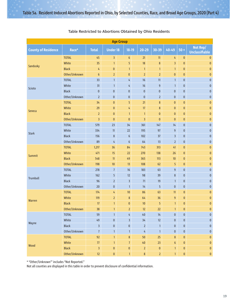| <b>Age Group</b>           |               |                         |                 |                         |                 |                |                  |              |                                   |  |  |  |  |
|----------------------------|---------------|-------------------------|-----------------|-------------------------|-----------------|----------------|------------------|--------------|-----------------------------------|--|--|--|--|
| <b>County of Residence</b> | Race*         | <b>Total</b>            | <b>Under 18</b> | $18-19$                 | $20 - 29$       | $30 - 39$      | 40-49            | $50 +$       | Not Rep/<br><b>Unclassifiable</b> |  |  |  |  |
|                            | <b>TOTAL</b>  | 45                      | $\overline{3}$  | $\boldsymbol{6}$        | 21              | 11             | 4                | $\bf{0}$     | $\bf{0}$                          |  |  |  |  |
| Sandusky                   | White         | 35                      | $\mathbf{1}$    | 5                       | 18              | $\bf 8$        | 3                | $\mathbf{0}$ | $\pmb{0}$                         |  |  |  |  |
|                            | <b>Black</b>  | 4                       | $\pmb{0}$       | $\mathbf{1}$            | $\mathbf{1}$    | $\mathbf{1}$   | $\mathbf{1}$     | $\bf{0}$     | $\pmb{0}$                         |  |  |  |  |
|                            | Other/Unknown | $6\phantom{1}$          | $\overline{2}$  | $\mathbf{0}$            | $\overline{2}$  | $\overline{2}$ | $\mathbf{0}$     | $\mathbf{0}$ | $\pmb{0}$                         |  |  |  |  |
|                            | <b>TOTAL</b>  | 33                      | $\mathbf{1}$    | 4                       | 16              | 11             | $\mathbf{1}$     | $\pmb{0}$    | $\pmb{0}$                         |  |  |  |  |
| Scioto                     | White         | 31                      | $\mathbf{1}$    | 4                       | 16              | 9              | $\mathbf{1}$     | $\mathbf 0$  | $\pmb{0}$                         |  |  |  |  |
|                            | <b>Black</b>  | $\mathbf{0}$            | $\pmb{0}$       | $\mathbf{0}$            | $\pmb{0}$       | $\pmb{0}$      | $\mathbf{0}$     | $\pmb{0}$    | $\pmb{0}$                         |  |  |  |  |
|                            | Other/Unknown | $\overline{2}$          | $\pmb{0}$       | $\mathbf{0}$            | $\pmb{0}$       | $\overline{2}$ | $\pmb{0}$        | $\mathbf 0$  | $\pmb{0}$                         |  |  |  |  |
|                            | <b>TOTAL</b>  | 34                      | $\bf{0}$        | 5                       | 21              | 8              | $\bf{0}$         | $\pmb{0}$    | $\pmb{0}$                         |  |  |  |  |
|                            | White         | 29                      | $\mathbf 0$     | 4                       | 17              | 8              | $\bf{0}$         | $\mathbf{0}$ | $\pmb{0}$                         |  |  |  |  |
| <b>Seneca</b>              | <b>Black</b>  | $\overline{2}$          | $\bf{0}$        | $\mathbf{1}$            | $\mathbf{1}$    | $\bf{0}$       | $\bf{0}$         | $\pmb{0}$    | $\pmb{0}$                         |  |  |  |  |
|                            | Other/Unknown | $\overline{3}$          | $\bf{0}$        | $\mathbf{0}$            | $\overline{3}$  | $\bf{0}$       | $\mathbf{0}$     | $\mathbf{0}$ | $\pmb{0}$                         |  |  |  |  |
|                            | <b>TOTAL</b>  | 579                     | 23              | 34                      | 361             | 147            | 14               | $\pmb{0}$    | $\pmb{0}$                         |  |  |  |  |
|                            | White         | 334                     | 11              | 22                      | 195             | 97             | 9                | $\pmb{0}$    | $\pmb{0}$                         |  |  |  |  |
| <b>Stark</b>               | <b>Black</b>  | 156                     | 8               | $6\phantom{.}$          | 102             | 37             | 3                | $\bf{0}$     | $\pmb{0}$                         |  |  |  |  |
|                            | Other/Unknown | 89                      | $\overline{4}$  | 6                       | 64              | 13             | $\overline{2}$   | $\pmb{0}$    | $\pmb{0}$                         |  |  |  |  |
|                            | <b>TOTAL</b>  | 1,217                   | 36              | 84                      | 743             | 313            | 41               | $\pmb{0}$    | $\pmb{0}$                         |  |  |  |  |
|                            | White         | 471                     | 15              | 22                      | 270             | 138            | 26               | $\mathbf 0$  | $\pmb{0}$                         |  |  |  |  |
| Summit                     | <b>Black</b>  | 548                     | 11              | 49                      | 365             | 113            | 10               | $\pmb{0}$    | $\pmb{0}$                         |  |  |  |  |
|                            | Other/Unknown | 198                     | 10              | 13                      | 108             | 62             | 5                | $\bf{0}$     | $\mathbf{0}$                      |  |  |  |  |
|                            | <b>TOTAL</b>  | 278                     | $\overline{7}$  | 16                      | 183             | 63             | 9                | $\mathbf{0}$ | $\pmb{0}$                         |  |  |  |  |
|                            | White         | 162                     | 5               | 12                      | 98              | 39             | 8                | $\mathbf 0$  | $\pmb{0}$                         |  |  |  |  |
| Trumbull                   | <b>Black</b>  | 96                      | $\overline{2}$  | $\overline{3}$          | 71              | 19             | $\mathbf{1}$     | $\mathbf 0$  | $\pmb{0}$                         |  |  |  |  |
|                            | Other/Unknown | 20                      | $\pmb{0}$       | $\mathbf{1}$            | 14              | 5              | $\pmb{0}$        | $\pmb{0}$    | $\pmb{0}$                         |  |  |  |  |
|                            | <b>TOTAL</b>  | 174                     | 4               | 10                      | 86              | 63             | 11               | $\mathbf{0}$ | $\pmb{0}$                         |  |  |  |  |
|                            | White         | 119                     | $\overline{2}$  | $\bf 8$                 | 64              | 36             | 9                | $\mathbf 0$  | $\pmb{0}$                         |  |  |  |  |
| <b>Warren</b>              | <b>Black</b>  | 17                      | $\mathbf{1}$    | $\mathbf{0}$            | 10 <sup>°</sup> | 5              | $\mathbf{1}$     | $\mathbf{0}$ | $\pmb{0}$                         |  |  |  |  |
|                            | Other/Unknown | 38                      | $\mathbf{1}$    | $\overline{2}$          | 12              | 22             | $\mathbf{1}$     | $\bf{0}$     | $\pmb{0}$                         |  |  |  |  |
|                            | <b>TOTAL</b>  | 59                      | $\mathbf{1}$    | 4                       | $40\,$          | $14$           | $\pmb{0}$        | $\pmb{0}$    | $\mathbf{0}$                      |  |  |  |  |
|                            | White         | 49                      | $\pmb{0}$       | $\overline{\mathbf{3}}$ | 34              | 12             | $\pmb{0}$        | $\pmb{0}$    | $\mathbf 0$                       |  |  |  |  |
| Wayne                      | <b>Black</b>  | $\overline{\mathbf{3}}$ | $\pmb{0}$       | $\pmb{0}$               | $\overline{2}$  | $\mathbf{1}$   | $\pmb{0}$        | $\pmb{0}$    | $\pmb{0}$                         |  |  |  |  |
|                            | Other/Unknown | $\overline{7}$          | $\mathbf{1}$    | $\mathbf{1}$            | $\frac{1}{4}$   | $\mathbf{1}$   | $\pmb{0}$        | $\pmb{0}$    | $\pmb{0}$                         |  |  |  |  |
|                            | <b>TOTAL</b>  | 92                      | $\mathbf{1}$    | $\bf8$                  | 50              | 25             | $\bf 8$          | $\mathbf{0}$ | $\pmb{0}$                         |  |  |  |  |
|                            | White         | ${\bf 77}$              | $\mathbf{1}$    | $\overline{7}$          | $40\,$          | 23             | $\boldsymbol{6}$ | $\mathbf{0}$ | $\pmb{0}$                         |  |  |  |  |
| Wood                       | <b>Black</b>  | $\overline{3}$          | $\pmb{0}$       | $\pmb{0}$               | $\overline{2}$  | $\pmb{0}$      | $\mathbf{1}$     | $\pmb{0}$    | $\pmb{0}$                         |  |  |  |  |
|                            | Other/Unknown | $12\,$                  | $\pmb{0}$       | $\mathbf{1}$            | $\bf 8$         | $\overline{2}$ | $\mathbf{1}$     | $\pmb{0}$    | $\pmb{0}$                         |  |  |  |  |

\* "Other/Unknown'" includes "Not Reported."

Not all counties are displayed in this table in order to prevent disclosure of confidential information.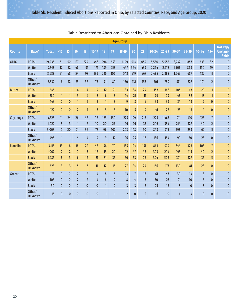|               |                          |              |                         |                |                  |                |                |                 |                | <b>Age Group</b> |                |                |                |              |                |              |                |                |                                        |
|---------------|--------------------------|--------------|-------------------------|----------------|------------------|----------------|----------------|-----------------|----------------|------------------|----------------|----------------|----------------|--------------|----------------|--------------|----------------|----------------|----------------------------------------|
| <b>County</b> | Race*                    | <b>Total</b> | <15                     | 15             | 16               | 17             | $15-17$        | 18              | 19             | $18-19$          | 20             | 21             | $20 - 24$      | $25 - 29$    | 30-34          | 35-39        | 40-44          | 45+            | Not Rep/<br><b>Unclassi-</b><br>fiable |
| OHIO          | <b>TOTAL</b>             | 19,438       | 51                      | 92             | 127              | 224            | 443            | 496             | 653            | 1,149            | 914            | 1,059          | 5,550          | 5,955        | 3,742          | 1,883        | 633            | 32             | $\bf{0}$                               |
|               | White                    | 7,918        | 12                      | 32             | 48               | 91             | 171            | 189             | 258            | 447              | 364            | 439            | 2,264          | 2,278        | 1,508          | 869          | 350            | 19             | $\pmb{0}$                              |
|               | <b>Black</b>             | 8,688        | 31                      | 48             | 54               | 97             | 199            | 236             | 306            | 542              | 419            | 467            | 2,485          | 2,888        | 1,663          | 687          | 182            | 11             | $\pmb{0}$                              |
|               | Other/<br>Unknown        | 2,832        | 8                       | 12             | 25               | 36             | 73             | 71              | 89             | 160              | 131            | 153            | 801            | 789          | 571            | 327          | 101            | $\overline{2}$ | $\mathbf{0}$                           |
| <b>Butler</b> | <b>TOTAL</b>             | 545          | $\mathbf{1}$            | $\mathbf{1}$   | $6\phantom{a}$   | $\overline{7}$ | 14             | 12              | 21             | 33               | 34             | 24             | 153            | 146          | 105            | 63           | 29             | $\mathbf{1}$   | $\mathbf{0}$                           |
|               | White                    | 280          | $\mathbf{1}$            | $\mathbf{1}$   | $\overline{3}$   | 4              | 8              | $6\phantom{1}6$ | 8              | 14               | 21             | 11             | 79             | 79           | 48             | 32           | 18             | $\mathbf{1}$   | $\mathbf{0}$                           |
|               | <b>Black</b>             | 143          | $\pmb{0}$               | $\pmb{0}$      | $\mathbf{1}$     | $\overline{2}$ | $\overline{3}$ | $\mathbf{1}$    | 8              | 9                | 8              | 4              | 33             | 39           | 34             | 18           | $\overline{7}$ | $\pmb{0}$      | $\bf{0}$                               |
|               | Other/<br><b>Unknown</b> | 122          | $\pmb{0}$               | $\pmb{0}$      | $\overline{2}$   | $\mathbf{1}$   | $\overline{3}$ | 5               | 5              | 10               | 5              | 9              | 41             | 28           | 23             | 13           | 4              | $\bf{0}$       | $\mathbf{0}$                           |
| Cuyahoga      | <b>TOTAL</b>             | 4,523        | 11                      | 24             | 26               | 46             | 96             | 125             | 150            | 275              | 199            | 213            | 1,225          | 1,463        | 911            | 410          | 125            | $\overline{1}$ | $\mathbf 0$                            |
|               | White                    | 1,022        | $\overline{\mathbf{3}}$ | 3              | $\mathbf{1}$     | $6\phantom{.}$ | 10             | 20              | 26             | 46               | 26             | 37             | 246            | 334          | 214            | 127          | 40             | $\overline{2}$ | $\pmb{0}$                              |
|               | <b>Black</b>             | 3,003        | $\overline{7}$          | 20             | 21               | 36             | 77             | 96              | 107            | 203              | 148            | 160            | 843            | 975          | 598            | 233          | 62             | 5              | $\mathbf{0}$                           |
|               | Other/<br><b>Unknown</b> | 498          | $\mathbf{1}$            | $\mathbf{1}$   | 4                | 4              | 9              | 9               | 17             | 26               | 25             | 16             | 136            | 154          | 99             | 50           | 23             | $\pmb{0}$      | $\mathbf 0$                            |
| Franklin      | <b>TOTAL</b>             | 3,115        | 13                      | 8              | 18               | 22             | 48             | 56              | 79             | 135              | 124            | 151            | 863            | 979          | 644            | 323          | 103            | $\overline{1}$ | 0                                      |
|               | White                    | 1,007        | $\overline{2}$          | $\overline{2}$ | $\overline{1}$   | $\overline{7}$ | 16             | 13              | 29             | 42               | 47             | 46             | 303            | 294          | 193            | 115          | 40             | $\overline{2}$ | $\mathbf{0}$                           |
|               | <b>Black</b>             | 1,485        | $\bf 8$                 | $\overline{3}$ | $\boldsymbol{6}$ | 12             | 21             | 31              | 35             | 66               | 53             | 76             | 394            | 508          | 321            | 127          | 35             | 5              | $\pmb{0}$                              |
|               | Other/<br><b>Unknown</b> | 623          | $\overline{3}$          | $\overline{3}$ | 5                | $\overline{3}$ | 11             | 12              | 15             | 27               | 24             | 29             | 166            | 177          | 130            | 81           | 28             | $\bf{0}$       | $\bf{0}$                               |
| Greene        | <b>TOTAL</b>             | 173          | $\mathbf{0}$            | $\mathbf{0}$   | $\overline{2}$   | $\overline{2}$ | 4              | 8               | 5              | 13               | $\overline{7}$ | 16             | 61             | 43           | 30             | 14           | 8              | $\mathbf{0}$   | $\mathbf{0}$                           |
|               | White                    | 105          | $\mathbf{0}$            | $\pmb{0}$      | $\overline{2}$   | $\overline{2}$ | 4              | $6\phantom{1}$  | $\overline{2}$ | 8                | 4              | $\overline{1}$ | 30             | 27           | 21             | 10           | 5              | $\mathbf{0}$   | $\mathbf{0}$                           |
|               | <b>Black</b>             | 50           | $\mathbf{0}$            | $\pmb{0}$      | $\mathbf{0}$     | $\mathbf{0}$   | $\mathbf{0}$   | $\mathbf{1}$    | $\overline{2}$ | $\overline{3}$   | $\overline{3}$ | $\overline{1}$ | 25             | 16           | $\overline{3}$ | $\mathbf{0}$ | $\overline{3}$ | $\mathbf{0}$   | $\mathbf{0}$                           |
|               | Other/<br>Unknown        | 18           | $\mathbf{0}$            | $\mathbf{0}$   | $\mathbf{0}$     | $\mathbf{0}$   | $\mathbf{0}$   | $\mathbf{1}$    | $\mathbf{1}$   | $\overline{2}$   | $\mathbf{0}$   | $\overline{2}$ | $6\phantom{1}$ | $\mathbf{0}$ | $6\phantom{1}$ | 4            | $\mathbf{0}$   | $\mathbf{0}$   | $\overline{0}$                         |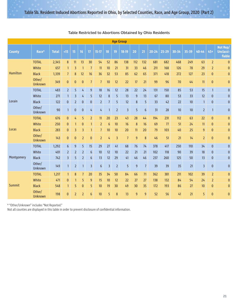|                 | <b>Age Group</b>         |              |                |                |                |                         |                  |                |                |                |                |                  |           |           |           |       |                         |                |                                        |
|-----------------|--------------------------|--------------|----------------|----------------|----------------|-------------------------|------------------|----------------|----------------|----------------|----------------|------------------|-----------|-----------|-----------|-------|-------------------------|----------------|----------------------------------------|
| <b>County</b>   | Race*                    | <b>Total</b> | <15            | 15             | 16             | 17                      | $15-17$          | 18             | 19             | $18-19$        | 20             | 21               | $20 - 24$ | $25 - 29$ | $30 - 34$ | 35-39 | 40-44                   | $45+$          | Not Rep/<br><b>Unclassi-</b><br>fiable |
|                 | <b>TOTAL</b>             | 2,345        | 8              | 11             | 13             | 30                      | 54               | 52             | 86             | 138            | 112            | 132              | 681       | 682       | 468       | 249   | 63                      | $\overline{2}$ | $\pmb{0}$                              |
|                 | White                    | 657          | $\mathbf{1}$   | 3              | $\mathbf{1}$   | $\overline{1}$          | 11               | 10             | 21             | 31             | 33             | 46               | 211       | 168       | 126       | 78    | 29                      | $\overline{2}$ | $\pmb{0}$                              |
| <b>Hamilton</b> | <b>Black</b>             | 1,339        | $\overline{7}$ | 8              | 12             | 16                      | 36               | 32             | 53             | 85             | 62             | 65               | 371       | 418       | 272       | 127   | 23                      | $\pmb{0}$      | $\pmb{0}$                              |
|                 | Other/<br><b>Unknown</b> | 349          | $\bf{0}$       | $\mathbf{0}$   | $\pmb{0}$      | $\overline{1}$          | $\overline{1}$   | 10             | 12             | 22             | 17             | 21               | 99        | 96        | 70        | 44    | 11                      | $\pmb{0}$      | $\pmb{0}$                              |
|                 | <b>TOTAL</b>             | 483          | $\overline{2}$ | 5              | 4              | $\overline{9}$          | 18               | 16             | 12             | 28             | 22             | 24               | 131       | 150       | 85        | 53    | 15                      | $\mathbf{1}$   | $\pmb{0}$                              |
|                 | White                    | 271          | $\mathbf{1}$   | 3              | 4              | 5                       | 12               | $\bf 8$        | 5              | 13             | $\overline{9}$ | 13               | 67        | 80        | 53        | 33    | 12                      | $\pmb{0}$      | $\pmb{0}$                              |
| Lorain          | <b>Black</b>             | 122          | $\mathbf{0}$   | $\overline{2}$ | 0              | $\overline{0}$          | $\overline{2}$   | $\overline{1}$ | 5              | 12             | $8\phantom{1}$ | 5                | 33        | 42        | 22        | 10    | $\mathbf{1}$            | $\mathbf{0}$   | $\pmb{0}$                              |
|                 | Other/<br>Unknown        | 90           | $\mathbf{1}$   | $\mathbf{0}$   | $\mathbf{0}$   | 4                       | 4                | $\overline{1}$ | $\overline{2}$ | $\overline{3}$ | 5              | $6\phantom{1}$   | 31        | 28        | 10        | 10    | $\overline{2}$          | 1              | $\mathbf{0}$                           |
|                 | <b>TOTAL</b>             | 676          | $\pmb{0}$      | 4              | 5              | $\overline{2}$          | 11               | 20             | 23             | 43             | 28             | 44               | 194       | 231       | 112       | 63    | 22                      | $\mathbf{0}$   | $\pmb{0}$                              |
|                 | White                    | 250          | $\pmb{0}$      | $\mathbf{1}$   | $\mathbf{0}$   | 1                       | $\overline{2}$   | 6              | 10             | 16             | $8\phantom{1}$ | 16               | 69        | 77        | 51        | 24    | 11                      | $\pmb{0}$      | $\pmb{0}$                              |
| Lucas           | <b>Black</b>             | 283          | $\pmb{0}$      | 3              | 3              | $\mathbf{1}$            | $\overline{1}$   | 10             | 10             | 20             | 11             | 20               | 79        | 103       | 40        | 25    | 9                       | $\pmb{0}$      | $\pmb{0}$                              |
|                 | Other/<br><b>Unknown</b> | 143          | $\overline{0}$ | $\bf{0}$       | $\overline{2}$ | $\mathbf{0}$            | $\overline{2}$   | 4              | $\overline{3}$ | $\overline{7}$ | $\overline{9}$ | $\boldsymbol{8}$ | 46        | 51        | 21        | 14    | $\overline{2}$          | $\mathbf{0}$   | $\pmb{0}$                              |
|                 | <b>TOTAL</b>             | 1,292        | 6              | 9              | 5              | 15                      | 29               | 27             | 41             | 68             | 76             | 74               | 378       | 417       | 250       | 110   | 34                      | $\mathbf{0}$   | $\pmb{0}$                              |
|                 | White                    | 401          | $\overline{2}$ | $\overline{2}$ | $\overline{2}$ | $6\phantom{1}$          | 10               | 12             | 10             | 22             | 21             | 21               | 102       | 118       | 90        | 39    | 18                      | $\mathbf{0}$   | $\pmb{0}$                              |
| Montgomery      | <b>Black</b>             | 742          | $\overline{3}$ | 5              | $\overline{2}$ | 6                       | 13               | 12             | 29             | 41             | 46             | 46               | 237       | 260       | 125       | 50    | 13                      | $\pmb{0}$      | $\pmb{0}$                              |
|                 | Other/<br>Unknown        | 149          | $\mathbf{1}$   | $\overline{2}$ | $\mathbf{1}$   | $\overline{\mathbf{3}}$ | $\boldsymbol{6}$ | $\overline{3}$ | $\overline{2}$ | 5              | $9\,$          | $\overline{7}$   | 39        | 39        | 35        | 21    | $\overline{\mathbf{3}}$ | $\pmb{0}$      | $\pmb{0}$                              |
|                 | <b>TOTAL</b>             | 1,217        | $\mathbf{1}$   | 8              | $\overline{7}$ | 20                      | 35               | 34             | 50             | 84             | 66             | 71               | 362       | 381       | 211       | 102   | 39                      | $\overline{2}$ | $\pmb{0}$                              |
|                 | White                    | 471          | 0              | $\mathbf{1}$   | 5              | 9                       | 15               | 10             | 12             | 22             | 27             | 27               | 138       | 132       | 84        | 54    | 24                      | $\overline{2}$ | $\bf{0}$                               |
| <b>Summit</b>   | <b>Black</b>             | 548          | $\mathbf{1}$   | 5              | 0              | 5                       | 10               | 19             | 30             | 49             | 30             | 35               | 172       | 193       | 86        | 27    | 10                      | $\bf{0}$       | $\bf{0}$                               |
|                 | Other/<br>Unknown        | 198          | $\overline{0}$ | $\overline{2}$ | $\overline{2}$ | $6\phantom{1}$          | 10               | 5              | 8              | 13             | 9              | $\overline{9}$   | 52        | 56        | 41        | 21    | 5                       | $\mathbf{0}$   | $\mathbf{0}$                           |

\* "Other/Unknown" includes "Not Reported."

Not all counties are displayed in this table in order to prevent disclosure of confidential information.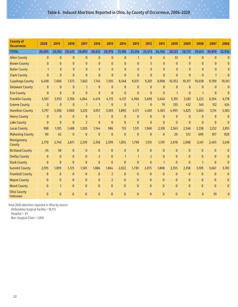| <b>County of</b><br><b>Occurrence</b> | 2020           | 2019           | 2018           | 2017           | 2016           | 2015           | 2014           | 2013         | 2012           | 2011           | 2010           | 2009           | 2008           | 2007         | 2006           |
|---------------------------------------|----------------|----------------|----------------|----------------|----------------|----------------|----------------|--------------|----------------|----------------|----------------|----------------|----------------|--------------|----------------|
| <b>TOTAL</b>                          | 20,605         | 20,102         | 20,425         | 20,893         | 20,672         | 20,976         | 21,186         | 23,216       | 25,473         | 24,764         | 28,123         | 28,721         | 29,613         | 30,859       | 32,936         |
| <b>Allen County</b>                   | $\mathbf{0}$   | $\mathbf{0}$   | $\mathbf{0}$   | $\mathbf{0}$   | $\mathbf{0}$   | $\mathbf{0}$   | $\mathbf{0}$   | $\mathbf{1}$ | $\mathbf{0}$   | $6\phantom{1}$ | 33             | $\mathbf{0}$   | $\mathbf{0}$   | $\mathbf{0}$ | $\bf{0}$       |
| <b>Brown County</b>                   | $\mathbf{0}$   | $\Omega$       | $\mathbf{0}$   | $\mathbf{0}$   | $\mathbf{0}$   | $\mathbf{0}$   | $\Omega$       | $\mathbf{0}$ | 5              | $\mathbf{0}$   | $\mathbf{0}$   | $\Omega$       | $\Omega$       | $\mathbf{0}$ | $\bf{0}$       |
| <b>Butler County</b>                  | $\mathbf{1}$   | $\mathbf{0}$   | $\mathbf{0}$   | $\mathbf{0}$   | $\mathbf{0}$   | $\mathbf{0}$   | $\mathbf{0}$   | $\mathbf{0}$ | $\overline{0}$ | $\mathbf{0}$   | $\mathbf{0}$   | $\mathbf{0}$   | $\mathbf{0}$   | $\mathbf{0}$ | $\mathbf{0}$   |
| <b>Clark County</b>                   | $\mathbf{0}$   | $\mathbf{0}$   | $\overline{0}$ | $\mathbf{0}$   | $\mathbf{0}$   | $\Omega$       | $\Omega$       | $\Omega$     | $\mathbf{0}$   | $\overline{0}$ | $\Omega$       | $\mathbf{0}$   | $\Omega$       | $\mathbf{1}$ | $\Omega$       |
| <b>Cuyahoga County</b>                | 6,498          | 7,006          | 7,575          | 7,662          | 7,745          | 7,505          | 8,548          | 9,037        | 9,201          | 8,908          | 10,352         | 10,317         | 10,038         | 9,700        | 10,161         |
| <b>Delaware County</b>                | $\mathbf{0}$   | $\mathbf{0}$   | $\mathbf{0}$   | $\mathbf{1}$   | $\bf{0}$       | $\mathbf{0}$   | $\mathbf{0}$   | $\mathbf{0}$ | $\mathbf{0}$   | $\bf{0}$       | $\mathbf{0}$   | $\mathbf{0}$   | $\mathbf{0}$   | $\mathbf{0}$ | $\bf{0}$       |
| <b>Erie County</b>                    | $\overline{0}$ | $\mathbf{0}$   | $\overline{0}$ | $\mathbf{0}$   | $\mathbf{0}$   | $\overline{0}$ | $\overline{0}$ | $\mathbf{0}$ | $\overline{0}$ | $\mathbf{0}$   | $\mathbf{1}$   | $\mathbf{0}$   | $\mathbf{1}$   | $\mathbf{0}$ | $\mathbf{0}$   |
| <b>Franklin County</b>                | 3,501          | 3,933          | 3,706          | 4,844          | 4,476          | 4,715          | 4,137          | 4,966        | 5,698          | 5,640          | 5,391          | 5,581          | 5,222          | 6,594        | 6,778          |
| <b>Greene County</b>                  | $\mathbf{0}$   | $\mathbf{0}$   | $\mathbf{0}$   | $\mathbf{1}$   | $\mathbf{1}$   | $\mathbf{0}$   | $\mathbf{0}$   | $\mathbf{1}$ | $\mathbf{0}$   | 19             | 335            | 432            | 140            | 312          | 424            |
| <b>Hamilton County</b>                | 3,797          | 3,306          | 3,060          | 3,225          | 3,057          | 3,303          | 3,890          | 4,171        | 4,601          | 4,363          | 4,995          | 4,825          | 5,663          | 5,114        | 5,583          |
| <b>Henry County</b>                   | 0              | $\mathbf{0}$   | $\mathbf{0}$   | $\pmb{0}$      | $\mathbf{1}$   | $\mathbf{0}$   | $\mathbf{0}$   | $\mathbf{0}$ | $\mathbf{0}$   | $\mathbf{0}$   | $\mathbf{0}$   | $\mathbf{0}$   | $\mathbf{0}$   | $\mathbf{0}$ | $\bf{0}$       |
| <b>Lake County</b>                    | $\mathbf{0}$   | $\overline{0}$ | $\mathbf{0}$   | $\overline{2}$ | $\mathbf{0}$   | $\mathbf{0}$   | $\mathbf{0}$   | $\mathbf{0}$ | $\mathbf{0}$   | $\bf{0}$       | $\mathbf{0}$   | $\mathbf{0}$   | $\mathbf{0}$   | $\mathbf{0}$ | $\Omega$       |
| <b>Lucas County</b>                   | 988            | 1,105          | 1,488          | 1,320          | 1,144          | 986            | 733            | 1,511        | 1,960          | 2,318          | 2,563          | 2,548          | 2,338          | 2,212        | 2,851          |
| <b>Mahoning County</b>                | 90             | 62             | $\mathbf{0}$   | $\mathbf{0}$   | $\mathbf{0}$   | $\mathbf{0}$   | $\mathbf{0}$   | $\mathbf{0}$ | $\mathbf{0}$   | $\bf{0}$       | 20             | 572            | 690            | 817          | 820            |
| Montgomery<br>County                  | 2,770          | 2,740          | 2,871          | 2,339          | 2,358          | 2,599          | 1,855          | 1,798        | 1,931          | 1,701          | 2,078          | 2,088          | 2,411          | 2,403        | 2,618          |
| <b>Richland County</b>                | 45             | 50             | $\mathbf{0}$   | $\mathbf{0}$   | $\mathbf{0}$   | $\overline{0}$ | $\mathbf{0}$   | $\mathbf{0}$ | $\mathbf{0}$   | $\mathbf{0}$   | $\mathbf{0}$   | $\overline{0}$ | $\overline{0}$ | $\mathbf{0}$ | $\bf{0}$       |
| <b>Shelby County</b>                  | $\overline{0}$ | $\mathbf{0}$   | $\overline{0}$ | $\bf{0}$       | $\overline{2}$ | $\overline{0}$ | $\mathbf{1}$   | $\mathbf{1}$ | $\overline{2}$ | $\mathbf{0}$   | $\overline{0}$ | $\overline{0}$ | $\overline{0}$ | $\mathbf{0}$ | $\overline{0}$ |
| <b>Stark County</b>                   | $\mathbf{0}$   | $\mathbf{0}$   | $\mathbf{0}$   | $\mathbf{0}$   | $\mathbf{0}$   | $\overline{0}$ | $\mathbf{0}$   | $\mathbf{0}$ | $\mathbf{0}$   | $\mathbf{1}$   | $\mathbf{0}$   | $\mathbf{0}$   | $\mathbf{1}$   | $\mathbf{0}$ | $\Omega$       |
| <b>Summit County</b>                  | 2,915          | 1,899          | 1,725          | 1,501          | 1,886          | 1,864          | 2,022          | 1,730        | 2,075          | 1,808          | 2,355          | 2,358          | 3,109          | 3,667        | 3,701          |
| <b>Trumbull County</b>                | $\mathbf{0}$   | $\mathbf{0}$   | $\mathbf{0}$   | $\mathbf{0}$   | $\mathbf{0}$   | $\overline{2}$ | $\mathbf{0}$   | $\mathbf{0}$ | $\mathbf{0}$   | $\mathbf{0}$   | $\mathbf{0}$   | $\Omega$       | $\mathbf{0}$   | $\mathbf{0}$ | $\mathbf{0}$   |
| <b>Wayne County</b>                   | $\mathbf{0}$   | $\mathbf{0}$   | $\mathbf{0}$   | $\mathbf{0}$   | $\pmb{0}$      | $\overline{2}$ | $\overline{0}$ | $\mathbf{0}$ | $\mathbf{0}$   | $\mathbf{0}$   | $\bf{0}$       | $\mathbf{0}$   | $\mathbf{0}$   | $\mathbf{0}$ | $\mathbf{0}$   |
| <b>Wood County</b>                    | $\mathbf{0}$   | $\mathbf{1}$   | $\mathbf{0}$   | $\overline{0}$ | $\mathbf{0}$   | $\mathbf{0}$   | $\mathbf{0}$   | $\Omega$     | $\overline{0}$ | $\overline{0}$ | $\overline{0}$ | $\Omega$       | $\mathbf{0}$   | $\mathbf{0}$ | $\mathbf{0}$   |
| <b>Ohio County</b><br>Unknown         | $\Omega$       | $\Omega$       | $\Omega$       | $\mathbf{0}$   | $\mathbf{0}$   | $\Omega$       | $\Omega$       | $\Omega$     | $\Omega$       | $\mathbf{0}$   | $\Omega$       | $\Omega$       | $\Omega$       | 39           | $\mathbf{0}$   |

Total 2020 abortions reported in Ohio by source:

Ambulatory Surgical Facility = 18,712

Hospital =  $83$ 

Non-Surgical Clinic = 1,810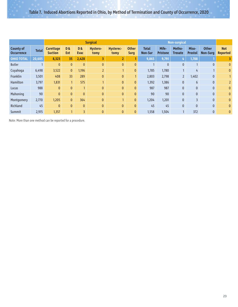|                                       | <b>Surgical</b><br><b>Non-surgical</b> |                                    |                             |                              |                  |                   |                             |                                |                          |                          |                         |                                 |                               |
|---------------------------------------|----------------------------------------|------------------------------------|-----------------------------|------------------------------|------------------|-------------------|-----------------------------|--------------------------------|--------------------------|--------------------------|-------------------------|---------------------------------|-------------------------------|
| <b>County of</b><br><b>Occurrence</b> | <b>Total</b>                           | <b>Curettage</b><br><b>Suction</b> | <b>D&amp;</b><br><b>Ext</b> | <b>D&amp;</b><br><b>Evac</b> | Hystero-<br>tomy | Hysterec-<br>tomy | <b>Other</b><br><b>Surg</b> | <b>Total</b><br><b>Non-Sur</b> | Mife-<br><b>Pristone</b> | Metho-<br><b>Trexate</b> | Miso-<br><b>Prostol</b> | <b>Other</b><br><b>Non-Surg</b> | <b>Not</b><br><b>Reported</b> |
| <b>OHIO TOTAL</b>                     | 20,605                                 | 8,323                              | 35                          | 2,428                        | 3                | $\overline{2}$    |                             | 9,865                          | 9,791                    | 4                        | 1,788                   |                                 |                               |
| <b>Butler</b>                         |                                        | $\mathbf{0}$                       | $\mathbf{0}$                | $\mathbf{0}$                 | $\mathbf{0}$     | $\mathbf{0}$      | $\mathbf{0}$                |                                | 0                        | $\mathbf{0}$             |                         | $\mathbf{0}$                    | $\mathbf{0}$                  |
| Cuyahoga                              | 6,498                                  | 3,522                              | $\mathbf{0}$                | 1,196                        | $\overline{2}$   | 1                 | 0                           | 1,785                          | 1,780                    |                          | 4                       |                                 | $\mathbf{0}$                  |
| Franklin                              | 3,501                                  | 408                                | 33 <sup>2</sup>             | 289                          | $\mathbf{0}$     | $\pmb{0}$         |                             | 2,803                          | 2,798                    | $\overline{2}$           | 1,402                   | $\mathbf{0}$                    |                               |
| Hamilton                              | 3,797                                  | 1,831                              |                             | 575                          |                  | $\bf{0}$          | 0                           | 1,392                          | 1,386                    | 0                        | $6\overline{6}$         | $\mathbf{0}$                    |                               |
| Lucas                                 | 988                                    | $\mathbf{0}$                       | $\mathbf{0}$                |                              | $\mathbf{0}$     | $\bf{0}$          | $\bf{0}$                    | 987                            | 987                      | 0                        | $\mathbf{0}$            | $\mathbf{0}$                    | $\mathbf{0}$                  |
| Mahoning                              | 90                                     | $\mathbf{0}$                       | $\mathbf{0}$                | $\mathbf{0}$                 | $\mathbf{0}$     | $\bf{0}$          | $\mathbf{0}$                | 90                             | 90                       | $\mathbf{0}$             | $\mathbf{0}$            | $\mathbf{0}$                    | $\mathbf{0}$                  |
| Montgomery                            | 2,770                                  | 1,205                              | $\mathbf{0}$                | 364                          | $\mathbf{0}$     | $\mathbf{1}$      | $\mathbf{0}$                | 1,204                          | 1,201                    | $\mathbf{0}$             | $\overline{3}$          | $\mathbf{0}$                    | $\mathbf{0}$                  |
| Richland                              | 45                                     | $\mathbf{0}$                       | $\mathbf{0}$                | $\mathbf{0}$                 | $\mathbf{0}$     | $\bf{0}$          | $\mathbf{0}$                | 45                             | 45                       | $\mathbf{0}$             | $\mathbf{0}$            | $\mathbf{0}$                    | $\mathbf{0}$                  |
| Summit                                | 2,915                                  | 1,357                              |                             | 3                            | $\mathbf{0}$     | $\bf{0}$          | 0                           | 1,558                          | 1,504                    |                          | 372                     | $\mathbf{0}$                    | $\mathbf{0}$                  |

Note: More than one method can be reported for a procedure.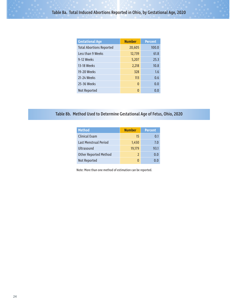| <b>Gestational Age</b>          | <b>Number</b> | <b>Percent</b> |
|---------------------------------|---------------|----------------|
| <b>Total Abortions Reported</b> | 20,605        | 100.0          |
| Less than 9 Weeks               | 12,739        | 61.8           |
| 9-12 Weeks                      | 5,207         | 25.3           |
| 13-18 Weeks                     | 2,218         | 10.8           |
| 19-20 Weeks                     | 328           | 1.6            |
| 21-24 Weeks                     | 113           | 0.6            |
| 25-36 Weeks                     | $\Omega$      | 0.0            |
| Not Reported                    | $\Omega$      | 0.0            |

#### Table 8b. Method Used to Determine Gestational Age of Fetus, Ohio, 2020

| <b>Method</b>                | <b>Number</b> | <b>Percent</b> |
|------------------------------|---------------|----------------|
| <b>Clinical Exam</b>         | 15            | 0.1            |
| Last Menstrual Period        | 1,450         | 7.0            |
| Ultrasound                   | 19,179        | 93.1           |
| <b>Other Reported Method</b> | $\mathcal{P}$ | 0.0            |
| Not Reported                 |               | 0.O            |

Note: More than one method of estimation can be reported.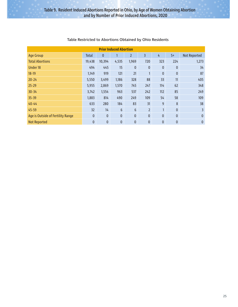| <b>Prior Induced Abortion</b>     |              |              |                |                |                |              |              |              |  |  |  |  |  |
|-----------------------------------|--------------|--------------|----------------|----------------|----------------|--------------|--------------|--------------|--|--|--|--|--|
| <b>Age Group</b>                  | <b>Total</b> | 0            |                | $\overline{2}$ | 3              | 4            | $5+$         | Not Reported |  |  |  |  |  |
| <b>Total Abortions</b>            | 19,438       | 10,394       | 4,535          | 1,969          | 720            | 323          | 224          | 1,273        |  |  |  |  |  |
| <b>Under 18</b>                   | 494          | 445          | 15             | $\mathbf{0}$   | $\mathbf{0}$   | $\mathbf 0$  | $\mathbf{0}$ | 34           |  |  |  |  |  |
| $18-19$                           | 1,149        | 919          | 121            | 21             | $\mathbf{1}$   | $\mathbf{0}$ | $\mathbf{0}$ | 87           |  |  |  |  |  |
| $20 - 24$                         | 5,550        | 3,499        | 1,186          | 328            | 88             | 33           | 11           | 405          |  |  |  |  |  |
| $25 - 29$                         | 5,955        | 2,869        | 1,570          | 745            | 247            | 114          | 62           | 348          |  |  |  |  |  |
| $30 - 34$                         | 3,742        | 1,554        | 963            | 537            | 242            | 112          | 85           | 249          |  |  |  |  |  |
| 35-39                             | 1,883        | 814          | 490            | 249            | 109            | 54           | 58           | 109          |  |  |  |  |  |
| $40 - 44$                         | 633          | 280          | 184            | 83             | 31             | 9            | 8            | 38           |  |  |  |  |  |
| 45-59                             | 32           | 14           | $6\phantom{1}$ | 6              | $\overline{2}$ | $\mathbf{1}$ | $\mathbf{0}$ | 3            |  |  |  |  |  |
| Age is Outside of Fertility Range | $\mathbf{0}$ | $\mathbf{0}$ | $\mathbf{0}$   | $\mathbf{0}$   | $\mathbf{0}$   | $\mathbf{0}$ | $\mathbf{0}$ | $\mathbf{0}$ |  |  |  |  |  |
| <b>Not Reported</b>               | $\mathbf{0}$ | $\mathbf 0$  | $\mathbf{0}$   | $\bf{0}$       | $\mathbf{0}$   | $\bf{0}$     | $\mathbf{0}$ | $\mathbf{0}$ |  |  |  |  |  |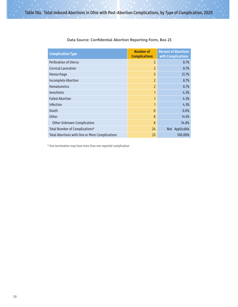| <b>Complication Type</b>                              | <b>Number of</b><br><b>Complications</b> | <b>Percent of Abortions</b><br>with Complications |
|-------------------------------------------------------|------------------------------------------|---------------------------------------------------|
| <b>Perforation of Uterus</b>                          | $\overline{2}$                           | 8.7%                                              |
| <b>Cervical Laceration</b>                            | $\overline{2}$                           | 8.7%                                              |
| Hemorrhage                                            | 5                                        | 21.7%                                             |
| <b>Incomplete Abortion</b>                            | $\overline{2}$                           | 8.7%                                              |
| <b>Hematometra</b>                                    | $\overline{2}$                           | 8.7%                                              |
| Anesthetic                                            | 1                                        | 4.3%                                              |
| <b>Failed Abortion</b>                                | 1                                        | 4.3%                                              |
| <b>Infection</b>                                      | 1                                        | 4.3%                                              |
| <b>Death</b>                                          | $\Omega$                                 | 0.0%                                              |
| Other                                                 | 8                                        | 34.8%                                             |
| <b>Other Unknown Complication</b>                     | 8                                        | 34.8%                                             |
| Total Number of Complications*                        | 24                                       | Not Applicable                                    |
| <b>Total Abortions with One or More Complications</b> | 23                                       | 100.00%                                           |

#### Data Source: Confidential Abortion Reporting Form, Box 23

\* One termination may have more than one reported complication.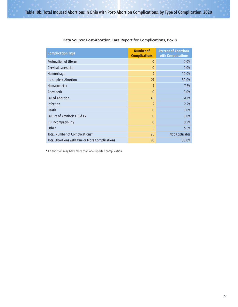| <b>Complication Type</b>                              | <b>Number of</b><br><b>Complications</b> | <b>Percent of Abortions</b><br>with Complications |
|-------------------------------------------------------|------------------------------------------|---------------------------------------------------|
| <b>Perforation of Uterus</b>                          | $\mathbf{0}$                             | 0.0%                                              |
| <b>Cervical Laceration</b>                            | $\Omega$                                 | 0.0%                                              |
| Hemorrhage                                            | 9                                        | 10.0%                                             |
| <b>Incomplete Abortion</b>                            | 27                                       | 30.0%                                             |
| <b>Hematometra</b>                                    | 7                                        | 7.8%                                              |
| Anesthetic                                            | $\Omega$                                 | 0.0%                                              |
| <b>Failed Abortion</b>                                | 46                                       | 51.1%                                             |
| <b>Infection</b>                                      | $\overline{2}$                           | 2.2%                                              |
| Death                                                 | $\mathbf{0}$                             | 0.0%                                              |
| <b>Failure of Amniotic Fluid Ex</b>                   | $\mathbf{0}$                             | 0.0%                                              |
| RH Incompatibility                                    | $\mathbf{0}$                             | 0.9%                                              |
| Other                                                 | 5                                        | 5.6%                                              |
| Total Number of Complications*                        | 96                                       | Not Applicable                                    |
| <b>Total Abortions with One or More Complications</b> | 90                                       | 100.0%                                            |

#### Data Source: Post-Abortion Care Report for Complications, Box 8

\* An abortion may have more than one reported complication.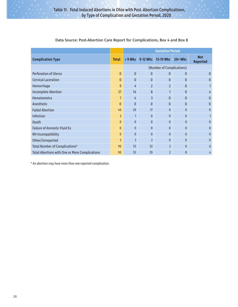|                                                       |                | <b>Gestation Period</b> |                          |                           |                |                               |  |  |  |  |
|-------------------------------------------------------|----------------|-------------------------|--------------------------|---------------------------|----------------|-------------------------------|--|--|--|--|
| <b>Complication Type</b>                              | <b>Total</b>   | $< 9$ Wks               | 9-12 Wks                 | 13-19 Wks                 | $20+W$ ks      | <b>Not</b><br><b>Reported</b> |  |  |  |  |
|                                                       |                |                         |                          | (Number of Complications) |                |                               |  |  |  |  |
| <b>Perforation of Uterus</b>                          | $\mathbf{0}$   | $\mathbf{0}$            | $\Omega$                 | 0                         | 0              | 0                             |  |  |  |  |
| <b>Cervical Laceration</b>                            | $\mathbf{0}$   | $\mathbf{0}$            | $\Omega$                 | $\mathbf{0}$              | $\mathbf{0}$   | $\Omega$                      |  |  |  |  |
| Hemorrhage                                            | $\overline{9}$ | 4                       | $\overline{2}$           | $\overline{2}$            | $\mathbf{0}$   |                               |  |  |  |  |
| <b>Incomplete Abortion</b>                            | 27             | 14                      | 8                        |                           | 0              | 4                             |  |  |  |  |
| Hematometra                                           | 7              | 4                       | 3                        | $\mathbf{0}$              | 0              | $\Omega$                      |  |  |  |  |
| Anesthetic                                            | $\Omega$       | $\mathbf{0}$            | $\Omega$                 | $\mathbf{0}$              | 0              | $\Omega$                      |  |  |  |  |
| <b>Failed Abortion</b>                                | 46             | 29                      | 17                       | $\Omega$                  | $\mathbf{0}$   | $\Omega$                      |  |  |  |  |
| Infection                                             | $\overline{2}$ | $\mathbf{1}$            | $\mathbf{0}$             | $\Omega$                  | $\mathbf{0}$   |                               |  |  |  |  |
| <b>Death</b>                                          | $\mathbf{0}$   | $\mathbf{0}$            | $\Omega$                 | $\mathbf{0}$              | 0              | $\Omega$                      |  |  |  |  |
| <b>Failure of Amniotic Fluid Ex</b>                   | $\mathbf{0}$   | $\mathbf{0}$            | $\Omega$                 | $\Omega$                  | $\mathbf{0}$   | $\Omega$                      |  |  |  |  |
| RH Incompatibility                                    | $\Omega$       | $\mathbf{0}$            | $\mathbf{0}$             | $\Omega$                  | $\mathbf{0}$   | $\Omega$                      |  |  |  |  |
| Other/Unreported                                      | 5              | $\overline{\mathsf{B}}$ | $\overline{\phantom{a}}$ | $\Omega$                  | $\mathbf{0}$   | $\Omega$                      |  |  |  |  |
| Total Number of Complications*                        | 96             | 55                      | 32                       | 3                         | $\overline{0}$ | 6                             |  |  |  |  |
| <b>Total Abortions with One or More Complications</b> | 90             | 55                      | 29                       | $\overline{2}$            | $\overline{0}$ | 4                             |  |  |  |  |

#### Data Source: Post-Abortion Care Report for Complications, Box 4 and Box 8

\* An abortion may have more than one reported complication.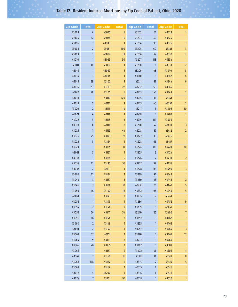# Table 12. Resident Induced Abortions, by Zip Code of Patient, Ohio, 2020

| <b>Zip Code</b> | <b>Total</b>            | <b>Zip Code</b> | <b>Total</b>     | <b>Zip Code</b> | <b>Total</b>       | <b>Zip Code</b> | <b>Total</b>        |
|-----------------|-------------------------|-----------------|------------------|-----------------|--------------------|-----------------|---------------------|
| 43003           | 4                       | 43076           | 6                | 43202           | 31                 | 43323           | 1                   |
| 43004           | 52                      | 43078           | 16               | 43203           | 49                 | 43324           | 1                   |
| 43006           | $\mathbf{1}$            | 43080           | 1                | 43204           | 93                 | 43326           | $\overline{7}$      |
| 43008           | $\overline{2}$          | 43081           | 105              | 43205           | 60                 | 43331           | 3                   |
| 43009           | $\mathbf{1}$            | 43082           | 18               | 43206           | 77                 | 43332           | 2                   |
| 43010           | 1                       | 43085           | 30               | 43207           | 118                | 43334           | 1                   |
| 43011           | 10 <sup>°</sup>         | 43087           | 1                | 43208           | $\mathbf{1}$       | 43338           | $\overline{2}$      |
| 43013           | $\mathbf{1}$            | 43089           | 1                | 43209           | 48                 | 43340           | 3                   |
| 43014           | $\overline{\mathbf{3}}$ | 43094           | 1                | 43210           | 8                  | 43342           | 4                   |
| 43015           | 39                      | 43102           | 1                | 43211           | 87                 | 43344           | $\boldsymbol{6}$    |
| 43016           | 57                      | 43103           | 22               | 43212           | 50                 | 43345           | 1                   |
| 43017           | 48                      | 43105           | $\boldsymbol{6}$ | 43213           | 143                | 43348           | $\overline{2}$      |
| 43018           | $\mathbf{1}$            | 43110           | 120              | 43214           | 36                 | 43351           | $\overline{7}$      |
| 43019           | 5                       | 43112           | $\mathbf{1}$     | 43215           | 46                 | 43357           | $\overline{2}$      |
| 43020           | $\overline{2}$          | 43113           | 14               | 43217           | 5                  | 43402           | 20                  |
| 43021           | 4                       | 43114           | 1                | 43218           | $\mathbf{1}$       | 43403           | $\overline{2}$      |
| 43022           | 5                       | 43115           | 3                | 43219           | 114                | 43406           | 1                   |
| 43023           | 8                       | 43116           | 3                | 43220           | 47                 | 43410           | 3                   |
| 43025           | $\overline{7}$          | 43119           | 44               | 43221           | 37                 | 43412           | $\overline{2}$      |
| 43026           | 75                      | 43123           | 72               | 43222           | 13                 | 43416           | 1                   |
| 43028           | 5                       | 43124           | $\mathbf{1}$     | 43223           | 66                 | 43417           | $\mathbf{1}$        |
| 43029           | 1                       | 43125           | 17               | 43224           | 141                | 43420           | 30                  |
| 43031           | 5                       | 43127           | $\mathbf{1}$     | 43225           | 3                  | 43424           | $\mathbf{1}$        |
| 43033           | $\mathbf{1}$            | 43128           | 5                | 43226           | 2                  | 43430           | $\overline{2}$      |
| 43035           | 43                      | 43130           | 55               | 43227           | 99                 | 43435           | $\mathbf{1}$        |
| 43037           | $\overline{2}$          | 43131           | 1                | 43228           | 133                | 43440           | 3                   |
| 43040           | 22                      | 43134           | 1                | 43229           | 192                | 43442           | 1                   |
| 43044           | $\overline{\mathbf{3}}$ | 43137           | 3                | 43230           | 93                 | 43443           | 2                   |
| 43046           | $\overline{2}$          | 43138           | 13               | 43231           | 61                 | 43447           | 5                   |
| 43050           | 16                      | 43140           | 18               | 43232           | 198                | 43449           | 5                   |
| 43051           | 1                       | 43143           | 3                | 43235           | 67                 | 43451           | 1                   |
| 43053           | $\mathbf{1}$            | 43145           | 1                | 43236           | 1                  | 43452           | 9                   |
| 43054           | 32                      | 43146<br>43147  | $\overline{2}$   | 43239<br>43240  | $\mathbf{1}$<br>26 | 43457           | 1<br>$\overline{7}$ |
| 43055<br>43056  | 66<br>$16$              | 43148           | 54<br>3          | 43252           | $\mathbf{1}$       | 43460<br>43462  | 1                   |
| 43060           | $\overline{2}$          | 43149           | 1                | 43255           | 1                  | 43463           | 1                   |
| 43061           | $\overline{2}$          | 43150           | 1                | 43257           | 1                  | 43464           | 3                   |
| 43062           | 37                      | 43151           | 1                | 43270           | 1                  | 43465           | 12                  |
| 43064           | 9                       | 43153           | 3                | 43277           | 1                  | 43469           | $\mathbf{1}$        |
| 43065           | 28                      | 43155           | 1                | 43282           | 1                  | 43502           | 1                   |
| 43066           | $\mathbf{1}$            | 43157           | $\overline{2}$   | 43302           | 46                 | 43506           | 11                  |
| 43067           | $\overline{2}$          | 43160           | 15               | 43311           | 14                 | 43512           | $\boldsymbol{8}$    |
| 43068           | 168                     | 43162           | $\overline{2}$   | 43314           | 2                  | 43515           | 5                   |
| 43069           | $\mathbf{1}$            | 43164           | 1                | 43315           | 4                  | 43516           | 1                   |
| 43072           | 4                       | 43200           | $\mathbf{1}$     | 43316           | 6                  | 43518           | 1                   |
| 43074           | $\overline{7}$          | 43201           | 95               | 43318           | $\mathbf{1}$       | 43520           | $\mathbf{1}$        |
|                 |                         |                 |                  |                 |                    |                 |                     |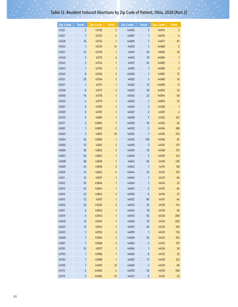# Table 12. Resident Induced Abortions by Zip Code of Patient, Ohio, 2020 (Part 2)

| <b>Zip Code</b> | <b>Total</b>            | <b>Zip Code</b> | <b>Total</b>            | <b>Zip Code</b> | <b>Total</b>            | <b>Zip Code</b> | <b>Total</b>   |
|-----------------|-------------------------|-----------------|-------------------------|-----------------|-------------------------|-----------------|----------------|
| 43521           | 2                       | 43720           | $\overline{2}$          | 44005           | $\overline{\mathbf{3}}$ | 44074           | $\overline{2}$ |
| 43527           | 1                       | 43723           | 4                       | 44007           | 1                       | 44076           | 4              |
| 43528           | 16                      | 43724           | 1                       | 44009           | 1                       | 44077           | 87             |
| 43534           | $\mathbf{1}$            | 43725           | 14                      | 44010           | 1                       | 44080           | $\overline{2}$ |
| 43537           | 27                      | 43730           | 1                       | 44011           | 26                      | 44081           | 10             |
| 43540           | 2                       | 43731           | 4                       | 44012           | 19                      | 44084           | $\overline{1}$ |
| 43542           | 3                       | 43734           | 1                       | 44017           | 24                      | 44085           | $\mathbf{1}$   |
| 43543           | 1                       | 43755           | 1                       | 44019           | 1                       | 44086           | $\overline{2}$ |
| 43545           | $\,$ 8 $\,$             | 43762           | $\overline{2}$          | 44020           | 1                       | 44087           | 37             |
| 43551           | 29                      | 43764           | 3                       | 44021           | 3                       | 44089           | 16             |
| 43557           | $\mathbf{1}$            | 43771           | 1                       | 44022           | 13                      | 44090           | 11             |
| 43558           | 8                       | 43777           | 3                       | 44023           | 18                      | 44092           | 53             |
| 43560           | 14                      | 43778           | 1                       | 44024           | 22                      | 44094           | 68             |
| 43566           | 4                       | 43779           | 1                       | 44025           | 1                       | 44095           | 57             |
| 43567           | 6                       | 43783           | 1                       | 44026           | 3                       | 44100           | $\mathbf{1}$   |
| 43569           | 2                       | 43787           | 1                       | 44027           | 2                       | 44101           | 2              |
| 43570           | 5                       | 43801           | 1                       | 44028           | $\overline{1}$          | 44102           | 167            |
| 43571           | $\overline{2}$          | 43804           | 1                       | 44030           | 10                      | 44103           | 82             |
| 43601           | 1                       | 43805           | 2                       | 44032           | $\overline{2}$          | 44104           | 188            |
| 43603           | $\overline{\mathbf{3}}$ | 43812           | 10                      | 44034           | 1                       | 44105           | 233            |
| 43604           | 26                      | 43820           | 1                       | 44035           | 138                     | 44106           | 87             |
| 43605           | 51                      | 43821           | $\overline{\mathbf{c}}$ | 44036           | $\overline{2}$          | 44107           | 137            |
| 43606           | 38                      | 43822           | 3                       | 44039           | 33                      | 44108           | 135            |
| 43607           | 56                      | 43824           | 1                       | 44040           | $\overline{\mathbf{3}}$ | 44109           | 142            |
| 43608           | 28                      | 43828           | 1                       | 44041           | 20                      | 44110           | 120            |
| 43609           | 45                      | 43830           | 5                       | 44042           | $\mathbf{1}$            | 44111           | 118            |
| 43610           | 14                      | 43832           | 4                       | 44044           | 23                      | 44112           | 139            |
| 43611           | 21                      | 43837           | 1                       | 44045           | 1                       | 44113           | 66             |
| 43612           | 93                      | 43840           | 1                       | 44046           | 1                       | 44114           | 22             |
| 43613           | 42                      | 43844           | 1                       | 44047           | 4                       | 44115           | 84             |
| 43614           | 42                      | 43845           | 3                       | 44050           | 6                       | 44116           | 27             |
| 43615           | 72                      | 43917           | 1                       | 44052           | 89                      | 44117           | 64             |
| 43616           | 22                      | 43920           | 3                       | 44053           | 34                      | 44118           | 134            |
| 43617           | $\boldsymbol{6}$        | 43942           | 1                       | 44054           | 18                      | 44119           | 82             |
| 43619           | $\mathbf{4}$            | 43943           | $\mathbf{1}$            | 44055           | 56                      | 44120           | 200            |
| 43620           | 13                      | 43945           | 1                       | 44056           | 19                      | 44121           | 202            |
| 43623           | 31                      | 43947           | $\mathbf{1}$            | 44057           | 26                      | 44122           | 105            |
| 43635           | 1                       | 43952           | $\overline{c}$          | 44059           | $\mathbf{1}$            | 44123           | 116            |
| 43660           | 1                       | 43964           | $\overline{2}$          | 44060           | 56                      | 44124           | 103            |
| 43697           | 1                       | 43968           | $\overline{c}$          | 44062           | 5                       | 44125           | 197            |
| 43701           | 55                      | 43977           | 1                       | 44064           | $\mathbf{1}$            | 44126           | 30             |
| 43703           | 1                       | 43986           | 1                       | 44065           | $\,8\,$                 | 44127           | 25             |
| 43704           | 1                       | 43988           | $\mathbf{1}$            | 44067           | 17                      | 44128           | 212            |
| 43705           | $\mathbf{1}$            | 44001           | 21                      | 44069           | $\mathbf{1}$            | 44129           | 60             |
| 43713           | $\overline{2}$          | 44003           | $\sqrt{4}$              | 44070           | 52                      | 44130           | 100            |
| 43719           | $\overline{2}$          | 44004           | 47                      | 44072           | $\boldsymbol{6}$        | 44131           | 22             |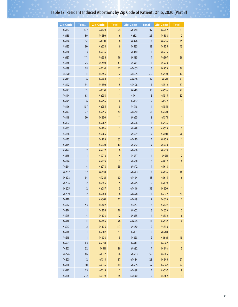# Table 12. Resident Induced Abortions by Zip Code of Patient, Ohio, 2020 (Part 3)

| <b>Zip Code</b> | <b>Total</b> | <b>Zip Code</b> | <b>Total</b>     | <b>Zip Code</b> | <b>Total</b>   | <b>Zip Code</b> | <b>Total</b>            |
|-----------------|--------------|-----------------|------------------|-----------------|----------------|-----------------|-------------------------|
| 44132           | 127          | 44129           | 60               | 44320           | 97             | 44502           | 33                      |
| 44133           | 39           | 44230           | 6                | 44321           | 26             | 44503           | $\overline{2}$          |
| 44134           | 51           | 44231           | 8                | 44326           | $\mathbf{1}$   | 44504           | 15                      |
| 44135           | 90           | 44233           | $\boldsymbol{6}$ | 44333           | 12             | 44505           | 43                      |
| 44136           | 33           | 44234           | 3                | 44370           | 1              | 44506           | $\overline{1}$          |
| 44137           | 171          | 44236           | 16               | 44385           | 1              | 44507           | 26                      |
| 44138           | 25           | 44240           | 81               | 44401           | 1              | 44508           | $\overline{1}$          |
| 44139           | 28           | 44241           | 27               | 44403           | 3              | 44509           | 34                      |
| 44140           | 11           | 44244           | $\overline{2}$   | 44405           | 20             | 44510           | 10                      |
| 44141           | 6            | 44248           | 1                | 44406           | 12             | 44511           | 43                      |
| 44142           | 34           | 44250           | 5                | 44408           | 5              | 44512           | 57                      |
| 44143           | 71           | 44251           | 1                | 44410           | 15             | 44514           | 22                      |
| 44144           | 63           | 44253           | 1                | 44411           | 5              | 44515           | 52                      |
| 44145           | 36           | 44254           | 4                | 44412           | 2              | 44517           | $\mathbf{1}$            |
| 44146           | 137          | 44255           | 3                | 44418           | $\mathbf{1}$   | 44551           | $\mathbf{1}$            |
| 44147           | 27           | 44256           | 70               | 44420           | 21             | 44570           | 1                       |
| 44149           | 20           | 44260           | 11               | 44425           | 8              | 44571           | 1                       |
| 44152           | $\mathbf{1}$ | 44262           | $\overline{3}$   | 44426           | 1              | 44574           | $\mathbf{1}$            |
| 44153           | 1            | 44264           | 1                | 44428           | 1              | 44575           | 2                       |
| 44166           | 1            | 44265           | 1                | 44429           | 4              | 44601           | 46                      |
| 44170           | $\mathbf{1}$ | 44266           | 33               | 44430           | 1              | 44606           | 1                       |
| 44175           | 1            | 44270           | 10               | 44432           | 7              | 44608           | 3                       |
| 44177           | 2            | 44272           | 6                | 44436           | 5              | 44609           | $\mathbf{1}$            |
| 44178           | $\mathbf{1}$ | 44273           | 4                | 44437           | 1              | 44611           | $\overline{2}$          |
| 44184           | 1            | 44275           | $\overline{2}$   | 44438           | 5              | 44612           | 6                       |
| 44201           | 4            | 44278           | 29               | 44442           | 1              | 44613           | $\mathbf{1}$            |
| 44202           | 17           | 44280           | $\overline{1}$   | 44443           | 1              | 44614           | 18                      |
| 44203           | 64           | 44281           | 30               | 44444           | 13             | 44615           | $\boldsymbol{6}$        |
| 44204           | 2            | 44286           | 5                | 44445           | $\overline{2}$ | 44619           | $\mathbf{1}$            |
| 44205           | 2            | 44287           | 5                | 44446           | 32             | 44620           | 1                       |
| 44209           | 2            | 44288           | 8                | 44448           | 1              | 44622           | 20                      |
| 44210           | $\mathbf{1}$ | 44301           | 47               | 44449           | 2              | 44626           | $\overline{2}$          |
| 44212           | 53           | 44302           | 17               | 44451           | 3              | 44627           | 1                       |
| 44214           | $\mathbf{1}$ | 44303           | 16               | 44452           | 3              | 44629           | $\overline{c}$          |
| 44215           | 4            | 44304           | 12               | 44455           | $\mathbf{1}$   | 44632           | $\boldsymbol{6}$        |
| 44216           | 11           | 44305           | 76               | 44460           | 19             | 44637           | 4                       |
| 44217           | 2            | 44306           | $117$            | 44470           | 2              | 44638           | 1                       |
| 44218           | 1            | 44307           | 57               | 44471           | 9              | 44640           | $\mathbf{1}$            |
| 44219           | 1            | 44308           | 5                | 44473           | 2              | 44641           | 13                      |
| 44221           | 43           | 44310           | 83               | 44481           | 9              | 44642           | 1                       |
| 44223           | 32           | 44311           | 26               | 44482           | $\mathbf{1}$   | 44644           | 5                       |
| 44224           | 46           | 44312           | 56               | 44483           | 59             | 44645           | $\mathbf{1}$            |
| 44225           | 2            | 44313           | 87               | 44484           | 28             | 44646           | 67                      |
| 44126           | 30           | 44314           | 80               | 44485           | 57             | 44647           | 22                      |
| 44127           | 25           | 44315           | $\overline{2}$   | 44488           | $\mathbf{1}$   | 44657           | $\boldsymbol{8}$        |
| 44128           | 212          | 44319           | 24               | 44490           | $\overline{2}$ | 44662           | $\overline{\mathbf{3}}$ |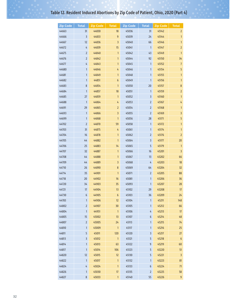# Table 12. Resident Induced Abortions by Zip Code of Patient, Ohio, 2020 (Part 4)

| <b>Zip Code</b> | <b>Total</b>   | <b>Zip Code</b> | <b>Total</b>      | Zip Code | <b>Total</b>   | <b>Zip Code</b> | <b>Total</b>            |
|-----------------|----------------|-----------------|-------------------|----------|----------------|-----------------|-------------------------|
| 44663           | 31             | 44830           | 18                | 45036    | 31             | 45142           | 2                       |
| 44666           | 3              | 44833           | $9\,$             | 45039    | 24             | 45144           | 1                       |
| 44667           | 12             | 44836           | 3                 | 45040    | 66             | 45146           | $\mathbf{1}$            |
| 44672           | 4              | 44839           | 15                | 45041    | 1              | 45147           | $\overline{2}$          |
| 44675           | 2              | 44840           | $\mathbf{1}$      | 45042    | 43             | 45149           | $\mathbf{1}$            |
| 44676           | 2              | 44842           | 1                 | 45044    | 92             | 45150           | 34                      |
| 44677           | 4              | 44843           | 1                 | 45045    | 1              | 45152           | $\overline{1}$          |
| 44680           | 1              | 44846           | 4                 | 45046    | $\mathbf{1}$   | 45154           | 5                       |
| 44681           | 1              | 44849           | 1                 | 45048    | 1              | 45155           | 1                       |
| 44682           | 1              | 44851           | 6                 | 45049    | 1              | 45156           | 1                       |
| 44683           | 8              | 44854           | $\mathbf{1}$      | 45050    | 20             | 45157           | 8                       |
| 44684           | 1              | 44857           | 18                | 45051    | 1              | 45159           | 2                       |
| 44685           | 27             | 44859           | $\mathbf{1}$      | 45052    | 3              | 45160           | 1                       |
| 44688           | $\mathbf{1}$   | 44864           | 4                 | 45053    | 2              | 45167           | 4                       |
| 44691           | 29             | 44865           | $\overline{2}$    | 45054    | 2              | 45168           | $\mathbf{1}$            |
| 44693           | 1              | 44866           | 3                 | 45055    | 2              | 45169           | 3                       |
| 44699           | 1              | 44868           | $\mathbf{1}$      | 45056    | 28             | 45171           | 5                       |
| 44702           | 2              | 44870           | 59                | 45058    | 1              | 45172           | $\mathbf{1}$            |
| 44703           | 31             | 44875           | 4                 | 45061    | 1              | 45174           | $\mathbf{1}$            |
| 44704           | 16             | 44878           | $\mathbf{1}$      | 45062    | 2              | 45176           | $\overline{2}$          |
| 44705           | 44             | 44882           | $\mathbf{1}$      | 45064    | 3              | 45177           | 20                      |
| 44706           | 25             | 44883           | 14                | 45065    | 5              | 45179           | $\mathbf{1}$            |
| 44707           | 32             | 44887           | $\mathbf{1}$      | 45066    | 16             | 45201           | 3                       |
| 44708           | 44             | 44888           | $\mathbf{1}$      | 45067    | 13             | 45202           | 66                      |
| 44709           | 44             | 44889           | 3                 | 45068    | 4              | 45203           | 18                      |
| 44710           | 26             | 44890           | 8                 | 45069    | 64             | 45204           | 32                      |
| 44714           | 35             | 44901           | $\mathbf{1}$      | 45071    | 2              | 45205           | 88                      |
| 44718           | 20             | 44902           | 16                | 45081    | 1              | 45206           | 36                      |
| 44720           | 34             | 44903           | 35                | 45093    | 1              | 45207           | 28                      |
| 44721           | 17             | 44904           | 13                | 45102    | 29             | 45208           | 17                      |
| 44730           | 6              | 44905           | $\boldsymbol{6}$  | 45103    | 36             | 45209           | 24                      |
| 44783           | 1              | 44906           | $12 \overline{ }$ | 45104    | 1              | 45211           | 148                     |
| 44802           | 2              | 44907           | 30                | 45105    | 1              | 45212           | 66                      |
| 44804           | $\mathbf{1}$   | 44951           | $\mathbf{1}$      | 45106    | 4              | 45213           | 17                      |
| 44805           | 15             | 45002           | 13                | 45107    | 6              | 45214           | 48                      |
| 44807           | $\overline{2}$ | 45005           | 24                | 45113    | 1              | 45215           | 74                      |
| 44810           | $\mathbf{1}$   | 45009           | $\mathbf{1}$      | 45117    | 1              | 45216           | 25                      |
| 44811           | 5              | 45011           | 120               | 45120    | 3              | 45217           | 27                      |
| 44813           | 3              | 45012           | $\mathbf{1}$      | 45121    | 5              | 45218           | $\boldsymbol{6}$        |
| 44814           | $\mathbf{1}$   | 45013           | 63                | 45122    | 9              | 45219           | 60                      |
| 44817           | 1              | 45014           | 106               | 45123    | 5              | 45220           | 51                      |
| 44820           | 12             | 45015           | 12                | 45130    | 5              | 45221           | $\overline{\mathbf{3}}$ |
| 44822           | $\mathbf{1}$   | 45017           | $\mathbf{1}$      | 45132    | 1              | 45223           | 81                      |
| 44824           | 4              | 45024           | 1                 | 45133    | 6              | 45224           | 71                      |
| 44826           | 1              | 45030           | 17                | 45135    | $\overline{2}$ | 45225           | 58                      |
| 44827           | 8              | 45033           | $\mathbf{1}$      | 45140    | 55             | 45226           | 9                       |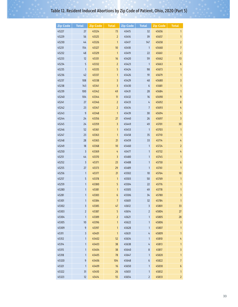# Table 12. Resident Induced Abortions by Zip Code of Patient, Ohio, 2020 (Part 5)

| <b>Zip Code</b> | <b>Total</b>   | <b>Zip Code</b> | <b>Total</b>    | <b>Zip Code</b> | <b>Total</b>            | <b>Zip Code</b> | <b>Total</b>     |
|-----------------|----------------|-----------------|-----------------|-----------------|-------------------------|-----------------|------------------|
| 45227           | 27             | 45324           | 73              | 45415           | 32                      | 45656           | 1                |
| 45229           | 56             | 45325           | $\overline{2}$  | 45416           | 39                      | 45657           | $\mathbf{1}$     |
| 45230           | 44             | 45326           | $\mathbf{1}$    | 45417           | 147                     | 45658           | 2                |
| 45231           | 154            | 45327           | 10              | 45418           | $\mathbf{1}$            | 45660           | 7                |
| 45232           | 48             | 45329           | $\mathbf{1}$    | 45419           | 22                      | 45661           | 2                |
| 45233           | 12             | 45331           | 16              | 45420           | 59                      | 45662           | 13               |
| 45234           | 5              | 45332           | 2               | 45423           | $\mathbf{1}$            | 45663           | $\boldsymbol{6}$ |
| 45235           | 1              | 45335           | 5               | 45424           | 98                      | 45673           | 1                |
| 45236           | 42             | 45337           | $\mathbf{1}$    | 45426           | 91                      | 45679           | $\mathbf{1}$     |
| 45237           | 108            | 45338           | 3               | 45429           | 48                      | 45680           | 3                |
| 45238           | 143            | 45341           | 3               | 45430           | 6                       | 45681           | $\mathbf{1}$     |
| 45239           | 100            | 45342           | 49              | 45431           | 28                      | 45684           | $\mathbf{1}$     |
| 45240           | 104            | 45344           | $\overline{11}$ | 45432           | 16                      | 45690           | 9                |
| 45241           | 27             | 45346           | $\overline{2}$  | 45433           | 4                       | 45692           | 8                |
| 45242           | 23             | 45347           | $\overline{2}$  | 45434           | $\overline{1}$          | 45693           | 4                |
| 45243           | 9              | 45348           | $\mathbf{1}$    | 45439           | 30                      | 45694           | 5                |
| 45244           | 24             | 45356           | 27              | 45440           | 26                      | 45697           | 3                |
| 45245           | 24             | 45359           | 3               | 45449           | 49                      | 45701           | 30               |
| 45246           | 52             | 45361           | $\mathbf{1}$    | 45453           | $\mathbf{1}$            | 45703           | $\mathbf{1}$     |
| 45247           | 23             | 45363           | $\mathbf{1}$    | 45458           | 35                      | 45710           | $\mathbf{1}$     |
| 45248           | 28             | 45365           | 21              | 45459           | 33                      | 45714           | 4                |
| 45249           | 18             | 45368           | 10              | 45460           | $\mathbf{1}$            | 45724           | 2                |
| 45250           | 3              | 45369           | 4               | 45477           | 1                       | 45732           | 4                |
| 45251           | 44             | 45370           | 3               | 45480           | 1                       | 45745           | $\mathbf{1}$     |
| 45252           | 3              | 45371           | 23              | 45488           | 1                       | 45750           | 6                |
| 45255           | 27             | 45373           | 29              | 45489           | $\mathbf{1}$            | 45761           | $\mathbf{1}$     |
| 45256           | 1              | 45377           | 21              | 45502           | 10                      | 45764           | 10               |
| 45257           | 5              | 45378           | $\mathbf{1}$    | 45503           | 50                      | 45769           | $\mathbf{1}$     |
| 45259           | $\mathbf{1}$   | 45380           | 5               | 45504           | 22                      | 45776           | 1                |
| 45280           | 1              | 45381           | 1               | 45505           | 49                      | 45778           | 1                |
| 45281           | 1              | 45383           | 6               | 45506           | 34                      | 45780           | 3                |
| 45301           | $\mathbf{1}$   | 45384           | $\overline{7}$  | 45601           | 32                      | 45784           | $\mathbf{1}$     |
| 45302           | 3              | 45385           | 47              | 45612           | $\overline{\mathbf{3}}$ | 45801           | 33               |
| 45303           | $\overline{2}$ | 45387           | 5               | 45614           | $\overline{2}$          | 45804           | 27               |
| 45304           | $\mathbf{1}$   | 45389           | $\overline{2}$  | 45621           | 1                       | 45805           | 28               |
| 45305           | 10             | 45396           | 1               | 45622           | 1                       | 45806           | 3                |
| 45309           | 9              | 45397           | 1               | 45628           | 1                       | 45807           | $\mathbf{1}$     |
| 45311           | 3              | 45401           | $\mathbf{1}$    | 45631           | 4                       | 45809           | 1                |
| 45312           | 1              | 45402           | 52              | 45634           | $\mathbf{1}$            | 45810           | 4                |
| 45314           | 1              | 45403           | 38              | 45638           | 4                       | 45813           | $\mathbf{1}$     |
| 45315           | 1              | 45404           | 38              | 45640           | 8                       | 45817           | 3                |
| 45318           | 1              | 45405           | 78              | 45647           | 1                       | 45820           | 1                |
| 45320           | 9              | 45406           | 104             | 45648           | 6                       | 45822           | $\overline{7}$   |
| 45321           | 1              | 45409           | 16              | 45650           | 1                       | 45830           | 6                |
| 45322           | 31             | 45410           | 26              | 45651           | 1                       | 45832           | 1                |
| 45323           | 12             | 45414           | 55              | 45654           | $\overline{2}$          | 45833           | $\overline{c}$   |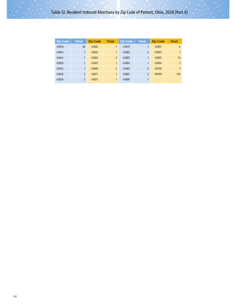| <b>Zip Code</b> | <b>Total</b>   | <b>Zip Code</b> | <b>Total</b>   | <b>Zip Code</b> | <b>Total</b>   | <b>Zip Code</b> | <b>Total</b>   |
|-----------------|----------------|-----------------|----------------|-----------------|----------------|-----------------|----------------|
| 45840           | 28             | 45861           | 1              | 45879           |                | 45891           | 4              |
| 45844           |                | 45862           | 1              | 45882           | 4              | 45893           | $\mathbf{1}$   |
| 45845           |                | 45865           | $\overline{2}$ | 45883           |                | 45895           | 14             |
| 45850           |                | 45867           | 1              | 45884           |                | 45896           | $\overline{2}$ |
| 45854           |                | 45869           | $\overline{2}$ | 45885           | 6              | 45930           | $\mathbf{1}$   |
| 45856           | 3              | 45871           | $\mathbf{1}$   | 45887           | $\overline{2}$ | 99999           | 105            |
| 45858           | $\overline{2}$ | 45873           | 1              | 45889           |                |                 |                |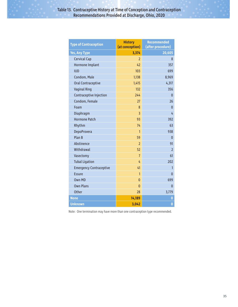| <b>Type of Contraception</b>   | <b>History</b><br>(at conception) | <b>Recommended</b><br>(after procedure) |
|--------------------------------|-----------------------------------|-----------------------------------------|
| <b>Yes, Any Type</b>           | 3,374                             | 20,605                                  |
| <b>Cervical Cap</b>            | $\mathfrak{p}$                    | 8                                       |
| <b>Hormone Implant</b>         | 42                                | 357                                     |
| <b>IUD</b>                     | 103                               | 699                                     |
| Condom, Male                   | 1,138                             | 8,969                                   |
| <b>Oral Contraceptive</b>      | 1,415                             | 4,317                                   |
| <b>Vaginal Ring</b>            | 132                               | 356                                     |
| Contraceptive Injection        | 244                               | $\Omega$                                |
| Condom, Female                 | 27                                | 26                                      |
| Foam                           | 8                                 | $\mathbf{0}$                            |
| Diaphragm                      | 3                                 | 4                                       |
| <b>Hormone Patch</b>           | 93                                | 392                                     |
| Rhythm                         | 74                                | 63                                      |
| <b>DepoProvera</b>             | 1                                 | 938                                     |
| Plan B                         | 59                                | $\bf{0}$                                |
| Abstinence                     | $\overline{2}$                    | 91                                      |
| Withdrawal                     | 52                                | $\overline{2}$                          |
| Vasectomy                      | $\overline{1}$                    | 61                                      |
| <b>Tubal Ligation</b>          | 4                                 | 202                                     |
| <b>Emergency Contraceptive</b> | 41                                | 1                                       |
| <b>Essure</b>                  | $\mathbf{1}$                      | $\mathbf{0}$                            |
| Own MD                         | $\mathbf{0}$                      | 699                                     |
| <b>Own Plans</b>               | $\Omega$                          | $\overline{0}$                          |
| Other                          | 28                                | 3,779                                   |
| <b>None</b>                    | 14,189                            | 0                                       |
| <b>Unknown</b>                 | 3,042                             | $\overline{0}$                          |

Note: One termination may have more than one contraception type recommended.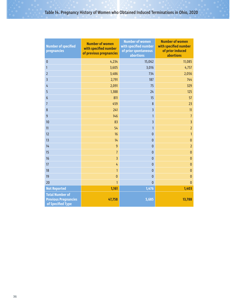# Table 14. Pregnancy History of Women who Obtained Induced Terminations in Ohio, 2020

| <b>Number of specified</b><br>pregnancies                                  | <b>Number of women</b><br>with specified number<br>of previous pregnancies | <b>Number of women</b><br>with specified number<br>of prior spontaneous<br>abortions | <b>Number of women</b><br>with specified number<br>of prior induced<br>abortions |
|----------------------------------------------------------------------------|----------------------------------------------------------------------------|--------------------------------------------------------------------------------------|----------------------------------------------------------------------------------|
| $\pmb{0}$                                                                  | 4,234                                                                      | 15,062                                                                               | 11,085                                                                           |
| 1                                                                          | 3,605                                                                      | 3,016                                                                                | 4,757                                                                            |
| $\overline{2}$                                                             | 3,486                                                                      | 734                                                                                  | 2,056                                                                            |
| $\overline{3}$                                                             | 2,791                                                                      | 187                                                                                  | 744                                                                              |
| 4                                                                          | 2,091                                                                      | 75                                                                                   | 329                                                                              |
| 5                                                                          | 1,388                                                                      | 24                                                                                   | 125                                                                              |
| $\boldsymbol{6}$                                                           | 811                                                                        | 15                                                                                   | 57                                                                               |
| $\overline{1}$                                                             | 459                                                                        | 8                                                                                    | 23                                                                               |
| 8                                                                          | 241                                                                        | $\overline{\mathbf{3}}$                                                              | 11                                                                               |
| $\overline{9}$                                                             | 146                                                                        | $\mathbf{1}$                                                                         | $\overline{1}$                                                                   |
| 10                                                                         | 83                                                                         | $\overline{3}$                                                                       | $\overline{3}$                                                                   |
| 11                                                                         | 54                                                                         | $\mathbf{1}$                                                                         | $\overline{2}$                                                                   |
| 12                                                                         | 16                                                                         | $\mathbf{0}$                                                                         | $\mathbf{1}$                                                                     |
| 13                                                                         | 14                                                                         | $\mathbf{0}$                                                                         | $\mathbf{0}$                                                                     |
| 14                                                                         | $\overline{9}$                                                             | $\mathbf{0}$                                                                         | $\overline{2}$                                                                   |
| 15                                                                         | $\overline{1}$                                                             | $\pmb{0}$                                                                            | $\mathbf{0}$                                                                     |
| 16                                                                         | $\overline{3}$                                                             | $\mathbf{0}$                                                                         | $\mathbf{0}$                                                                     |
| 17                                                                         | 4                                                                          | $\mathbf{0}$                                                                         | $\mathbf{0}$                                                                     |
| 18                                                                         | $\mathbf{1}$                                                               | $\mathbf{0}$                                                                         | $\mathbf{0}$                                                                     |
| 19                                                                         | $\mathbf{0}$                                                               | $\mathbf{0}$                                                                         | $\mathbf{0}$                                                                     |
| 20                                                                         | $\mathbf{1}$                                                               | $\overline{0}$                                                                       | $\mathbf{0}$                                                                     |
| <b>Not Reported</b>                                                        | 1,161                                                                      | 1,476                                                                                | 1,403                                                                            |
| <b>Total Number of</b><br><b>Previous Pregnancies</b><br>of Specified Type | 47,758                                                                     | 5,685                                                                                | 13,788                                                                           |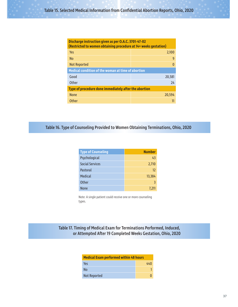| Discharge instruction given as per O.A.C. 3701-47-02<br>(Restricted to women obtaining procedure at 14+ weeks gestation) |          |  |  |  |
|--------------------------------------------------------------------------------------------------------------------------|----------|--|--|--|
| Yes                                                                                                                      | 2,100    |  |  |  |
| <b>No</b>                                                                                                                | 9        |  |  |  |
| <b>Not Reported</b>                                                                                                      | $\Omega$ |  |  |  |
| Medical condition of the woman at time of abortion                                                                       |          |  |  |  |
| Good                                                                                                                     | 20,581   |  |  |  |
| Other                                                                                                                    | 74       |  |  |  |
| Type of procedure done immediately after the abortion                                                                    |          |  |  |  |
| <b>None</b>                                                                                                              | 20,594   |  |  |  |
| <b>Other</b>                                                                                                             |          |  |  |  |

Table 16. Type of Counseling Provided to Women Obtaining Terminations, Ohio, 2020

| <b>Type of Counseling</b> | <b>Number</b> |
|---------------------------|---------------|
| Psychological             | 43            |
| <b>Social Services</b>    | 2,710         |
| Pastoral                  | 12            |
| <b>Medical</b>            | 13,384        |
| Other                     | २             |
| <b>None</b>               | 7.211         |

Note: A single patient could receive one or more counseling types.

Table 17. Timing of Medical Exam for Terminations Performed, Induced, or Attempted After 19 Completed Weeks Gestation, Ohio, 2020

| <b>Medical Exam performed within 48 hours</b> |     |  |  |  |
|-----------------------------------------------|-----|--|--|--|
| Yes                                           | 440 |  |  |  |
| No                                            |     |  |  |  |
| <b>Not Reported</b>                           |     |  |  |  |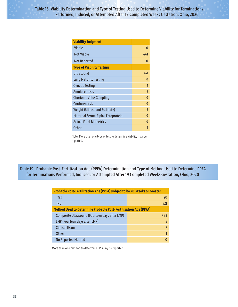| <b>Viability Judgment</b>        |                          |
|----------------------------------|--------------------------|
| Viable                           | 0                        |
| <b>Not Viable</b>                | 441                      |
| Not Reported                     | ŋ                        |
| <b>Type of Viability Testing</b> |                          |
| Ultrasound                       | 441                      |
| <b>Lung Maturity Testing</b>     | O                        |
| <b>Genetic Testing</b>           | 1                        |
| Amniocentesis                    | $\overline{\phantom{0}}$ |
| <b>Chorionic Villus Sampling</b> | O                        |
| Cordocentesis                    | O                        |
| Weight (Ultrasound Estimate)     | $\overline{2}$           |
| Maternal Serum Alpha-Fetoprotein | O                        |
| <b>Actual Fetal Biometrics</b>   | O                        |
| <b>Other</b>                     |                          |

Note: More than one type of test to determine viability may be reported.

Table 19. Probable Post-Fertilization Age (PPFA) Determination and Type of Method Used to Determine PPFA for Terminations Performed, Induced, or Attempted After 19 Completed Weeks Gestation, Ohio, 2020

| Probable Post-Fertilization Age (PPFA) Judged to be 20 Weeks or Greater |     |  |  |
|-------------------------------------------------------------------------|-----|--|--|
| Yes                                                                     | 20  |  |  |
| <b>No</b>                                                               | 421 |  |  |
| <b>Method Used to Determine Probable Post-Fertilization Age (PPFA)</b>  |     |  |  |
| Composite Ultrasound (Fourteen days after LMP)                          | 438 |  |  |
| LMP (Fourteen days after LMP)                                           | 5   |  |  |
| <b>Clinical Exam</b>                                                    | 7   |  |  |
| <b>Other</b>                                                            | 1   |  |  |
| No Reported Method                                                      | O   |  |  |

More than one method to determine PPFA my be reported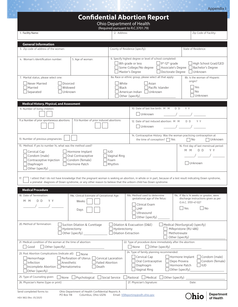Appendix I

| <b>Confidential Abortion Report</b><br>Ohio Department of Health                                                                                                                                                                                                                       |                                                                            |                                                                                                                                                   |                                                                                                                             |  |  |  |
|----------------------------------------------------------------------------------------------------------------------------------------------------------------------------------------------------------------------------------------------------------------------------------------|----------------------------------------------------------------------------|---------------------------------------------------------------------------------------------------------------------------------------------------|-----------------------------------------------------------------------------------------------------------------------------|--|--|--|
|                                                                                                                                                                                                                                                                                        | (Required pursuant to R.C.3701.79)                                         |                                                                                                                                                   |                                                                                                                             |  |  |  |
| 1. Facility Name:                                                                                                                                                                                                                                                                      | 2. Address:                                                                |                                                                                                                                                   | Zip Code of Facility:                                                                                                       |  |  |  |
| <b>General Information</b>                                                                                                                                                                                                                                                             |                                                                            |                                                                                                                                                   |                                                                                                                             |  |  |  |
| 3. Zip code of address of the woman:                                                                                                                                                                                                                                                   | County of Residence (specify):                                             |                                                                                                                                                   | State of Residence:                                                                                                         |  |  |  |
| 4. Woman's Identification number:<br>5. Age of woman:                                                                                                                                                                                                                                  | $\Box$ 8th grade or less<br>$\Box$ Master's Degree                         | 6. Specify highest degree or level of school completed:<br>$\Box$ 9 <sup>th</sup> -12 <sup>th</sup> grade<br>$\Box$ Some College/No degree $\Box$ | High School Grad/GED<br>Associate's Degree<br>Bachelor's Degree<br>Doctorate Degree<br>Unknown                              |  |  |  |
| 7. Marital status, please select one:                                                                                                                                                                                                                                                  |                                                                            | 8a. Race or ethnic group, please select all that apply:                                                                                           | 8b. Is the woman of Hispanic                                                                                                |  |  |  |
| Never Married<br>Divorced<br>Married<br>Widowed<br>Separated<br>Unknown                                                                                                                                                                                                                | White<br><b>Black</b><br>American Indian $\Box$ Unknown<br>Other (specify) | origin?<br>Yes<br><b>No</b><br>Unknown                                                                                                            |                                                                                                                             |  |  |  |
| <b>Medical History, Physical, and Assessment</b>                                                                                                                                                                                                                                       |                                                                            |                                                                                                                                                   |                                                                                                                             |  |  |  |
| 9. Number of living children:                                                                                                                                                                                                                                                          |                                                                            | 10. Date of last live birth: M M<br>Unknown                                                                                                       | Y Y<br>D D                                                                                                                  |  |  |  |
| 11.a Number of prior spontaneous abortions:<br>11.b Number of prior induced abortions:                                                                                                                                                                                                 |                                                                            | 12. Date of last induced abortion: M M<br>Unknown                                                                                                 | D D<br>Y Y                                                                                                                  |  |  |  |
| 13. Number of previous pregnancies:                                                                                                                                                                                                                                                    |                                                                            | the time of conception? $\Box$ Yes                                                                                                                | 14. Contraceptive History: Was the woman practicing contraception at<br>$\Box$ No<br>  Unknown                              |  |  |  |
| 15. Method. If yes to number 14, what was the method used?<br>Cervical Cap<br>Hormone Implant<br>Condom (male)<br>Oral Contraceptive<br>Contraceptive Injection<br>Condom (female)<br>Diaphragm<br>Hormone Patch<br>Other (specify)                                                    | <b>I</b> IUD<br>$\Box$ Vaginal Ring<br>Foam<br>$\Box$ Rhythm               |                                                                                                                                                   | 16. First day of last menstrual period:<br>D D<br>Y Y<br>M M<br>$\frac{1}{2}$ $\frac{1}{2}$<br>Unknown                      |  |  |  |
| I attest that I do not have knowledge that the pregnant woman is seeking an abortion, in whole or in part, because of a test result indicating Down syndrome,<br>17.<br>a prenatal diagnosis of Down syndrome, or any other reason to believe that the unborn child has Down syndrome. |                                                                            |                                                                                                                                                   |                                                                                                                             |  |  |  |
| <b>Medical Procedure</b>                                                                                                                                                                                                                                                               |                                                                            |                                                                                                                                                   |                                                                                                                             |  |  |  |
| 18. Date of Termination:<br>19a. Clinical Estimate of Gestational Age:<br>D D<br>Y Y<br>M M<br>Weeks<br>Days                                                                                                                                                                           |                                                                            | 19b. Method used to determine<br>gestational age of the fetus:<br>Clinical Exam<br>LMP<br>Ultrasound<br>Other (specify)                           | 19c. If 18a is 14 weeks or greater, were<br>discharge instructions given as per<br>O.A.C. 3701-47-02?<br>l Yes<br><b>No</b> |  |  |  |
| 20. Method of Termination:<br>Suction Dilation & Curettage<br>Dilation & Evacuation (D&E)<br>$\Box$ Medical (NonSurgical) (specify)<br>Hysterectomy<br>Hysterectomy<br>Mifepristone (RU 486)<br>Other (specify)<br><b>Dilation Extraction</b><br>Methotrexate<br>Other (specify)       |                                                                            |                                                                                                                                                   |                                                                                                                             |  |  |  |
| 21. Medical condition of the woman at the time of abortion:<br>$\Box$ Good<br>$\Box$ Other (specify)                                                                                                                                                                                   | None                                                                       | 22. Type of procedure done immediately after the abortion:<br>$\Box$ Other (specify)                                                              |                                                                                                                             |  |  |  |
| 23. Post Abortion Complications (Indicate all): None<br>Perforation of Uterus Cervical Laceration<br>$\Box$ Hemorrhage<br>Infection<br>Anesthetic<br> Incomplete Abortion   Hematometra<br>Death<br>Other (specify)                                                                    | <b>Failed Abortion</b>                                                     | 24. Type of family planning recommended:<br>Cervical Cap<br>Oral Contraceptive<br>Diaphragm<br>Vaginal Ring                                       | Condom (male)<br>Hormone Implant<br>Depo Provera<br>Condom (female)<br>Hormone Patch<br><b>IUD</b><br>Other (specify)       |  |  |  |
| 25. Type of Counseling given:<br>$\Box$ None $\Box$ Psychological $\Box$ Social Service<br>26. Physician's Name (type or print)                                                                                                                                                        |                                                                            | Pastoral Medical $\Box$ Other (specify)<br>27. Physician's Signature:                                                                             | Date:                                                                                                                       |  |  |  |
| Send completed forms to:<br>Ohio Department of Health Confidential Reports A<br>Columbus, Ohio 43216<br><b>PO Box 118</b><br>HEA 1802 (Rev. 05/2021)                                                                                                                                   | Email: VSReporting@odh.ohio.gov                                            |                                                                                                                                                   | <b>Department</b><br>of Health                                                                                              |  |  |  |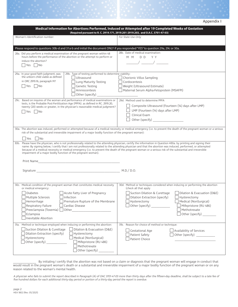|  | Appendix I |  |
|--|------------|--|
|--|------------|--|

|                                                                                                                                                                                                                                                                                                                                                                                                                                                                                                                                                                                    | Medical Information for Abortions Performed, Induced or Attempted after 19 Completed Weeks of Gestation<br>(Required pursuant to R. C. 2919.171, 2919.201-2919.203, and O.A.C. 3701-47-03)                                                                                                                                                                                                              |
|------------------------------------------------------------------------------------------------------------------------------------------------------------------------------------------------------------------------------------------------------------------------------------------------------------------------------------------------------------------------------------------------------------------------------------------------------------------------------------------------------------------------------------------------------------------------------------|---------------------------------------------------------------------------------------------------------------------------------------------------------------------------------------------------------------------------------------------------------------------------------------------------------------------------------------------------------------------------------------------------------|
| Woman's Identification number:                                                                                                                                                                                                                                                                                                                                                                                                                                                                                                                                                     | For State Use Only                                                                                                                                                                                                                                                                                                                                                                                      |
| Please respond to questions 30b-d and 31a-b and initial the document ONLY if you responded "YES" to question 29a, 29c or 30a.                                                                                                                                                                                                                                                                                                                                                                                                                                                      |                                                                                                                                                                                                                                                                                                                                                                                                         |
| 28a. Did you perform a medical examination of the pregnant woman within 48<br>hours before the performance of the abortion or the attempt to perform or<br>induce the abortion?<br>l Yes II No                                                                                                                                                                                                                                                                                                                                                                                     | 28b. Date of medical examination:<br>MM DD YY<br>$\frac{1}{\sqrt{2}}$ , $\frac{1}{\sqrt{2}}$ , $\frac{1}{\sqrt{2}}$ , $\frac{1}{\sqrt{2}}$ , $\frac{1}{\sqrt{2}}$ , $\frac{1}{\sqrt{2}}$ , $\frac{1}{\sqrt{2}}$ , $\frac{1}{\sqrt{2}}$ , $\frac{1}{\sqrt{2}}$ , $\frac{1}{\sqrt{2}}$ , $\frac{1}{\sqrt{2}}$ , $\frac{1}{\sqrt{2}}$ , $\frac{1}{\sqrt{2}}$ , $\frac{1}{\sqrt{2}}$ , $\frac{1}{\sqrt{2}}$ |
| 29b. Type of testing performed to determine viability:<br>29a. In your good faith judgment, was<br>the unborn child viable as defined<br>Ultrasound<br>in ORC 2919.16, paragraph M?<br>Lung Maturity Testing<br>$\Box$ Genetic Testing<br>  Yes     No<br>Amniocentesis<br>$\Box$ Other (specify)                                                                                                                                                                                                                                                                                  | Chorionic Villus Sampling<br>Cordocentesis<br>$\Box$ Weight (Ultrasound Estimate)<br>Maternal Serum Alpha-Fetoprotein (MSAFPI)                                                                                                                                                                                                                                                                          |
| 29c. Based on inquires of the woman and performance of medical examinations or<br>tests, is the Probable Post-Fertilization Age (PPFA). as defined in RC. 2919.20,<br>twenty (20) weeks or greater, in the physician's reasonable medical judgment?<br>Yes     No                                                                                                                                                                                                                                                                                                                  | 29d. Method used to determine PPFA<br>Composite Ultrasound (Fourteen (14) days after LMP)<br>LMP (Fourteen (14) days after LMP)<br>Clinical Exam<br>Other (specify)                                                                                                                                                                                                                                     |
| risk of the substantial and irreversible impairment of a major bodily function of the pregnant woman):<br><b>Yes</b><br>$\overline{\phantom{a}}$ No                                                                                                                                                                                                                                                                                                                                                                                                                                | 30a. The abortion was induced, performed or attempted because of a medical necessity or medical emergency (i.e. to prevent the death of the pregnant woman or a serious                                                                                                                                                                                                                                 |
| 30b. Please have the physician, who is not professionally related to the attending physician, certify the information in Question #30a. by printing and signing their<br>name: By signing below, I certify that I am not professionally related to the attending physician and that the abortion was induced, performed, or attempted<br>because of a medical necessity or medical emergency (i.e. to prevent the death of the pregnant woman or a serious risk of the substantial and irreversible<br>impairment of a major bodily function of the pregnant woman).<br>Print Name |                                                                                                                                                                                                                                                                                                                                                                                                         |
|                                                                                                                                                                                                                                                                                                                                                                                                                                                                                                                                                                                    | $M.D./$ D.O.                                                                                                                                                                                                                                                                                                                                                                                            |
| 30c. Medical condition of the pregnant woman that constitutes medical necessity<br>or medical emergency:<br>Acute Fatty Liver of Pregnancy<br>Diabetes<br>$\Box$ Multiple Sclerosis $\Box$ Infection<br>Hemorrhage<br>Premature Rupture of the Membrane<br>Respiratory Failure<br>Cardiac Disease<br>Preeclampsia (Toxemia) Other<br>Eclampsia<br>Inevitable Abortion                                                                                                                                                                                                              | 30d. Method or techniques considered when inducing or performing the abortion<br>(check all that apply<br>Suction Dilation & Curettage<br>    Dilation & Evacuation (D&E)<br>$\Box$ Dilation Extraction (specify) $\hfill \Box$ Hysterectomy<br>Hysterectomy<br>Medical (NonSurgical)<br>Other (specify)<br>Mifepristone (RU 486)<br>Methotrexate<br>Other (specify)                                    |
| 31a. Method or technique employed when inducing or performing the abortion:<br>Suction Dilation & Curettage<br>Dilation & Evacuation (D&E)<br>Dilation Extraction (specify)<br>Hysterectomy<br>Medical (NonSurgical)<br>Hysterectomy<br>Other (specify)<br>Mifepristone (RU 486)<br>Methotrexate<br>Other (specify)                                                                                                                                                                                                                                                                | Reason for choice of method or technique:<br>31b.<br><b>Gestational Age</b><br>Availability of Services<br>Patient Safety<br>Other (specify) ____________<br>Patient Choice                                                                                                                                                                                                                             |

\_\_\_\_\_\_\_\_\_\_\_\_ By initialing I certify that the abortion was not based on a claim or diagnosis that the pregnant woman will engage in conduct that would result in the pregnant woman's death or a substantial and irreversible impairment of a major bodily function of the pregnant woman or on any reason related to the woman's mental health.

A physician who fails to submit the report described in Paragraph (A) of OAC 3701-47-03 more than thirty days after the fifteen-day deadline, shall be subject to a late fee of five hundred dollars for each additional thirty-day period or portion of a thirty-day period the report is overdue.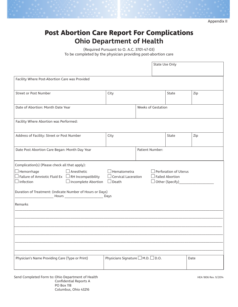Appendix II

# **Post Abortion Care Report For Complications Ohio Department of Health**

(Required Pursuant to O. A.C. 3701-47-03) To be completed by the physician providing post-abortion care

|                                                                                                                                                                                                                                                                                                                                                                                                                                    | State Use Only                               |  |       |     |      |  |
|------------------------------------------------------------------------------------------------------------------------------------------------------------------------------------------------------------------------------------------------------------------------------------------------------------------------------------------------------------------------------------------------------------------------------------|----------------------------------------------|--|-------|-----|------|--|
| Facility Where Post-Abortion Care was Provided                                                                                                                                                                                                                                                                                                                                                                                     |                                              |  |       |     |      |  |
| <b>Street or Post Number</b>                                                                                                                                                                                                                                                                                                                                                                                                       | City                                         |  | State | Zip |      |  |
| Date of Abortion: Month Date Year                                                                                                                                                                                                                                                                                                                                                                                                  | <b>Weeks of Gestation</b>                    |  |       |     |      |  |
| Facility Where Abortion was Performed:                                                                                                                                                                                                                                                                                                                                                                                             |                                              |  |       |     |      |  |
| Address of Facility: Street or Post Number                                                                                                                                                                                                                                                                                                                                                                                         | City                                         |  | State | Zip |      |  |
| Date Post Abortion Care Began: Month Day Year                                                                                                                                                                                                                                                                                                                                                                                      | Patient Number:                              |  |       |     |      |  |
| Complication(s) (Please check all that apply):<br>$\exists$ Hematometra<br>$\Box$ Hemorrhage<br>$\Box$ Anesthetic<br>$\Box$ Perforation of Uterus<br>$\Box$ Failure of Amniotic Fluid Ex $\;\;\Box$ RH Incompatibility<br>$\Box$ Cervical Laceration<br>$\Box$ Failed Abortion<br>$\Box$ Infection<br>$\Box$ Incomplete Abortion<br>$\Box$ Death<br>$\Box$<br>Duration of Treatment: (indicate Number of Hours or Days)<br>Remarks |                                              |  |       |     |      |  |
|                                                                                                                                                                                                                                                                                                                                                                                                                                    |                                              |  |       |     |      |  |
|                                                                                                                                                                                                                                                                                                                                                                                                                                    |                                              |  |       |     |      |  |
| Physician's Name Providing Care (Type or Print)                                                                                                                                                                                                                                                                                                                                                                                    | Physicians Signature $\Box$ M.D. $\Box$ D.O. |  |       |     | Date |  |

Send Completed Form to: Ohio Department of Health Health Health Health HEA 1806 Rev. 9/2014 Confidential Reports A PO Box 118 Columbus, Ohio 43216